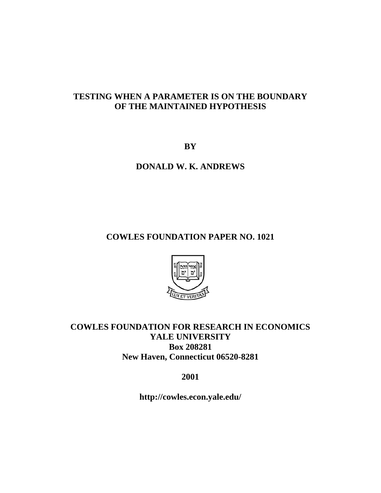# **TESTING WHEN A PARAMETER IS ON THE BOUNDARY OF THE MAINTAINED HYPOTHESIS**

**BY** 

# **DONALD W. K. ANDREWS**

# **COWLES FOUNDATION PAPER NO. 1021**



# **COWLES FOUNDATION FOR RESEARCH IN ECONOMICS YALE UNIVERSITY Box 208281 New Haven, Connecticut 06520-8281**

# **2001**

**http://cowles.econ.yale.edu/**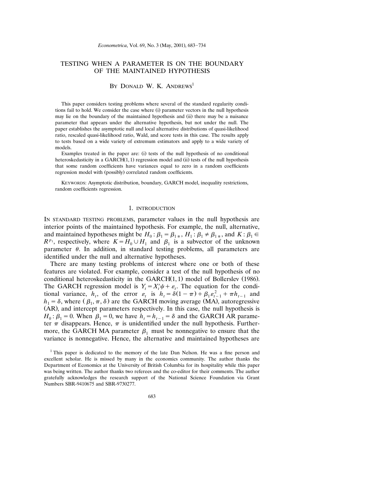# TESTING WHEN A PARAMETER IS ON THE BOUNDARY OF THE MAINTAINED HYPOTHESIS

# BY DONALD W. K. ANDREWS<sup>1</sup>

This paper considers testing problems where several of the standard regularity conditions fail to hold. We consider the case where (i) parameter vectors in the null hypothesis may lie on the boundary of the maintained hypothesis and (ii) there may be a nuisance parameter that appears under the alternative hypothesis, but not under the null. The paper establishes the asymptotic null and local alternative distributions of quasi-likelihood ratio, rescaled quasi-likelihood ratio, Wald, and score tests in this case. The results apply to tests based on a wide variety of extremum estimators and apply to a wide variety of models.

Examples treated in the paper are: (i) tests of the null hypothesis of no conditional heteroskedasticity in a  $GARCH(1, 1)$  regression model and (ii) tests of the null hypothesis that some random coefficients have variances equal to zero in a random coefficients regression model with (possibly) correlated random coefficients.

KEYWORDS: Asymptotic distribution, boundary, GARCH model, inequality restrictions, random coefficients regression.

#### 1. INTRODUCTION

IN STANDARD TESTING PROBLEMS, parameter values in the null hypothesis are interior points of the maintained hypothesis. For example, the null, alternative, and maintained hypotheses might be  $H_0: \beta_1 = \beta_{1*}, H_1: \beta_1 \neq \beta_{1*}$ , and  $K: \beta_1 \in$  $R^{p_1}$ , respectively, where  $K = H_0 \cup H_1$  and  $\beta_1$  is a subvector of the unknown parameter  $\theta$ . In addition, in standard testing problems, all parameters are identified under the null and alternative hypotheses.

There are many testing problems of interest where one or both of these features are violated. For example, consider a test of the null hypothesis of no conditional heteroskedasticity in the GARCH $(1, 1)$  model of Bollerslev (1986). The GARCH regression model is  $Y_t = X_t^{\prime} \psi + \varepsilon_t$ . The equation for the conditional variance,  $h_t$ , of the error  $\varepsilon_t$  is  $h_t = \delta(1 - \pi) + \beta_1 \varepsilon_{t-1}^2 + \pi h_{t-1}$  and  $h_1 = \delta$ , where  $(\beta_1, \pi, \delta)$  are the GARCH moving average (MA), autoregressive (AR), and intercept parameters respectively. In this case, the null hypothesis is  $H_0: \beta_1 = 0$ . When  $\beta_1 = 0$ , we have  $h_t = h_{t-1} = \delta$  and the GARCH AR parameter  $\pi$  disappears. Hence,  $\pi$  is unidentified under the null hypothesis. Furthermore, the GARCH MA parameter  $\beta_1$  must be nonnegative to ensure that the variance is nonnegative. Hence, the alternative and maintained hypotheses are

<sup>&</sup>lt;sup>1</sup> This paper is dedicated to the memory of the late Dan Nelson. He was a fine person and excellent scholar. He is missed by many in the economics community. The author thanks the Department of Economics at the University of British Columbia for its hospitality while this paper was being written. The author thanks two referees and the co-editor for their comments. The author gratefully acknowledges the research support of the National Science Foundation via Grant Numbers SBR-9410675 and SBR-9730277.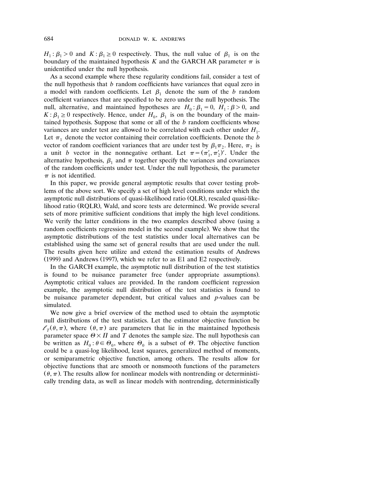$H_1: \beta_1 > 0$  and  $K: \beta_1 \geq 0$  respectively. Thus, the null value of  $\beta_1$  is on the boundary of the maintained hypothesis  $K$  and the GARCH AR parameter  $\pi$  is unidentified under the null hypothesis.

As a second example where these regularity conditions fail, consider a test of the null hypothesis that *b* random coefficients have variances that equal zero in a model with random coefficients. Let  $\beta_1$  denote the sum of the *b* random coefficient variances that are specified to be zero under the null hypothesis. The null, alternative, and maintained hypotheses are  $H_0: \beta_1 = 0$ ,  $H_1: \beta > 0$ , and  $K: \beta_1 \geq 0$  respectively. Hence, under  $H_0$ ,  $\beta_1$  is on the boundary of the maintained hypothesis. Suppose that some or all of the *b* random coefficients whose variances are under test are allowed to be correlated with each other under  $H_1$ . Let  $\pi_1$  denote the vector containing their correlation coefficients. Denote the *b* vector of random coefficient variances that are under test by  $\beta_1 \pi_2$ . Here,  $\pi_2$  is a unit *b* vector in the nonnegative orthant. Let  $\pi = (\pi_1', \pi_2')'$ . Under the alternative hypothesis,  $\beta_1$  and  $\pi$  together specify the variances and covariances of the random coefficients under test. Under the null hypothesis, the parameter  $\pi$  is not identified.

In this paper, we provide general asymptotic results that cover testing problems of the above sort. We specify a set of high level conditions under which the asymptotic null distributions of quasi-likelihood ratio (QLR), rescaled quasi-likelihood ratio (RQLR), Wald, and score tests are determined. We provide several sets of more primitive sufficient conditions that imply the high level conditions. We verify the latter conditions in the two examples described above (using a random coefficients regression model in the second example). We show that the asymptotic distributions of the test statistics under local alternatives can be established using the same set of general results that are used under the null. The results given here utilize and extend the estimation results of Andrews  $(1999)$  and Andrews  $(1997)$ , which we refer to as E1 and E2 respectively.

In the GARCH example, the asymptotic null distribution of the test statistics is found to be nuisance parameter free (under appropriate assumptions). Asymptotic critical values are provided. In the random coefficient regression example, the asymptotic null distribution of the test statistics is found to be nuisance parameter dependent, but critical values and *p*-values can be simulated.

We now give a brief overview of the method used to obtain the asymptotic null distributions of the test statistics. Let the estimator objective function be  $l_{\tau}(\theta, \pi)$ , where  $(\theta, \pi)$  are parameters that lie in the maintained hypothesis parameter space  $\Theta \times \Pi$  and *T* denotes the sample size. The null hypothesis can be written as  $H_0: \theta \in \Theta_0$ , where  $\Theta_0$  is a subset of  $\Theta$ . The objective function could be a quasi-log likelihood, least squares, generalized method of moments, or semiparametric objective function, among others. The results allow for objective functions that are smooth or nonsmooth functions of the parameters  $(\theta, \pi)$ . The results allow for nonlinear models with nontrending or deterministically trending data, as well as linear models with nontrending, deterministically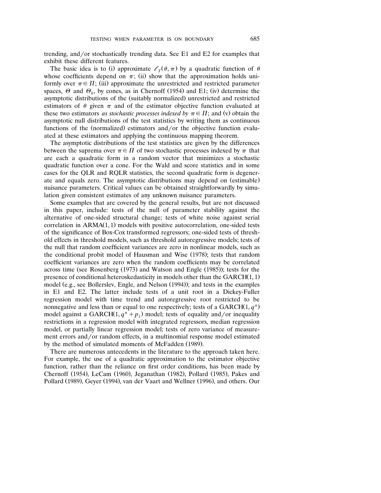trending, and/or stochastically trending data. See E1 and E2 for examples that exhibit these different features.

The basic idea is to (i) approximate  $\ell_{\tau}(\theta, \pi)$  by a quadratic function of  $\theta$ whose coefficients depend on  $\pi$ ; (ii) show that the approximation holds uniformly over  $\pi \in \Pi$ ; (iii) approximate the unrestricted and restricted parameter spaces,  $\Theta$  and  $\Theta_0$ , by cones, as in Chernoff (1954) and E1; (iv) determine the asymptotic distributions of the (suitably normalized) unrestricted and restricted estimators of  $\theta$  given  $\pi$  and of the estimator objective function evaluated at these two estimators *as stochastic processes indexed by*  $\pi \in \Pi$ ; and (v) obtain the asymptotic null distributions of the test statistics by writing them as continuous functions of the (normalized) estimators and/or the objective function evaluated at these estimators and applying the continuous mapping theorem.

The asymptotic distributions of the test statistics are given by the differences between the suprema over  $\pi \in \Pi$  of two stochastic processes indexed by  $\pi$  that are each a quadratic form in a random vector that minimizes a stochastic quadratic function over a cone. For the Wald and score statistics and in some cases for the QLR and RQLR statistics, the second quadratic form is degenerate and equals zero. The asymptotic distributions may depend on (estimable) nuisance parameters. Critical values can be obtained straightforwardly by simulation given consistent estimates of any unknown nuisance parameters.

Some examples that are covered by the general results, but are not discussed in this paper, include: tests of the null of parameter stability against the alternative of one-sided structural change; tests of white noise against serial correlation in  $ARMA(1, 1)$  models with positive autocorrelation, one-sided tests of the significance of Box-Cox transformed regressors; one-sided tests of threshold effects in threshold models, such as threshold autoregressive models; tests of the null that random coefficient variances are zero in nonlinear models, such as the conditional probit model of Hausman and Wise (1978); tests that random coefficient variances are zero when the random coefficients may be correlated across time (see Rosenberg  $(1973)$  and Watson and Engle  $(1985)$ ); tests for the presence of conditional heteroskedasticity in models other than the  $GARCH(1, 1)$ model (e.g., see Bollerslev, Engle, and Nelson (1994)); and tests in the examples in E1 and E2. The latter include tests of a unit root in a Dickey-Fuller regression model with time trend and autoregressive root restricted to be nonnegative and less than or equal to one respectively; tests of a GARCH $(1, q^*)$ model against a GARCH $(1, q^* + p_1)$  model; tests of equality and/or inequality restrictions in a regression model with integrated regressors, median regression model, or partially linear regression model; tests of zero variance of measurement errors and/or random effects, in a multinomial response model estimated by the method of simulated moments of McFadden (1989).

There are numerous antecedents in the literature to the approach taken here. For example, the use of a quadratic approximation to the estimator objective function, rather than the reliance on first order conditions, has been made by Chernoff (1954), LeCam (1960), Jeganathan (1982), Pollard (1985), Pakes and Pollard (1989), Geyer (1994), van der Vaart and Wellner (1996), and others. Our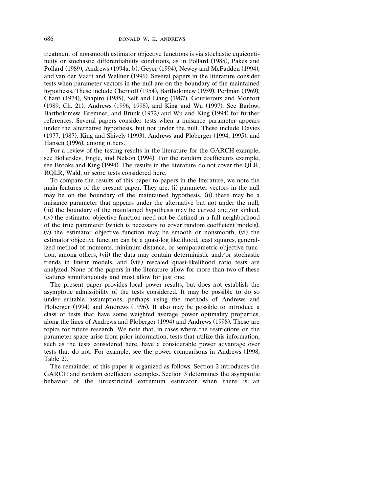treatment of nonsmooth estimator objective functions is via stochastic equicontinuity or stochastic differentiability conditions, as in Pollard (1985), Pakes and Pollard (1989), Andrews (1994a, b), Geyer (1994), Newey and McFadden (1994), and van der Vaart and Wellner (1996). Several papers in the literature consider tests when parameter vectors in the null are on the boundary of the maintained hypothesis. These include Chernoff (1954), Bartholomew (1959), Perlman (1969), Chant (1974), Shapiro (1985), Self and Liang (1987), Gourieroux and Monfort (1989, Ch. 21), Andrews (1996, 1998), and King and Wu (1997). See Barlow, Bartholomew, Bremner, and Brunk (1972) and Wu and King (1994) for further references. Several papers consider tests when a nuisance parameter appears under the alternative hypothesis, but not under the null. These include Davies (1977, 1987), King and Shively (1993), Andrews and Ploberger (1994, 1995), and Hansen (1996), among others.

For a review of the testing results in the literature for the GARCH example, see Bollerslev, Engle, and Nelson (1994). For the random coefficients example, see Brooks and King (1994). The results in the literature do not cover the QLR, RQLR, Wald, or score tests considered here.

To compare the results of this paper to papers in the literature, we note the main features of the present paper. They are: (i) parameter vectors in the null may be on the boundary of the maintained hypothesis, (ii) there may be a nuisance parameter that appears under the alternative but not under the null,  $(iii)$  the boundary of the maintained hypothesis may be curved and/or kinked, (iv) the estimator objective function need not be defined in a full neighborhood of the true parameter (which is necessary to cover random coefficient models), (v) the estimator objective function may be smooth or nonsmooth, (vi) the estimator objective function can be a quasi-log likelihood, least squares, generalized method of moments, minimum distance, or semiparametric objective function, among others, (vii) the data may contain deterministic and/or stochastic trends in linear models, and (viii) rescaled quasi-likelihood ratio tests are analyzed. None of the papers in the literature allow for more than two of these features simultaneously and most allow for just one.

The present paper provides local power results, but does not establish the asymptotic admissibility of the tests considered. It may be possible to do so under suitable assumptions, perhaps using the methods of Andrews and Ploberger (1994) and Andrews (1996). It also may be possible to introduce a class of tests that have some weighted average power optimality properties, along the lines of Andrews and Ploberger (1994) and Andrews (1998). These are topics for future research. We note that, in cases where the restrictions on the parameter space arise from prior information, tests that utilize this information, such as the tests considered here, have a considerable power advantage over tests that do not. For example, see the power comparisons in Andrews (1998, Table 2).

The remainder of this paper is organized as follows. Section 2 introduces the GARCH and random coefficient examples. Section 3 determines the asymptotic behavior of the unrestricted extremum estimator when there is an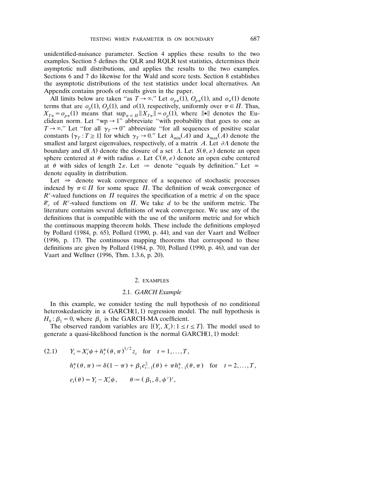unidentified-nuisance parameter. Section 4 applies these results to the two examples. Section 5 defines the QLR and RQLR test statistics, determines their asymptotic null distributions, and applies the results to the two examples. Sections 6 and 7 do likewise for the Wald and score tests. Section 8 establishes the asymptotic distributions of the test statistics under local alternatives. An Appendix contains proofs of results given in the paper.

All limits below are taken "as  $T \rightarrow \infty$ ." Let  $o_{n\pi}(1)$ ,  $O_{n\pi}(1)$ , and  $o_{\pi}(1)$  denote terms that are  $o_p(1)$ ,  $O_p(1)$ , and  $o(1)$ , respectively, uniformly over  $\pi \in \Pi$ . Thus,  $X_{T_{\pi}} = o_{p_{\pi}}(1)$  means that  $\sup_{\pi \in \Pi} ||X_{T_{\pi}}|| = o_p(1)$ , where  $||\bullet||$  denotes the Euclidean norm. Let "wp  $\rightarrow$  1" abbreviate "with probability that goes to one as  $T \rightarrow \infty$ ." Let "for all  $\gamma_T \rightarrow 0$ " abbreviate "for all sequences of positive scalar constants  $\{\gamma_T : T \geq 1\}$  for which  $\gamma_T \to 0$ ." Let  $\lambda_{\min}(A)$  and  $\lambda_{\max}(A)$  denote the smallest and largest eigenvalues, respectively, of a matrix  $A$ . Let  $\partial A$  denote the boundary and cl( $\Lambda$ ) denote the closure of a set  $\Lambda$ . Let  $S(\theta, \varepsilon)$  denote an open sphere centered at  $\theta$  with radius  $\varepsilon$ . Let  $C(\theta, \varepsilon)$  denote an open cube centered at  $\theta$  with sides of length  $2\varepsilon$ . Let  $=$  denote "equals by definition." Let  $\approx$ denote equality in distribution.

Let  $\Rightarrow$  denote weak convergence of a sequence of stochastic processes indexed by  $\pi \in \Pi$  for some space  $\Pi$ . The definition of weak convergence of  $R^v$ -valued functions on  $\Pi$  requires the specification of a metric *d* on the space  $\mathcal{E}_v$  of  $R^v$ -valued functions on  $\overline{H}$ . We take  $d$  to be the uniform metric. The literature contains several definitions of weak convergence. We use any of the definitions that is compatible with the use of the uniform metric and for which the continuous mapping theorem holds. These include the definitions employed by Pollard  $(1984, p. 65)$ , Pollard  $(1990, p. 44)$ , and van der Vaart and Wellner  $(1996, p. 17)$ . The continuous mapping theorems that correspond to these definitions are given by Pollard  $(1984, p. 70)$ , Pollard  $(1990, p. 46)$ , and van der Vaart and Wellner (1996, Thm. 1.3.6, p. 20).

#### 2. EXAMPLES

## 2.1. *GARCH Example*

In this example, we consider testing the null hypothesis of no conditional heteroskedasticity in a  $GARCH(1,1)$  regression model. The null hypothesis is  $H_0: \beta_1 = 0$ , where  $\beta_1$  is the GARCH-MA coefficient.

The observed random variables are  $\{(Y_t, X_t): 1 \le t \le T\}$ . The model used to generate a quasi-likelihood function is the normal  $GARCH(1, 1)$  model:

(2.1) 
$$
Y_t = X_t'\psi + h_t^*(\theta, \pi)^{1/2} z_t
$$
 for  $t = 1,...,T$ ,  
\n $h_t^*(\theta, \pi) := \delta(1 - \pi) + \beta_1 e_{t-1}^2(\theta) + \pi h_{t-1}^*(\theta, \pi)$  for  $t = 2,...,T$ ,  
\n $e_t(\theta) = Y_t - X_t'\psi$ ,  $\theta := (\beta_1, \delta, \psi')'$ ,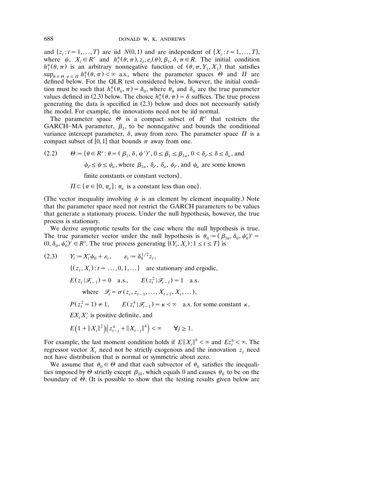and  $\{z_i : t = 1, ..., T\}$  are iid  $N(0, 1)$  and are independent of  $\{X_i : t = 1, ..., T\}$ , where  $\psi$ ,  $X_i \in R^r$  and  $h_i^*(\theta, \pi), z_i, e_i(\theta), \beta_1, \delta, \pi \in R$ . The initial condition  $h_1^*(\theta, \pi)$  is an arbitrary nonnegative function of  $(\theta,$  $R^r$  and  $h_t^*(\theta, \pi), z_t, e_t(\theta), \beta_1, \delta, \pi \in$ where  $\psi$ ,  $X_t \in \mathbb{R}^r$  and  $h_t^*(\theta, \pi), z_t, e_t(\theta), \beta_1, \delta, \pi \in \mathbb{R}$ . The initial condition  $h_1^*(\theta, \pi)$  is an arbitrary nonnegative function of  $(\theta, \pi, Y_1, X_1)$  that satisfies  $\sup_{\theta \in \Theta, \pi \in \Pi} h_1^*(\theta, \pi) < \infty$  a.s., w defined below. For the QLR test considered below, however, the initial condition must be such that  $h_1^*(\theta_0, \pi) = \delta_0$ , where  $\theta_0$  and  $\delta_0$  are the true parameter values defined in (2.3) below. The choice  $h_1^*(\theta, \pi) = \delta$  suffices. The true process generating the data is specified in  $(2.3)$  below and does not necessarily satisfy the model. For example, the innovations need not be iid normal.

The parameter space  $\Theta$  is a compact subset of  $R^s$  that restricts the GARCH-MA parameter,  $\beta_1$ , to be nonnegative and bounds the conditional variance intercept parameter,  $\delta$ , away from zero. The parameter space  $\Pi$  is a compact subset of [0, 1] that bounds  $\pi$  away from one.

(2.2)  $\theta := {\theta \in R^s : \theta = (\beta_1, \delta, \psi')', 0 \le \beta_1 \le \beta_{1u}, 0 < \delta_{\ell} \le \delta \le \delta_u}$ , and  $\psi_{\ell} \leq \psi \leq \psi_u$ , where  $\beta_{1u}$ ,  $\delta_{\ell}$ ,  $\delta_u$ ,  $\psi_{\ell}$ , and  $\psi_u$  are some known

finite constants or constant vectors.

 $\Pi \subset {\pi \in [0, \pi_u]: \pi_u$  is a constant less than one).

(The vector inequality involving  $\psi$  is an element by element inequality.) Note that the parameter space need not restrict the GARCH parameters to be values that generate a stationary process. Under the null hypothesis, however, the true process is stationary.

We derive asymptotic results for the case where the null hypothesis is true. The true parameter vector under the null hypothesis is  $\theta_0 = (\beta_{10}, \delta_0, \psi_0)' =$  $(0, \delta_0, \psi_0')^T \in R^s$ . The true process generating  $\{(Y_t, X_t) : 1 \le t \le T\}$  is

(2.3) 
$$
Y_t := X_t' \psi_0 + \varepsilon_t
$$
,  $\varepsilon_t := \delta_0^{1/2} z_t$ ,  
\n $\{(z_t, X_t) : t = ..., 0, 1, ...\}$  are stationary and ergodic,  
\n $E(z_t | \mathcal{F}_{t-1}) = 0$  a.s.,  $E(z_t^2 | \mathcal{F}_{t-1}) = 1$  a.s.  
\nwhere  $\mathcal{F}_t = \sigma(z_t, z_{t-1}, ..., X_{t+1}, X_t, ...)$ ,  
\n $P(z_t^2 = 1) \neq 1$ ,  $E(z_t^4 | \mathcal{F}_{t-1}) = \kappa < \infty$  a.s. for some constant  $\kappa$ ,  
\n $EX_t X_t'$  is positive definite, and  
\n $E(1 + \|X_t\|^2) (z_{t-j}^4 + \|X_{t-j}\|^4) < \infty$   $\forall j \ge 1$ .

For example, the last moment condition holds if  $E||X_t||^6 < \infty$  and  $Ez_t^6 < \infty$ . The regressor vector  $X_t$  need not be strictly exogenous and the innovation  $z_t$  need not have distribution that is normal or symmetric about zero.

We assume that  $\theta_0 \in \Theta$  and that each subvector of  $\theta_0$  satisfies the inequalities imposed by  $\Theta$  strictly except  $\beta_{10}$ , which equals 0 and causes  $\theta_0$  to be on the boundary of  $\Theta$ . (It is possible to show that the testing results given below are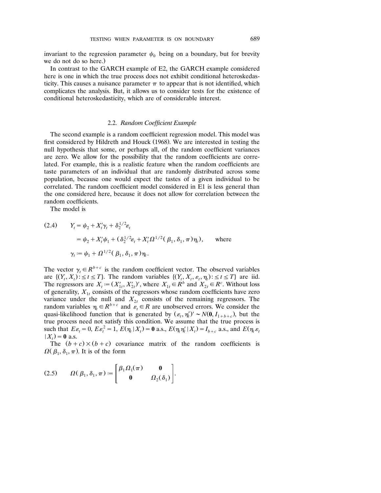invariant to the regression parameter  $\psi_0$  being on a boundary, but for brevity we do not do so here.)

In contrast to the GARCH example of E2, the GARCH example considered here is one in which the true process does not exhibit conditional heteroskedasticity. This causes a nuisance parameter  $\pi$  to appear that is not identified, which complicates the analysis. But, it allows us to consider tests for the existence of conditional heteroskedasticity, which are of considerable interest.

## 2.2. *Random Coefficient Example*

The second example is a random coefficient regression model. This model was first considered by Hildreth and Houck (1968). We are interested in testing the null hypothesis that some, or perhaps all, of the random coefficient variances are zero. We allow for the possibility that the random coefficients are correlated. For example, this is a realistic feature when the random coefficients are taste parameters of an individual that are randomly distributed across some population, because one would expect the tastes of a given individual to be correlated. The random coefficient model considered in E1 is less general than the one considered here, because it does not allow for correlation between the random coefficients.

The model is

(2.4) 
$$
Y_{t} = \psi_{2} + X_{t}'\gamma_{t} + \delta_{2}^{1/2}\varepsilon_{t}
$$

$$
= \psi_{2} + X_{t}'\psi_{1} + (\delta_{2}^{1/2}\varepsilon_{t} + X_{t}'\Omega^{1/2}(\beta_{1}, \delta_{1}, \pi)\eta_{t}), \text{ where}
$$

$$
\gamma_{t} := \psi_{1} + \Omega^{1/2}(\beta_{1}, \delta_{1}, \pi)\eta_{t}.
$$

The vector  $\gamma_t \in R^{b+c}$  is the random coefficient vector. The observed variables are  $\{(Y_t, X_t): \leq t \leq T\}$ . The random variables  $\{(Y_t, X_t, \varepsilon_t, \eta_t): \leq t \leq T\}$  are iid. The regressors are  $X_t := (X'_{1t}, X'_{2t})'$ , where  $X_{1t} \in R^b$  and  $X'_{2t} \in R^c$ . Without loss of generality,  $X_{1t}$  consists of the regressors whose random coefficients have zero variance under the null and  $X_{2t}$  consists of the remaining regressors. The random variables  $\eta_t \in R^{b+c}$  and  $\mathcal{E}_t \in R$  are unobserved errors. We consider the quasi-likelihood function that is generated by  $(\varepsilon_t, \eta_t')' \sim N(\mathbf{0}, I_{1+b+c})$ , but the true process need not satisfy this condition. We assume that the true process is such that  $E\varepsilon_t = 0$ ,  $E\varepsilon_t^2 = 1$ ,  $E(\eta_t | X_t) = 0$  a.s.,  $E(\eta_t \eta_t' | X_t) = I_{b+c}$  a.s., and  $E(\eta_t \varepsilon_t)$  $(X_t) = 0$  a.s.

The  $(b + c) \times (b + c)$  covariance matrix of the random coefficients is  $\Omega(\beta_1, \delta_1, \pi)$ . It is of the form

(2.5) 
$$
\Omega(\beta_1, \delta_1, \pi) := \begin{bmatrix} \beta_1 \Omega_1(\pi) & \mathbf{0} \\ \mathbf{0} & \Omega_2(\delta_1) \end{bmatrix}.
$$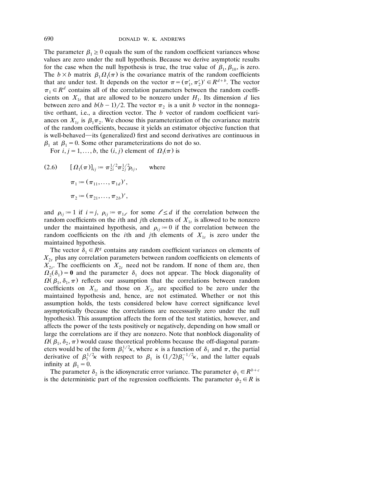The parameter  $\beta_1 \ge 0$  equals the sum of the random coefficient variances whose values are zero under the null hypothesis. Because we derive asymptotic results for the case when the null hypothesis is true, the true value of  $\beta_1$ ,  $\beta_{10}$ , is zero. The  $b \times b$  matrix  $\beta_1 \Omega_1(\pi)$  is the covariance matrix of the random coefficients that are under test. It depends on the vector  $\pi = (\pi'_1, \pi'_2)' \in R^{d+b}$ . The vector  $\pi_1 \in R^d$  contains all of the correlation parameters between the random coefficients on  $X_{1t}$  that are allowed to be nonzero under  $H_1$ . Its dimension *d* lies between zero and  $b(b-1)/2$ . The vector  $\pi_2$  is a unit *b* vector in the nonnegative orthant, i.e., a direction vector. The *b* vector of random coefficient variances on  $X_{1t}$  is  $\beta_1 \pi_2$ . We choose this parameterization of the covariance matrix of the random coefficients, because it yields an estimator objective function that is well-behaved—its (generalized) first and second derivatives are continuous in  $\beta_1$  at  $\beta_1 = 0$ . Some other parameterizations do not do so.

For  $i, j = 1, ..., b$ , the  $(i, j)$  element of  $\Omega_1(\pi)$  is

 $(2.6)$   $[\Omega_1(\pi)]_{ii} = \pi_{2i}^{1/2} \pi_{2i}^{1/2} \rho_{ii}$ , where  $\pi_1 := (\pi_{11}, \ldots, \pi_{1d})',$  $\pi_2 := (\pi_{21}, \ldots, \pi_{2b})',$ 

and  $\rho_{ij} = 1$  if  $i = j$ ,  $\rho_{ij} = \pi_{1}$  for some  $\ell \leq d$  if the correlation between the random coefficients on the *i*th and *j*th elements of  $X_{1t}$  is allowed to be nonzero under the maintained hypothesis, and  $\rho_{ij} = 0$  if the correlation between the random coefficients on the *i*th and *j*th elements of  $X_{1t}$  is zero under the maintained hypothesis.

The vector  $\delta_1 \in R^g$  contains any random coefficient variances on elements of  $X_{2t}$  plus any correlation parameters between random coefficients on elements of  $X_{2t}$ . The coefficients on  $X_{2t}$  need not be random. If none of them are, then  $\Omega_2(\delta_1) = 0$  and the parameter  $\delta_1$  does not appear. The block diagonality of  $\Omega(\beta_1, \delta_1, \pi)$  reflects our assumption that the correlations between random coefficients on  $X_{1t}$  and those on  $X_{2t}$  are specified to be zero under the maintained hypothesis and, hence, are not estimated. Whether or not this assumption holds, the tests considered below have correct significance level asymptotically (because the correlations are necessarily zero under the null hypothesis). This assumption affects the form of the test statistics, however, and affects the power of the tests positively or negatively, depending on how small or large the correlations are if they are nonzero. Note that nonblock diagonality of  $\Omega(\beta_1, \delta_2, \pi)$  would cause theoretical problems because the off-diagonal parameters would be of the form  $\beta_1^{1/2}\kappa$ , where  $\kappa$  is a function of  $\delta_1$  and  $\pi$ , the partial derivative of  $\beta_1^{1/2}\kappa$  with respect to  $\beta_1$  is  $(1/2)\beta_1^{-1/2}\kappa$ , and the latter equals infinity at  $\beta_1 = 0$ .

The parameter  $\delta_2$  is the idiosyncratic error variance. The parameter  $\psi_1 \in R^{b+c}$ is the deterministic part of the regression coefficients. The parameter  $\psi_2 \in R$  is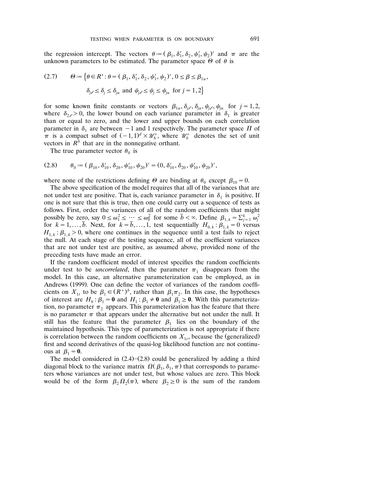the regression intercept. The vectors  $\theta = (\beta_1, \delta'_1, \delta_2, \psi'_1, \psi_2)'$  and  $\pi$  are the unknown parameters to be estimated. The parameter space  $\Theta$  of  $\theta$  is

(2.7) 
$$
\Theta := \left\{ \theta \in R^s : \theta = (\beta_1, \delta'_1, \delta_2, \psi'_1, \psi_2)', 0 \le \beta \le \beta_{1u}, \right\}
$$

$$
\delta_{j\ell} \le \delta_j \le \delta_{ju} \text{ and } \psi_{j\ell} \le \psi_j \le \psi_{ju} \text{ for } j = 1, 2 \right\}
$$

for some known finite constants or vectors  $\beta_{1u}, \delta_{j\ell}, \delta_{ju}, \psi_{j\ell}, \psi_{ju}$  for  $j = 1, 2$ , where  $\delta_{2} \geq 0$ , the lower bound on each variance parameter in  $\delta_1$  is greater than or equal to zero, and the lower and upper bounds on each correlation parameter in  $\delta_1$  are between -1 and 1 respectively. The parameter space  $\Pi$  of  $\pi$  is a compact subset of  $(-1, 1)^d \times \mathcal{U}_b^+$ , where  $\mathcal{U}_b^+$  denotes the set of unit vectors in  $R<sup>b</sup>$  that are in the nonnegative orthant.

The true parameter vector  $\theta_0$  is

$$
(2.8) \qquad \theta_0 := (\beta_{10}, \delta'_{10}, \delta_{20}, \psi'_{10}, \psi_{20})' = (0, \delta'_{10}, \delta_{20}, \psi'_{10}, \psi_{20})',
$$

where none of the restrictions defining  $\Theta$  are binding at  $\theta_0$  except  $\beta_{10} = 0$ .

The above specification of the model requires that all of the variances that are not under test are positive. That is, each variance parameter in  $\delta_1$  is positive. If one is not sure that this is true, then one could carry out a sequence of tests as follows. First, order the variances of all of the random coefficients that might possibly be zero, say  $0 \le \omega_1^2 \le \cdots \le \omega_b^2$  for some  $\bar{b} < \infty$ . Define  $\beta_{1,k} = \sum_{j=1}^k \omega_j^2$ for  $k = 1, ..., \overline{b}$ . Next, for  $k = \overline{b}, ..., 1$ , test sequentially  $H_{0,k} : \beta_{1,k} = 0$  versus  $H_{1,k}$ :  $\beta_{1,k}$  > 0, where one continues in the sequence until a test fails to reject the null. At each stage of the testing sequence, all of the coefficient variances that are not under test are positive, as assumed above, provided none of the preceding tests have made an error.

If the random coefficient model of interest specifies the random coefficients under test to be *uncorrelated*, then the parameter  $\pi_1$  disappears from the model. In this case, an alternative parameterization can be employed, as in Andrews (1999). One can define the vector of variances of the random coefficients on  $X_{1}$  to be  $\beta_1 \in (R^+)^b$ , rather than  $\beta_1 \pi_2$ . In this case, the hypotheses of interest are  $H_0: \beta_1 = \mathbf{0}$  and  $H_1: \beta_1 \neq \mathbf{0}$  and  $\beta_1 \geq \mathbf{0}$ . With this parameterization, no parameter  $\pi_2$  appears. This parameterization has the feature that there is no parameter  $\pi$  that appears under the alternative but not under the null. It still has the feature that the parameter  $\beta_1$  lies on the boundary of the maintained hypothesis. This type of parameterization is not appropriate if there is correlation between the random coefficients on  $X_{1t}$ , because the (generalized) first and second derivatives of the quasi-log likelihood function are not continuous at  $\beta_1 = 0$ .

The model considered in  $(2.4)$ – $(2.8)$  could be generalized by adding a third diagonal block to the variance matrix  $\Omega(\beta_1, \delta_1, \pi)$  that corresponds to parameters whose variances are not under test, but whose values are zero. This block would be of the form  $\beta_2 \Omega_2(\pi)$ , where  $\beta_2 \ge 0$  is the sum of the random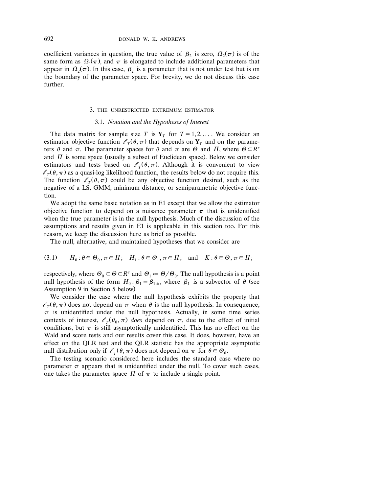coefficient variances in question, the true value of  $\beta_2$  is zero,  $\Omega_2(\pi)$  is of the same form as  $\Omega_1(\pi)$ , and  $\pi$  is elongated to include additional parameters that appear in  $\Omega_2(\pi)$ . In this case,  $\beta_2$  is a parameter that is not under test but is on the boundary of the parameter space. For brevity, we do not discuss this case further.

#### 3. THE UNRESTRICTED EXTREMUM ESTIMATOR

## 3.1. *Notation and the Hypotheses of Interest*

The data matrix for sample size *T* is  $Y_T$  for  $T = 1, 2, ...$  We consider an estimator objective function  $\ell_{\tau}(\theta, \pi)$  that depends on  $Y_{\tau}$  and on the parameters  $\theta$  and  $\pi$ . The parameter spaces for  $\theta$  and  $\pi$  are  $\Theta$  and  $\Pi$ , where  $\Theta \subset R^s$ and  $\Pi$  is some space (usually a subset of Euclidean space). Below we consider estimators and tests based on  $\ell_{\tau}(\theta, \pi)$ . Although it is convenient to view  $l_{\tau}(\theta, \pi)$  as a quasi-log likelihood function, the results below do not require this. The function  $l_{\tau}(\theta, \pi)$  could be any objective function desired, such as the negative of a LS, GMM, minimum distance, or semiparametric objective function.

We adopt the same basic notation as in E1 except that we allow the estimator objective function to depend on a nuisance parameter  $\pi$  that is unidentified when the true parameter is in the null hypothesis. Much of the discussion of the assumptions and results given in E1 is applicable in this section too. For this reason, we keep the discussion here as brief as possible.

The null, alternative, and maintained hypotheses that we consider are

(3.1) 
$$
H_0: \theta \in \Theta_0, \pi \in \Pi; H_1: \theta \in \Theta_1, \pi \in \Pi; \text{ and } K: \theta \in \Theta, \pi \in \Pi;
$$

respectively, where  $\Theta_0 \subset \Theta \subset R^s$  and  $\Theta_1 = \Theta / \Theta_0$ . The null hypothesis is a point null hypothesis of the form  $H_0: \beta_1 = \beta_{1*}$ , where  $\beta_1$  is a subvector of  $\theta$  (see Assumption 9 in Section 5 below).

We consider the case where the null hypothesis exhibits the property that  $l_{\tau}(\theta, \pi)$  does not depend on  $\pi$  when  $\theta$  is the null hypothesis. In consequence,  $\pi$  is unidentified under the null hypothesis. Actually, in some time series contexts of interest,  $\ell_T(\theta_0, \pi)$  does depend on  $\pi$ , due to the effect of initial conditions, but  $\pi$  is still asymptotically unidentified. This has no effect on the Wald and score tests and our results cover this case. It does, however, have an effect on the QLR test and the QLR statistic has the appropriate asymptotic null distribution only if  $\ell_T(\theta, \pi)$  does not depend on  $\pi$  for  $\theta \in \Theta_0$ .

The testing scenario considered here includes the standard case where no parameter  $\pi$  appears that is unidentified under the null. To cover such cases, one takes the parameter space  $\Pi$  of  $\pi$  to include a single point.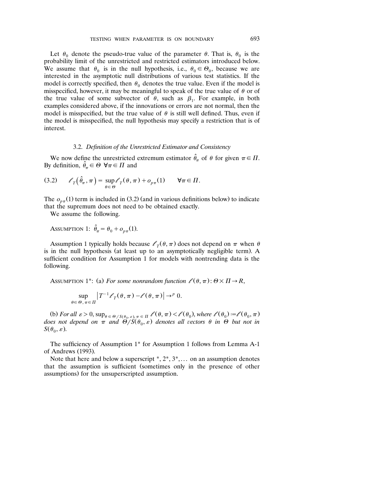Let  $\theta_0$  denote the pseudo-true value of the parameter  $\theta$ . That is,  $\theta_0$  is the probability limit of the unrestricted and restricted estimators introduced below. We assume that  $\theta_0$  is in the null hypothesis, i.e.,  $\theta_0 \in \Theta_0$ , because we are interested in the asymptotic null distributions of various test statistics. If the model is correctly specified, then  $\theta_0$  denotes the true value. Even if the model is misspecified, however, it may be meaningful to speak of the true value of  $\theta$  or of the true value of some subvector of  $\theta$ , such as  $\beta_1$ . For example, in both examples considered above, if the innovations or errors are not normal, then the model is misspecified, but the true value of  $\theta$  is still well defined. Thus, even if the model is misspecified, the null hypothesis may specify a restriction that is of interest.

#### 3.2. *Definition of the Unrestricted Estimator and Consistency*

We now define the unrestricted extremum estimator  $\hat{\theta}_{\pi}$  of  $\theta$  for given  $\pi \in \Pi$ . By definition,  $\hat{\theta}_{\pi} \in \Theta$   $\forall \pi \in \Pi$  and

(3.2) 
$$
\ell_T(\hat{\theta}_\pi, \pi) = \sup_{\theta \in \Theta} \ell_T(\theta, \pi) + o_{p\pi}(1) \quad \forall \pi \in \Pi.
$$

The  $o_{n\pi}(1)$  term is included in (3.2) (and in various definitions below) to indicate that the supremum does not need to be obtained exactly.

We assume the following.

Assumption 1: 
$$
\hat{\theta}_{\pi} = \theta_0 + o_{p\pi}(1)
$$
.

Assumption 1 typically holds because  $\ell_{\tau}(\theta, \pi)$  does not depend on  $\pi$  when  $\theta$ is in the null hypothesis (at least up to an asymptotically negligible term). A sufficient condition for Assumption 1 for models with nontrending data is the following.

ASSUMPTION 1<sup>\*</sup>: (a) For some nonrandom function  $\ell(\theta, \pi)$ :  $\Theta \times \Pi \rightarrow R$ ,

$$
\sup_{\theta \in \Theta, \pi \in \Pi} \left| T^{-1} \mathcal{E}_T(\theta, \pi) - \mathcal{E}(\theta, \pi) \right| \to^p 0.
$$

(b) For all  $\varepsilon > 0$ ,  $\sup_{\theta \in \Theta / S(\theta_0, \varepsilon), \pi \in \Pi} \ell(\theta, \pi) < \ell(\theta_0)$ , where  $\ell(\theta_0) = \ell(\theta_0, \pi)$ *does not depend on*  $\pi$  *and*  $\Theta/S(\theta_0, \varepsilon)$  *denotes all vectors*  $\theta$  *in*  $\Theta$  *but not in*  $S(\theta_0, \varepsilon)$ .

The sufficiency of Assumption 1\* for Assumption 1 follows from Lemma A-1 of Andrews (1993).

Note that here and below a superscript  $^*, 2^*, 3^*, \dots$  on an assumption denotes that the assumption is sufficient (sometimes only in the presence of other assumptions) for the unsuperscripted assumption.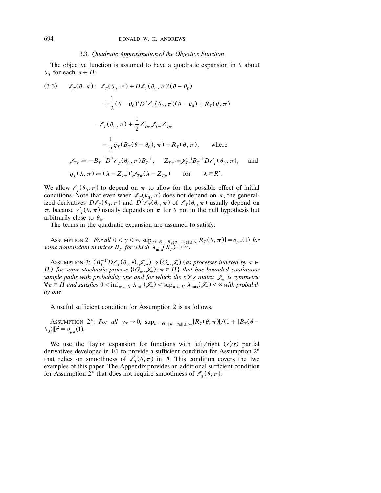#### 3.3. Quadratic Approximation of the Objective Function

The objective function is assumed to have a quadratic expansion in  $\theta$  about  $\theta_0$  for each  $\pi \in \Pi$ :

(3.3) 
$$
\ell_T(\theta, \pi) := \ell_T(\theta_0, \pi) + D\ell_T(\theta_0, \pi)'(\theta - \theta_0)
$$

$$
+ \frac{1}{2}(\theta - \theta_0)'D^2 \ell_T(\theta_0, \pi)(\theta - \theta_0) + R_T(\theta, \pi)
$$

$$
= \ell_T(\theta_0, \pi) + \frac{1}{2} Z'_{T\pi} \mathcal{J}_{T\pi} Z_{T\pi}
$$

$$
- \frac{1}{2} q_T (B_T(\theta - \theta_0), \pi) + R_T(\theta, \pi), \text{ where}
$$

$$
\mathcal{J}_{T\pi} := -B_T^{-1} D^2 \ell_T(\theta_0, \pi) B_T^{-1}, \quad Z_{T\pi} := \mathcal{J}_{T\pi}^{-1} B_T^{-1} D \ell_T(\theta_0, \pi), \text{ and}
$$

$$
q_T(\lambda, \pi) := (\lambda - Z_{T\pi})' \mathcal{J}_{T\pi} (\lambda - Z_{T\pi}) \text{ for } \lambda \in \mathbb{R}^s.
$$

We allow  $\ell_{\tau}(\theta_0, \pi)$  to depend on  $\pi$  to allow for the possible effect of initial conditions. Note that even when  $\ell_{\tau}(\theta_0, \pi)$  does not depend on  $\pi$ , the generalized derivatives  $D\ell_{\tau}(\theta_0, \pi)$  and  $\bar{D}^2\ell_{\tau}(\theta_0, \pi)$  of  $\ell_{\tau}(\theta_0, \pi)$  usually depend on  $\pi$ , because  $\ell_{\tau}(\theta, \pi)$  usually depends on  $\pi$  for  $\theta$  not in the null hypothesis but arbitrarily close to  $\theta_0$ .

The terms in the quadratic expansion are assumed to satisfy:

ASSUMPTION 2: For all  $0 < \gamma < \infty$ ,  $\sup_{\theta \in \Theta} \inf_{\theta \in \Theta : \|B_T(\theta - \theta_0)\| \le \gamma} |R_T(\theta, \pi)| = o_{p\pi}(1)$  for some nonrandom matrices  $B_T$  for which  $\lambda_{\min}(B_T) \to \infty$ .

ASSUMPTION 3:  $(B_T^{-1}D\mathscr{O}_T(\theta_0, \bullet), \mathscr{J}_{T\bullet}) \Rightarrow (G_{\bullet}, \mathscr{J}_{\bullet})$  (as processes indexed by  $\pi \in$ *H*) for some stochastic process  $\{ (G_{\pi}, \mathscr{J}_{\pi}) : \pi \in \Pi \}$  that has bounded continuous *sample paths with probability one and for which the s* $\times$ *s matrix*  $\mathcal{J}_\pi$  *is symmetric*  $\forall \pi \in \Pi$  and satisfies  $0 < \inf_{\pi \in \Pi} \lambda_{\min}(\mathcal{J}_{\pi}) \leq \sup_{\pi \in \Pi} \lambda_{\max}(\mathcal{J}_{\pi}) < \infty$  with probabil*ity one*.

A useful sufficient condition for Assumption 2 is as follows.

ASSUMPTION 2<sup>\*</sup>: For all  $\gamma_T \to 0$ ,  $\sup_{\theta \in \Theta} \mathbb{E}_{\|\theta - \theta_0\| \leq \gamma_T} |R_T(\theta, \pi)|/(1 + \|B_T(\theta - \theta_0)\|)$  $\theta_0$ )||)<sup>2</sup> =  $o_{p\pi}(1)$ .

We use the Taylor expansion for functions with left/right  $(\ell/r)$  partial derivatives developed in E1 to provide a sufficient condition for Assumption 2\* that relies on smoothness of  $\ell_{\tau}(\theta, \pi)$  in  $\theta$ . This condition covers the two examples of this paper. The Appendix provides an additional sufficient condition for Assumption 2<sup>\*</sup> that does not require smoothness of  $\ell_T(\theta, \pi)$ .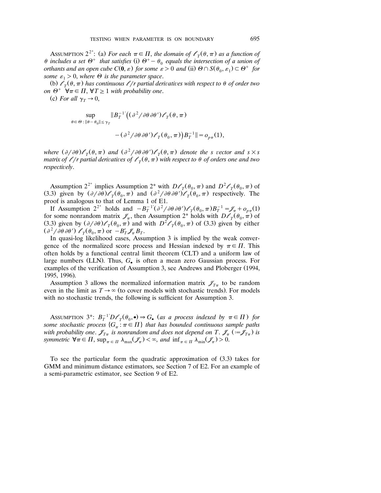ASSUMPTION 2<sup>2\*</sup>: (a) For each  $\pi \in \Pi$ , the domain of  $\ell_T(\theta, \pi)$  as a function of  $\theta$  includes a set  $\Theta^+$  that satisfies (i)  $\Theta^+ - \theta_0$  equals the intersection of a union of *orthants and an open cube*  $C(\mathbf{0}, \varepsilon)$  *for some*  $\varepsilon > 0$  *and* (ii)  $\Theta \cap S(\theta_0, \varepsilon_1) \subset \Theta^+$  *for some*  $\varepsilon_1 > 0$ *, where*  $\Theta$  *is the parameter space.* 

(b)  $\ell_{\tau}(\theta, \pi)$  has continuous  $\ell/r$  partial derivatives with respect to  $\theta$  of order two *on*  $\Theta^+$   $\forall \pi \in \Pi$ ,  $\forall T \geq 1$  *with probability one.* 

(c) For all  $\gamma_T \rightarrow 0$ ,

$$
\sup_{\theta \in \Theta : \|\theta - \theta_0\| \leq \gamma_T} \|B_T^{-1'}\big((\partial^2/\partial \theta \, \partial \theta') \mathcal{E}_T(\theta, \pi)\big)
$$

 $-(\partial^2/\partial\theta\,\partial\theta')\ell_T(\theta_0,\pi))B_T^{-1}\| = o_{n\pi}(1),$ 

where  $(\partial/\partial\theta)\ell_T(\theta, \pi)$  and  $(\partial^2/\partial\theta\partial\theta')\ell_T(\theta, \pi)$  denote the s vector and  $s \times s$ *matrix of*  $\ell/r$  partial derivatives of  $\ell<sub>T</sub>(\theta, \pi)$  with respect to  $\theta$  of orders one and two *respecti ely*.

Assumption  $2^{2^*}$  implies Assumption  $2^*$  with  $D\ell_\tau(\theta_0, \pi)$  and  $D^2\ell_\tau(\theta_0, \pi)$  of (3.3) given by  $\left(\frac{\partial}{\partial \theta}\right)$   $\ell_{\tau}(\theta_0, \pi)$  and  $\left(\frac{\partial^2}{\partial \theta} \frac{\partial}{\partial \theta'}\right)$   $\ell_{\tau}(\theta_0, \pi)$  respectively. The proof is analogous to that of Lemma 1 of E1.

If Assumption  $2^{2^*}$  holds and  $-B_T^{-1'}(\partial^2/\partial\theta\,\partial\theta')\ell_T(\theta_0,\pi)B_T^{-1}=\ell_{\pi}+\varphi_{p\pi}(1)$ for some nonrandom matrix  $\mathscr{J}_{\pi}$ , then Assumption 2<sup>\*</sup> holds with  $D\ell_T(\theta_0, \pi)$  of (3.3) given by  $(\partial/\partial \theta)$   $\ell_T(\theta_0, \pi)$  and with  $D^2$   $\ell_T(\theta_0, \pi)$  of (3.3) given by either  $(\partial^2/\partial\theta\,\partial\theta')\,\ell_T(\theta_0,\pi)$  or  $-B'_T\mathscr{J}_\pi B_T$ .

In quasi-log likelihood cases, Assumption 3 is implied by the weak convergence of the normalized score process and Hessian indexed by  $\pi \in \Pi$ . This often holds by a functional central limit theorem (CLT) and a uniform law of large numbers (LLN). Thus, G<sub>o</sub> is often a mean zero Gaussian process. For examples of the verification of Assumption 3, see Andrews and Ploberger (1994, 1995, 1996).

Assumption 3 allows the normalized information matrix  $\mathscr{J}_{T_{\pi}}$  to be random even in the limit as  $T \rightarrow \infty$  (to cover models with stochastic trends). For models with no stochastic trends, the following is sufficient for Assumption 3.

ASSUMPTION  $3^*$ :  $B_T^{-1}D\ell_T(\theta_0, \bullet) \Rightarrow G_{\bullet}$  (as a process indexed by  $\pi \in \Pi$ ) for some stochastic process  $\{G_{\pi} : \pi \in \Pi\}$  that has bounded continuous sample paths *with probability one.*  $\mathcal{J}_{T_{\pi}}$  *is nonrandom and does not depend on T.*  $\mathcal{J}_{\pi}$  ( $:=$   $\mathcal{J}_{T_{\pi}}$ ) *is* symmetric  $\forall \pi \in \Pi$ ,  $\sup_{\pi \in \Pi} \lambda_{\max}(\mathscr{J}_{\pi}) < \infty$ , and  $\inf_{\pi \in \Pi} \lambda_{\min}(\mathscr{J}_{\pi}) > 0$ .

To see the particular form the quadratic approximation of  $(3.3)$  takes for GMM and minimum distance estimators, see Section 7 of E2. For an example of a semi-parametric estimator, see Section 9 of E2.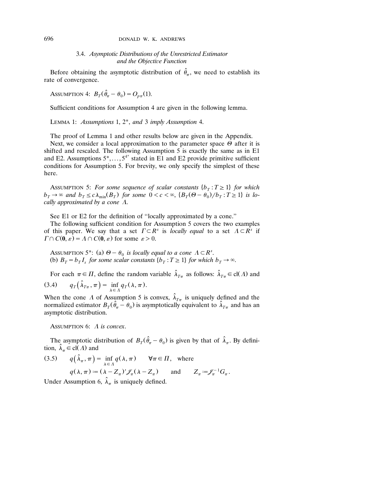## 696 DONALD W. K. ANDREWS

# 3.4. *Asymptotic Distributions of the Unrestricted Estimator and the Objecti e Function*

Before obtaining the asymptotic distribution of  $\hat{\theta}_{\pi}$ , we need to establish its rate of convergence.

ASSUMPTION 4:  $B_T(\hat{\theta}_{\pi} - \theta_0) = O_{p_{\pi}}(1)$ .

Sufficient conditions for Assumption 4 are given in the following lemma.

LEMMA 1: *Assumptions* 1, 2\*, *and* 3 *imply Assumption* 4.

The proof of Lemma 1 and other results below are given in the Appendix. Next, we consider a local approximation to the parameter space  $\Theta$  after it is shifted and rescaled. The following Assumption 5 is exactly the same as in E1 and E2. Assumptions  $5^*, \ldots, 5^{4^*}$  stated in E1 and E2 provide primitive sufficient conditions for Assumption 5. For brevity, we only specify the simplest of these here.

ASSUMPTION 5: For some sequence of scalar constants  $\{b_T : T \geq 1\}$  for which  $b_T \to \infty$  and  $b_T \le c \lambda_{\min}(B_T)$  for some  $0 < c < \infty$ ,  $\{B_T(\Theta - \theta_0)/b_T : T \ge 1\}$  is lo*cally approximated by a cone*  $\Lambda$ .

See E1 or E2 for the definition of ''locally approximated by a cone.''

The following sufficient condition for Assumption 5 covers the two examples of this paper. We say that a set  $\Gamma \subset R^s$  is *locally equal* to a set  $\Lambda \subset R^s$  if  $\Gamma \cap C(0, \varepsilon) = \Lambda \cap C(0, \varepsilon)$  for some  $\varepsilon > 0$ .

ASSUMPTION 5<sup>\*</sup>: (a)  $\Theta - \theta_0$  is locally equal to a cone  $\Lambda \subset R^s$ . (b)  $B_T = b_T I_s$  for some scalar constants  $\{b_T : T \geq 1\}$  for which  $b_T \rightarrow \infty$ .

For each  $\pi \in \Pi$ , define the random variable  $\hat{\lambda}_{T_{\pi}}$  as follows:  $\hat{\lambda}_{T_{\pi}} \in \text{cl}(\Lambda)$  and (3.4)  $q_T(\hat{\lambda}_{T\pi}, \pi) = \inf_{\lambda \in \Lambda} q_T(\lambda, \pi).$ 

When the cone A of Assumption 5 is convex,  $\hat{\lambda}_{T_{\pi}}$  is uniquely defined and the normalized estimator  $B_T(\hat{\theta}_{\pi} - \theta_0)$  is asymptotically equivalent to  $\hat{\lambda}_{T_{\pi}}$  and has an asymptotic distribution.

ASSUMPTION 6:  $\Lambda$  *is convex.* 

The asymptotic distribution of  $B_T(\hat{\theta}_T - \theta_0)$  is given by that of  $\hat{\lambda}_T$ . By definition,  $\hat{\lambda}_{\pi} \in \text{cl}(\Lambda)$  and

(3.5) 
$$
q(\hat{\lambda}_{\pi}, \pi) = \inf_{\lambda \in \Lambda} q(\lambda, \pi)
$$
  $\forall \pi \in \Pi$ , where  
 $q(\lambda, \pi) := (\lambda - Z_{\pi})' \mathcal{J}_{\pi}(\lambda - Z_{\pi})$  and  $Z_{\pi} := \mathcal{J}_{\pi}^{-1} G_{\pi}$ .

Under Assumption 6,  $\lambda_{\pi}$  is uniquely defined.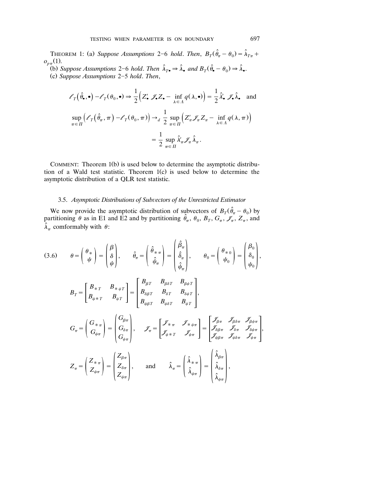THEOREM 1: (a) Suppose Assumptions 2–6 hold. Then,  $B_T(\hat{\theta}_\pi - \theta_0) = \hat{\lambda}_{T\pi} +$  $o_{p\pi}(1)$ .

(b) Suppose Assumptions 2–6 hold. Then  $\hat{\lambda}_T \rightarrow \hat{\lambda}_\bullet$  and  $B_T(\hat{\theta}_\bullet - \theta_0) \rightarrow \hat{\lambda}_\bullet$ . Ž . c *Suppose Assumptions* 25 *hold*. *Then*,

$$
\ell_T(\hat{\theta}_\bullet, \bullet) - \ell_T(\theta_0, \bullet) \Rightarrow \frac{1}{2} \Big( Z'_\bullet \mathcal{J}_\bullet Z_\bullet - \inf_{\lambda \in \Lambda} q(\lambda, \bullet) \Big) = \frac{1}{2} \hat{\lambda}'_\bullet \mathcal{J}_\bullet \hat{\lambda}_\bullet \text{ and}
$$

$$
\sup_{\pi \in \Pi} \Big( \ell_T(\hat{\theta}_\pi, \pi) - \ell_T(\theta_0, \pi) \Big) \to_d \frac{1}{2} \sup_{\pi \in \Pi} \Big( Z'_\pi \mathcal{J}_\pi Z_\pi - \inf_{\lambda \in \Lambda} q(\lambda, \pi) \Big)
$$

$$
= \frac{1}{2} \sup_{\pi \in \Pi} \hat{\lambda}'_\pi \mathcal{J}_\pi \hat{\lambda}_\pi.
$$

COMMENT: Theorem 1(b) is used below to determine the asymptotic distribution of a Wald test statistic. Theorem  $1(c)$  is used below to determine the asymptotic distribution of a QLR test statistic.

#### 3.5. Asymptotic Distributions of Subvectors of the Unrestricted Estimator

We now provide the asymptotic distribution of subvectors of  $B_T(\hat{\theta}_\pi - \theta_0)$  by partitioning  $\theta$  as in E1 and E2 and by partitioning  $\hat{\theta}_{\pi}$ ,  $\theta_0$ ,  $B_T$ ,  $G_{\pi}$ ,  $\mathscr{J}_{\pi}$ ,  $Z_{\pi}$ , and  $\hat{\lambda}_{\pi}$  comformably with  $\theta$ :

$$
(3.6) \quad \theta = \begin{pmatrix} \theta_{*} \\ \psi \end{pmatrix} = \begin{pmatrix} \beta \\ \delta \\ \psi \end{pmatrix}, \quad \hat{\theta}_{\pi} = \begin{pmatrix} \hat{\theta}_{*\pi} \\ \hat{\phi}_{\pi} \end{pmatrix} = \begin{pmatrix} \hat{\beta}_{\pi} \\ \hat{\delta}_{\pi} \\ \hat{\psi}_{\pi} \end{pmatrix}, \quad \theta_{0} = \begin{pmatrix} \theta_{*0} \\ \psi_{0} \end{pmatrix} = \begin{pmatrix} \beta_{0} \\ \delta_{0} \\ \psi_{0} \end{pmatrix},
$$

$$
B_{T} = \begin{bmatrix} B_{*T} & B_{* \psi T} \\ B_{* \psi + T} & B_{\psi T} \end{bmatrix} = \begin{bmatrix} B_{\beta T} & B_{\beta \delta T} & B_{\beta \psi T} \\ B_{\delta \beta T} & B_{\delta \psi T} & B_{\psi T} \end{bmatrix},
$$

$$
G_{\pi} = \begin{pmatrix} G_{* \pi} \\ G_{* \psi \pi} \end{pmatrix} = \begin{pmatrix} G_{\beta \pi} \\ G_{\delta \pi} \\ G_{\psi \pi} \end{pmatrix}, \quad \mathscr{J}_{\pi} = \begin{bmatrix} \mathscr{J}_{* \pi} & \mathscr{J}_{* \psi \pi} \\ \mathscr{J}_{* \psi + T} & \mathscr{J}_{* \psi \pi} \end{bmatrix} = \begin{bmatrix} \mathscr{J}_{\beta \pi} & \mathscr{J}_{\beta \delta \pi} & \mathscr{J}_{\beta \psi \pi} \\ \mathscr{J}_{\delta \beta \pi} & \mathscr{J}_{\delta \psi \pi} \\ \mathscr{J}_{\psi \beta \pi} & \mathscr{J}_{\psi \delta \pi} & \mathscr{J}_{\psi \pi} \end{bmatrix},
$$

$$
Z_{\pi} = \begin{pmatrix} Z_{* \pi} \\ Z_{* \psi \pi} \end{pmatrix} = \begin{pmatrix} Z_{\beta \pi} \\ Z_{\delta \pi} \\ Z_{\psi \pi} \end{pmatrix}, \quad \text{and} \quad \hat{\lambda}_{\pi} = \begin{pmatrix} \hat{\lambda}_{* \pi} \\ \hat{\lambda}_{* \psi \pi} \end{pmatrix} = \begin{pmatrix} \hat{\lambda}_{\beta \pi} \\ \hat{\lambda}_{\delta \pi} \\ \hat{\lambda}_{\delta \pi} \end{pmatrix},
$$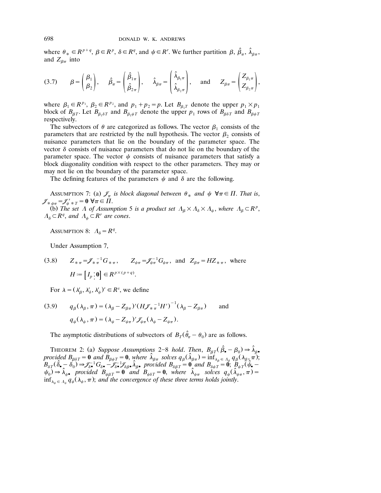where  $\theta_* \in R^{p+q}$ ,  $\beta \in R^p$ ,  $\delta \in R^q$ , and  $\psi \in R^r$ . We further partition  $\beta$ ,  $\hat{\beta}_{\pi}$ ,  $\hat{\lambda}_{\beta\pi}$ , and  $Z_{\beta\pi}$  into

$$
(3.7) \qquad \beta = \begin{pmatrix} \beta_1 \\ \beta_2 \end{pmatrix}, \qquad \hat{\beta}_{\pi} = \begin{pmatrix} \hat{\beta}_{1\pi} \\ \hat{\beta}_{2\pi} \end{pmatrix}, \qquad \hat{\lambda}_{\beta\pi} = \begin{pmatrix} \hat{\lambda}_{\beta_1\pi} \\ \hat{\lambda}_{\beta_2\pi} \end{pmatrix}, \qquad \text{and} \qquad Z_{\beta\pi} = \begin{pmatrix} Z_{\beta_1\pi} \\ Z_{\beta_2\pi} \end{pmatrix},
$$

where  $\beta_1 \in R^{p_1}$ ,  $\beta_2 \in R^{p_2}$ , and  $p_1 + p_2 = p$ . Let  $B_{\beta_1 T}$  denote the upper  $p_1 \times p_1$ block of  $B_{\beta T}$ . Let  $B_{\beta_1 \delta T}$  and  $B_{\beta_1 \psi T}$  denote the upper  $p_1$  rows of  $B_{\beta \delta T}$  and  $B_{\beta \psi T}$ respectively.

The subvectors of  $\theta$  are categorized as follows. The vector  $\beta_1$  consists of the parameters that are restricted by the null hypothesis. The vector  $\beta_2$  consists of nuisance parameters that lie on the boundary of the parameter space. The vector  $\delta$  consists of nuisance parameters that do not lie on the boundary of the parameter space. The vector  $\psi$  consists of nuisance parameters that satisfy a block diagonality condition with respect to the other parameters. They may or may not lie on the boundary of the parameter space.

The defining features of the parameters  $\psi$  and  $\delta$  are the following.

Assumption 7: (a)  $\mathcal{J}_{\pi}$  is block diagonal between  $\theta_*$  and  $\psi \ \forall \pi \in \Pi$ . That is,  $\mathscr{J}_{\ast \psi \pi} = \mathscr{J}_{\psi \ast T} = \mathbf{0} \,\, \forall \pi \in \overline{\Pi}.$ (b) The set  $\Lambda$  of Assumption 5 is a product set  $\Lambda_{\beta} \times \Lambda_{\delta} \times \Lambda_{\psi}$ , where  $\Lambda_{\beta} \subset R^p$ ,  $A_{\delta} \subset R^q$ , and  $A_{\psi} \subset R^r$  are cones.

ASSUMPTION 8:  $\Lambda_{\delta} = R^q$ .

Under Assumption 7,

(3.8) 
$$
Z_{\ast\pi} = \mathcal{J}_{\ast\pi}^{-1}G_{\ast\pi}, \qquad Z_{\psi\pi} = \mathcal{J}_{\psi\pi}^{-1}G_{\psi\pi}, \text{ and } Z_{\beta\pi} = HZ_{\ast\pi}, \text{ where}
$$
  
\n $H := [I_p : \mathbf{0}] \in R^{p \times (p+q)}.$ 

For  $\lambda = (\lambda_{\beta}', \lambda_{\delta}', \lambda_{\psi}')' \in R^s$ , we define

(3.9) 
$$
q_{\beta}(\lambda_{\beta}, \pi) = (\lambda_{\beta} - Z_{\beta\pi})' (H \mathcal{J}_{\ast \pi}^{-1} H')^{-1} (\lambda_{\beta} - Z_{\beta\pi}) \quad \text{and}
$$

$$
q_{\psi}(\lambda_{\psi}, \pi) = (\lambda_{\psi} - Z_{\psi\pi})' \mathcal{J}_{\psi\pi}(\lambda_{\psi} - Z_{\psi\pi}).
$$

The asymptotic distributions of subvectors of  $B_T(\hat{\theta}_T - \theta_0)$  are as follows.

THEOREM 2: (a) Suppose Assumptions 2-8 hold. Then,  $B_{\beta T}(\hat{\beta}_{\bullet} - \beta_0) \Rightarrow \hat{\lambda}_{\beta \bullet}$ provided  $B_{\beta\delta T} = \mathbf{0}$  and  $B_{\beta\psi T} = \mathbf{0}$ , where  $\hat{\lambda}_{\beta\pi}$  solves  $q_{\beta}(\hat{\lambda}_{\beta\pi}) = \inf_{\lambda_{\beta} \in \Lambda_{\beta}} q_{\beta}(\lambda_{\beta}, \pi)$ ;<br>  $B_{\delta T}(\hat{\delta}_{\bullet} - \delta_0) \Rightarrow \mathscr{J}_{\delta\bullet}^{-1}G_{\delta\bullet} - \mathscr{J}_{\delta\bullet}^{-1}\mathscr{J}_{\delta\beta\bullet} \hat{\lambda}_{\beta\bullet}$  provided  $\psi_0$   $\rightarrow \hat{\lambda}_{\psi}$  provided  $B_{\psi\beta}T = 0$  and  $B_{\psi\delta}T = 0$ , where  $\hat{\lambda}_{\psi\pi}$  solves  $q_{\psi}(\hat{\lambda}_{\psi\pi}^T, \pi) = 0$  $\inf_{\lambda_{\psi}\in \Lambda_{\psi}} q_{\psi}(\lambda_{\psi}, \pi)$ ; and the convergence of these three terms holds jointly.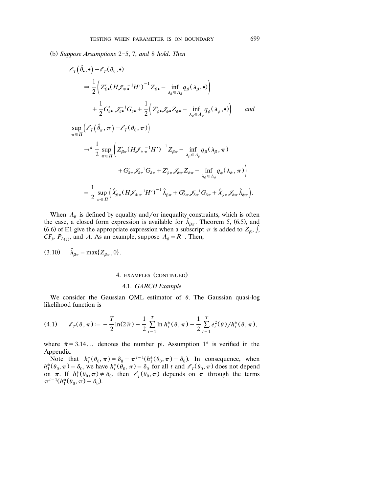Ž . b *Suppose Assumptions* 25, 7, *and* 8 *hold*. *Then*

$$
\mathcal{E}_{T}(\hat{\theta}_{\bullet},\bullet)-\mathcal{E}_{T}(\theta_{0},\bullet)
$$
\n
$$
\Rightarrow \frac{1}{2}\Big(Z_{\beta\bullet}'(H\mathcal{J}_{*}\bullet^{-1}H')^{-1}Z_{\beta\bullet}-\inf_{\lambda_{\beta}\in\Lambda_{\beta}}q_{\beta}(\lambda_{\beta},\bullet)\Big) \n+ \frac{1}{2}G_{\delta\bullet}'\mathcal{J}_{\delta\bullet}^{-1}G_{\delta\bullet}+\frac{1}{2}\Big(Z_{\psi\bullet}'\mathcal{J}_{\psi\bullet}Z_{\psi\bullet}-\inf_{\lambda_{\psi}\in\Lambda_{\psi}}q_{\psi}(\lambda_{\psi},\bullet)\Big) \quad and \n\sup_{\pi\in\Pi}\Big(\mathcal{E}_{T}(\hat{\theta}_{\pi},\pi)-\mathcal{E}_{T}(\theta_{0},\pi)\Big) \n\Rightarrow^{d}\frac{1}{2}\sup_{\pi\in\Pi}\Big(Z_{\beta\pi}'(H\mathcal{J}_{*}\pi^{-1}H')^{-1}Z_{\beta\pi}-\inf_{\lambda_{\beta}\in\Lambda_{\beta}}q_{\beta}(\lambda_{\beta},\pi) \n+ G_{\delta\pi}'\mathcal{J}_{\delta\pi}^{-1}G_{\delta\pi}+Z_{\psi\pi}'\mathcal{J}_{\psi\pi}-\inf_{\lambda_{\psi}\in\Lambda_{\psi}}q_{\psi}(\lambda_{\psi},\pi)\Big) \n= \frac{1}{2}\sup_{\pi\in\Pi}\Big(\hat{\lambda}_{\beta\pi}'(H\mathcal{J}_{*}\pi^{-1}H')^{-1}\hat{\lambda}_{\beta\pi}+G_{\delta\pi}'\mathcal{J}_{\delta\pi}^{-1}G_{\delta\pi}+\hat{\lambda}'_{\psi\pi}\mathcal{J}_{\psi\pi}\hat{\lambda}_{\psi\pi}\Big).
$$

When  $\Lambda_{\beta}$  is defined by equality and/or inequality constraints, which is often the case, a closed form expression is available for  $\hat{\lambda}_{\beta\pi}$ . Theorem 5, (6.5), and (6.6) of E1 give the appropriate expression when a subscript  $\pi$  is added to  $Z_{\beta}$ ,  $\hat{j}$ ,  $CF_i$ ,  $P_{L(i)}$ , and *A*. As an example, suppose  $\Lambda_{\beta} = R^+$ . Then,

 $(3.10)$   $\hat{\lambda}_{\beta\pi} = \max\{Z_{\beta\pi}, 0\}.$ 

## 4. EXAMPLES (CONTINUED)

#### 4.1. *GARCH Example*

We consider the Gaussian QML estimator of  $\theta$ . The Gaussian quasi-log likelihood function is

(4.1) 
$$
\ell_T(\theta, \pi) := -\frac{T}{2}\ln(2\tilde{\pi}) - \frac{1}{2}\sum_{t=1}^T \ln h_t^*(\theta, \pi) - \frac{1}{2}\sum_{t=1}^T e_t^2(\theta)/h_t^*(\theta, \pi),
$$

where  $\tilde{\pi} = 3.14...$  denotes the number pi. Assumption 1<sup>\*</sup> is verified in the

Appendix.<br>Note that  $h_t^*(\theta_0, \pi) = \delta_0 + \pi^{t-1}(h_1^*(\theta_0, \pi) - \delta_0)$ . In consequence, when  $h_1^*(\theta_0, \pi) = \delta_0$ , we have  $h_t^*(\theta_0, \pi) = \delta_0$  for all t and  $\ell_T(\theta_0, \pi)$  does not depend on  $\pi$ . If  $h_1^*(\theta_0, \pi) \neq \delta_0$ , then  $\ell_T(\theta_0, \pi)$  depends on  $\pi$  through the terms  $\pi^{t-1}(h_1^*(\theta_0, \pi) - \delta_0)$ .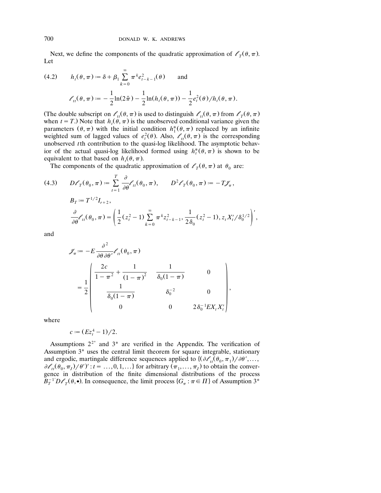Next, we define the components of the quadratic approximation of  $\ell_{\tau}(\theta, \pi)$ . Let

(4.2) 
$$
h_t(\theta, \pi) := \delta + \beta_1 \sum_{k=0}^{\infty} \pi^k e_{t-k-1}^2(\theta) \quad \text{and}
$$

$$
\ell_{tt}(\theta, \pi) := -\frac{1}{2} \ln(2\tilde{\pi}) - \frac{1}{2} \ln(h_t(\theta, \pi)) - \frac{1}{2} e_t^2(\theta) / h_t(\theta, \pi).
$$

(The double subscript on  $\ell_t(\theta, \pi)$  is used to distinguish  $\ell_t(\theta, \pi)$  from  $\ell_{\tau}(\theta, \pi)$ when  $t = T$ .) Note that  $h_t(\theta, \pi)$  is the unobserved conditional variance given the parameters  $(\theta, \pi)$  with the initial condition  $h_1^*(\theta, \pi)$  replaced by an infinite weighted sum of lagged values of  $e_i^2(\theta)$ . Also,  $\ell_{tt}(\theta, \pi)$  is the corresponding unobserved *t* th contribution to the quasi-log likelihood. The asymptotic behavior of the actual quasi-log likelihood formed using  $h^*$   $(\theta, \pi)$  is shown to be equivalent to that based on  $h_t(\theta, \pi)$ .

The components of the quadratic approximation of  $\ell_{\tau}(\theta, \pi)$  at  $\theta_0$  are:

(4.3) 
$$
D\ell_T(\theta_0, \pi) := \sum_{t=1}^T \frac{\partial}{\partial \theta} \ell_{tt}(\theta_0, \pi), \qquad D^2 \ell_T(\theta_0, \pi) := -T \mathcal{J}_{\pi},
$$

$$
B_T := T^{1/2} I_{r+2},
$$

$$
\frac{\partial}{\partial \theta} \ell_{tt}(\theta_0, \pi) = \left(\frac{1}{2}(z_t^2 - 1) \sum_{k=0}^\infty \pi^k z_{t-k-1}^2, \frac{1}{2\delta_0}(z_t^2 - 1), z_t X_t'/\delta_0^{1/2}\right)',
$$

and

$$
\mathcal{J}_{\pi} := -E \frac{\partial^2}{\partial \theta \partial \theta'} \ell_{tt}(\theta_0, \pi)
$$
  
=  $\frac{1}{2} \begin{pmatrix} \frac{2c}{1 - \pi^2} + \frac{1}{(1 - \pi)^2} & \frac{1}{\delta_0 (1 - \pi)} & 0 \\ \frac{1}{\delta_0 (1 - \pi)} & \delta_0^{-2} & 0 \\ 0 & 0 & 2 \delta_0^{-1} E X_t X_t' \end{pmatrix},$ 

where

$$
c := (E z_t^4 - 1)/2.
$$

Assumptions  $2^{2^*}$  and  $3^*$  are verified in the Appendix. The verification of Assumption 3\* uses the central limit theorem for square integrable, stationary and ergodic, martingale difference sequences applied to  $\left\{ \left( \partial \ell_{tt}(\theta_0, \pi_1) / \partial \theta', \ldots, \right) \right\}$  $\partial \ell_{tt}(\theta_0, \pi_I)/\theta'$ ':  $t = ..., 0, 1, ...$ } for arbitrary  $(\pi_1, ..., \pi_J)$  to obtain the convergence in distribution of the finite dimensional distributions of the process  $B_T^{-1}D\ell_T(\theta, \bullet)$ . In consequence, the limit process  $\{G_\pi : \pi \in \Pi\}$  of Assumption 3<sup>\*</sup>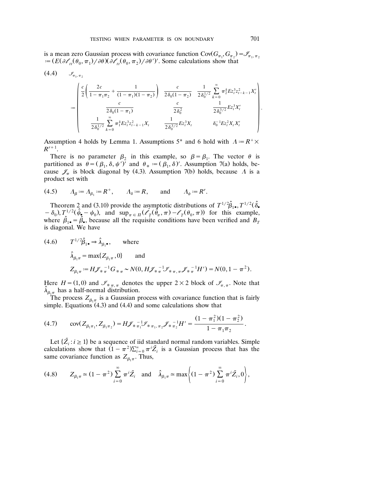is a mean zero Gaussian process with covariance function  $Cov(G_{\pi_1}, G_{\pi_2}) = \mathscr{I}_{\pi_1, \pi_2}$  $\vec{z} = (E(\partial \ell_{tt}(\theta_0, \pi_1)/\partial \theta)(\partial \ell_{tt}(\theta_0, \pi_2)/\partial \theta')'.$  Some calculations show that

$$
(4.4) \quad \mathcal{I}_{\pi_1, \pi_2}
$$
\n
$$
:=\n\begin{pmatrix}\n\frac{c}{2}\left(\frac{2c}{1-\pi_1\pi_2} + \frac{1}{(1-\pi_1)(1-\pi_2)}\right) & \frac{c}{2\delta_0(1-\pi_2)} & \frac{1}{2\delta_0^{1/2}} \sum_{k=0}^{\infty} \pi_2^k E_{\tau_1}^{3} z_{t-k-1}^2 X_t' \\
\frac{c}{2\delta_0(1-\pi_1)} & \frac{c}{2\delta_0^2} & \frac{1}{2\delta_0^{3/2}} E_{\tau_1}^{3} X_t' \\
\frac{1}{2\delta_0^{1/2}} \sum_{k=0}^{\infty} \pi_1^k E_{\tau_1}^{3} z_{t-k-1}^2 X_t & \frac{1}{2\delta_0^{3/2}} E_{\tau_1}^{3} X_t & \delta_0^{-1} E_{\tau_1}^{2} X_t X_t'\n\end{pmatrix}.
$$

Assumption 4 holds by Lemma 1. Assumptions 5<sup>\*</sup> and 6 hold with  $A = R^+ \times$  $R^{r+1}$ .

There is no parameter  $\beta_2$  in this example, so  $\beta = \beta_1$ . The vector  $\theta$  is partitioned as  $\hat{\theta} = (\beta_1, \delta, \psi')^{\dagger}$  and  $\theta_* := (\beta_1, \delta)'$ . Assumption 7(a) holds, because  $\mathscr{J}_{\pi}$  is block diagonal by (4.3). Assumption 7(b) holds, because  $\Lambda$  is a product set with

(4.5) 
$$
\Lambda_{\beta} := \Lambda_{\beta_1} := R^+, \qquad \Lambda_{\delta} := R, \qquad \text{and} \qquad \Lambda_{\psi} := R^r.
$$

Theorem 2 and (3.10) provide the asymptotic distributions of  $T^{1/2}\hat{\beta}_{1\bullet}, T^{1/2}(\hat{\delta}_{\bullet})$  $-\delta_0$ ,  $T^{1/2}(\hat{\psi}_2 - \psi_0)$ , and  $\sup_{\pi \in \Pi} (\mathscr{E}_T(\hat{\theta}_\pi, \pi) - \mathscr{E}_T(\theta_0, \pi))$  for this example, where  $\hat{\beta}_1$ ,  $=$   $\hat{\beta}_2$ , because all the requisite conditions have been verified and  $B_1$ is diagonal. We have

(4.6) 
$$
T^{1/2}\hat{\beta}_{1\bullet} \Rightarrow \hat{\lambda}_{\beta_1\bullet}
$$
, where  
\n
$$
\hat{\lambda}_{\beta_1\pi} = \max\{Z_{\beta_1\pi}, 0\} \text{ and}
$$
\n
$$
Z_{\beta_1\pi} := H\mathcal{J}_{\ast}^{-1}G_{\ast} - N(0, H\mathcal{J}_{\ast}^{-1}\mathcal{J}_{\ast}^{-1}\mathcal{J}_{\ast}^{-1}H') = N(0, 1 - \pi^2).
$$

Here  $H = (1, 0)$  and  $\mathcal{I}_{\pi, \pi}$  denotes the upper  $2 \times 2$  block of  $\mathcal{I}_{\pi, \pi}$ . Note that  $\hat{\lambda}_{\beta_1\pi}$  has a half-normal distribution.

The process  $Z_{\beta_1\pi}$  is a Gaussian process with covariance function that is fairly simple. Equations  $(4.3)$  and  $(4.4)$  and some calculations show that

$$
(4.7) \qquad \text{cov}(Z_{\beta_1\pi_1}, Z_{\beta_1\pi_2}) = H\mathcal{J}_{\ast}\,_{\pi_1}^{-1}\mathcal{J}_{\ast}\,_{\pi_1,\,\pi_2}\mathcal{J}_{\ast}\,_{\pi_2}^{-1}H' = \frac{(1-\pi_1^2)(1-\pi_2^2)}{1-\pi_1\pi_2}.
$$

Let  $\{Z_i : i \geq 1\}$  be a sequence of iid standard normal random variables. Simple calculations show that  $(1 - \pi^2) \sum_{i=0}^{\infty} \pi^i \tilde{Z}_i$  is a Gaussian process that has the same covariance function as  $Z_{\beta_1\pi}$ . Thus,

$$
(4.8) \qquad Z_{\beta_1 \pi} \simeq (1 - \pi^2) \sum_{i=0}^{\infty} \pi^i \tilde{Z}_i \quad \text{and} \quad \hat{\lambda}_{\beta_1 \pi} \simeq \max \left\{ (1 - \pi^2) \sum_{i=0}^{\infty} \pi^i \tilde{Z}_i, 0 \right\},
$$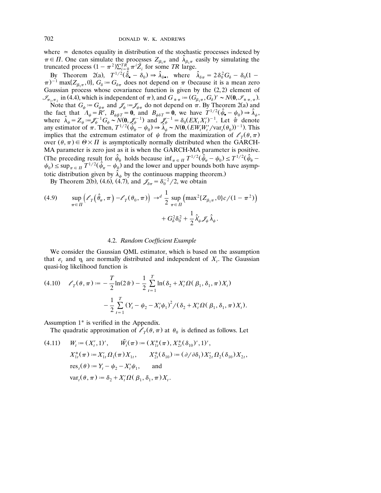where  $\approx$  denotes equality in distribution of the stochastic processes indexed by  $\pi \in \Pi$ . One can simulate the processes  $Z_{\beta_1 \pi}$  and  $\hat{\lambda}_{\beta_1 \pi}$  easily by simulating the truncated process  $(1 - \pi^2) \sum_{i=0}^{T_R} \pi^i \tilde{Z}_i$  for some *TR* large.

By Theorem 2(a),  $T^{1/2}(\hat{\delta}_{\bullet} - \delta_0) \Rightarrow \hat{\lambda}_{\delta \bullet}$ , where  $\hat{\lambda}_{\delta \pi} = 2\delta_0^2 G_{\delta} - \delta_0 (1 (\pi)^{-1}$  max $\{Z_{\beta_1\pi}, 0\}$ ,  $G_{\delta} = G_{\delta\pi}$  does not depend on  $\pi$  (because it is a mean zero Gaussian process whose covariance function is given by the  $(2, 2)$  element of

 $\mathscr{I}_{\pi_1,\pi_2}$  in (4.4), which is independent of  $\pi$ ), and  $G_*\mathfrak{g} = (G_{\beta_1\pi}, G_{\delta})' \sim N(\mathbf{0}, \mathscr{I}_{\ast,\pi,\pi})$ . Note that  $G_{\psi} = G_{\psi \pi}$  and  $\mathcal{J}_{\psi} = \mathcal{J}_{\psi \pi}$  do not depend on  $\pi$ . By Theorem 2(a) and the fact that  $A_{\psi} = R^r$ ,  $B_{\psi\beta T} = 0$ , and  $B_{\psi\delta T} = 0$ , we have  $T^{1/2}(\hat{\psi}_\bullet - \psi_0) \Rightarrow \hat{\lambda}_{\psi}$ , where  $\hat{\lambda}_{\psi} = Z_{\psi} := \mathcal{F}_{\psi}^{-1} G_{\psi} \sim N(\mathbf{0}, \mathcal{J}_{\psi}^{-1})$  and  $\mathcal{J}_{\psi}^{-1} = \delta_0 (EX_t X_t')^{-1}$ . Let  $\hat{\pi}$  denote<br>any estimator of  $\pi$ . Then,  $T^{1/2} (\hat{\psi}_{\hat{\pi}} - \psi_0) \Rightarrow \hat{\lambda}_{\psi} \sim N(\mathbf{0}, (EW_t W_t'/var_t(\theta_0))^{-1})$ . This implies that the extremum estimator of  $\psi$  from the maximization of  $\ell_{\tau}(\theta, \pi)$ over  $(\theta, \pi) \in \Theta \times \Pi$  is asymptotically normally distributed when the GARCH-MA parameter is zero just as it is when the GARCH-MA parameter is positive. (The preceding result for  $\hat{\psi}_{\hat{\pi}}$  holds because  $\inf_{\pi \in \Pi} T^{1/2}(\hat{\psi}_{\pi} - \psi_0) \leq T^{1/2}(\hat{\psi}_{\hat{\pi}} - \psi_0)$  $\psi_0$ )  $\leq$  sup<sub> $\pi \in \pi$ </sub>  $T^{1/2}(\hat{\psi}_\pi - \psi_0)$  and the lower and upper bounds both have asymptotic distribution given by  $\hat{\lambda}_{\psi}$  by the continuous mapping theorem.)

By Theorem 2(b), (4.6), (4.7), and  $\mathcal{J}_{\delta \pi} = \delta_0^{-2} / 2$ , we obtain

(4.9) 
$$
\sup_{\pi \in \Pi} \left( \ell_T(\hat{\theta}_\pi, \pi) - \ell_T(\theta_0, \pi) \right) \to^d \frac{1}{2} \sup_{\pi \in \Pi} \left( \max^2 \{ Z_{\beta_1 \pi}, 0 \} c / (1 - \pi^2) \right) + G_{\delta}^2 \delta_0^2 + \frac{1}{2} \hat{\lambda}_{\psi} Z_{\psi} \hat{\lambda}_{\psi}.
$$

## 4.2. *Random Coefficient Example*

We consider the Gaussian QML estimator, which is based on the assumption that  $\varepsilon$ , and  $\eta$ , are normally distributed and independent of  $X_t$ . The Gaussian quasi-log likelihood function is

$$
(4.10) \quad \ell_T(\theta, \pi) := -\frac{T}{2}\ln(2\tilde{\pi}) - \frac{1}{2}\sum_{t=1}^T \ln(\delta_2 + X_t'\Omega(\beta_1, \delta_1, \pi)X_t) - \frac{1}{2}\sum_{t=1}^T (Y_t - \psi_2 - X_t'\psi_1)^2 / (\delta_2 + X_t'\Omega(\beta_1, \delta_1, \pi)X_t).
$$

Assumption 1\* is verified in the Appendix.

The quadratic approximation of  $\ell_T(\theta, \pi)$  at  $\theta_0$  is defined as follows. Let

(4.11) 
$$
W_t := (X'_t, 1)', \quad \tilde{W}_t(\pi) := (X_{1t}^*(\pi), X_{2t}^*(\delta_{10})', 1)',
$$
  
\n $X_{1t}^*(\pi) := X'_{1t} \Omega_1(\pi) X_{1t}, \quad X_{2t}^*(\delta_{10}) := (\partial/\partial \delta_1) X'_{2t} \Omega_2(\delta_{10}) X_{2t},$   
\n $res_t(\theta) := Y_t - \psi_2 - X'_t \psi_1,$  and  
\n $var_t(\theta, \pi) := \delta_2 + X'_t \Omega(\beta_1, \delta_1, \pi) X_t.$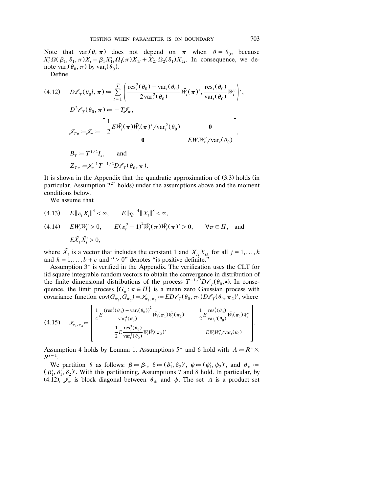Note that  $var_t(\theta, \pi)$  does not depend on  $\pi$  when  $\theta = \theta_0$ , because  $X'_t \Omega(\beta_1, \delta_1, \pi) X_t = \beta_1 X'_{1t} \Omega_1(\pi) X_{1t} + X'_{2t} \Omega_2(\delta_1) X_{2t}$ . In consequence, we denote var,  $(\theta_0, \pi)$  by var,  $(\theta_0)$ .

Define

(4.12) 
$$
D\ell_{T}(\theta_{0}l, \pi) := \sum_{t=1}^{T} \left( \frac{\text{res}_{t}^{2}(\theta_{0}) - \text{var}_{t}(\theta_{0})}{2\text{var}_{t}^{2}(\theta_{0})} \tilde{W}_{t}(\pi), \frac{\text{res}_{t}(\theta_{0})}{\text{var}_{t}(\theta_{0})} W_{t}' \right),
$$
  
\n
$$
D^{2}\ell_{T}(\theta_{0}, \pi) := -T\mathcal{J}_{\pi},
$$
  
\n
$$
\mathcal{J}_{T\pi} := \mathcal{J}_{\pi} := \left[ \frac{1}{2} E \tilde{W}_{t}(\pi) \tilde{W}_{t}(\pi)' / \text{var}_{t}^{2}(\theta_{0}) \right]
$$
  
\n
$$
\theta = E W_{t} W_{t}' / \text{var}_{t}(\theta_{0})
$$
  
\n
$$
B_{T} := T^{1/2} I_{s}, \text{ and}
$$
  
\n
$$
Z_{T\pi} := \mathcal{J}_{\pi}^{-1} T^{-1/2} D\ell_{T}(\theta_{0}, \pi).
$$

It is shown in the Appendix that the quadratic approximation of  $(3.3)$  holds  $(in)$ particular, Assumption  $2^{2^*}$  holds) under the assumptions above and the moment conditions below.

We assume that

(4.13) 
$$
E||\varepsilon_t X_t||^4 < \infty
$$
,  $E||\eta_t||^4 ||X_t||^8 < \infty$ ,  
\n(4.14)  $E W_t W_t' > 0$ ,  $E(\varepsilon_t^2 - 1)^2 \tilde{W}_t(\pi) \tilde{W}_t(\pi)' > 0$ ,  $\forall \pi \in \Pi$ , and  
\n $E \tilde{X}_t \tilde{X}_t' > 0$ ,

where  $\tilde{X}_t$  is a vector that includes the constant 1 and  $X_{tj}X_{tk}$  for all  $j=1,\ldots,k$ and  $k = 1, ..., b + c$  and " $> 0$ " denotes "is positive definite."

Assumption 3<sup>\*</sup> is verified in the Appendix. The verification uses the CLT for iid square integrable random vectors to obtain the convergence in distribution of iid square integrable random vectors to obtain the convergence in distribution of the finite dimensional distributions of the process  $T^{-1/2}D\ell_T(\theta_0, \bullet)$ . In consequence, the limit process  $\{G_{\pi} : \pi \in \Pi\}$  is a mean zero Gaussian process with covariance function  $\text{cov}(G_{\pi_1}, \tilde{G}_{\pi_2}) = \mathcal{I}_{\pi_1, \pi_2} := ED\ell_T(\theta_0, \pi_1)D\ell_T(\theta_0, \pi_2)$ , where

$$
(4.15) \quad \mathcal{I}_{\pi_1, \pi_2} := \begin{bmatrix} \frac{1}{4} E \frac{(\text{res}_t^2(\theta_0) - \text{var}_t(\theta_0))^2}{\text{var}_t^4(\theta_0)} \tilde{W}_t(\pi_1) \tilde{W}_t(\pi_2)' & \frac{1}{2} E \frac{\text{res}_t^3(\theta_0)}{\text{var}_t^3(\theta_0)} \tilde{W}_t(\pi_1) W_t' \\ \frac{1}{2} E \frac{\text{res}_t^3(\theta_0)}{\text{var}_t^3(\theta_0)} W_t \tilde{W}_t(\pi_2)' & E W_t W_t'/\text{var}_t(\theta_0) \end{bmatrix}.
$$

Assumption 4 holds by Lemma 1. Assumptions 5<sup>\*</sup> and 6 hold with  $A = R^+ \times$  $R^{s-1}$ .

We partition  $\theta$  as follows:  $\beta := \beta_1, \ \delta := (\delta'_1, \delta_2)'$ ,  $\psi := (\psi'_1, \psi_2)'$ , and  $\theta_* :=$  $(\beta'_1, \delta'_1, \delta_2)'$ . With this partitioning, Assumptions 7 and 8 hold. In particular, by (4.12),  $\mathcal{J}_{\pi}$  is block diagonal between  $\theta_*$  and  $\psi$ . The set  $\Lambda$  is a product set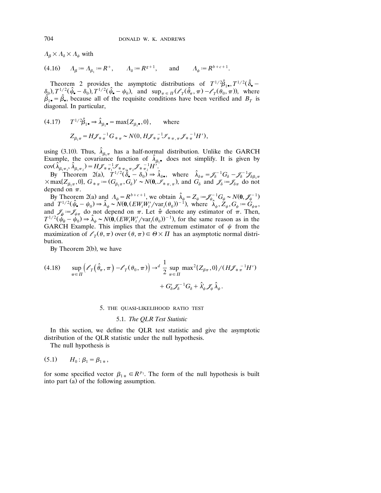$\varLambda_{\beta}\!\times\!\varLambda_{\delta}\!\times\!\varLambda_{\psi}$  with

(4.16)  $A_{\beta} := A_{\beta_1} := R^+, \qquad A_{\delta} := R^{g+1}, \qquad \text{and} \qquad A_{\psi} := R^{b+c+1}.$ 

Theorem 2 provides the asymptotic distributions of  $T^{1/2}\hat{\beta}_1$ ,  $T^{1/2}(\hat{\delta}_\bullet \delta_{0}$ ,  $T^{1/2}(\hat{\psi}_{\bullet} - \delta_{0})$ ,  $T^{1/2}(\hat{\psi}_{\bullet} - \psi_{0})$ , and  $\sup_{\pi \in \Pi} (\mathscr{E}_{T}(\hat{\theta}_{\pi}, \pi) - \mathscr{E}_{T}(\theta_{0}, \pi))$ , where  $\hat{\beta}_1$  =  $\hat{\beta}_2$ , because all of the requisite conditions have been verified and  $B_T$  is diagonal. In particular,

(4.17) 
$$
T^{1/2}\hat{\beta}_{1\bullet} \Rightarrow \hat{\lambda}_{\beta_1\bullet} = \max\{Z_{\beta_1\bullet}, 0\}, \text{ where}
$$
  

$$
Z_{\beta_1\pi} = H\mathcal{J}_{\ast\pi}^{-1}G_{\ast\pi} \sim N(0, H\mathcal{J}_{\ast\pi}^{-1}\mathcal{J}_{\ast\pi,\pi}\mathcal{J}_{\ast\pi}^{-1}H'),
$$

using (3.10). Thus,  $\hat{\lambda}_{\beta_1 \pi}$  has a half-normal distribution. Unlike the GARCH Example, the covariance function of  $\hat{\lambda}_{\beta, \bullet}$  does not simplify. It is given by

cov $(\hat{\lambda}_{\beta_1\pi_1}, \hat{\lambda}_{\beta_1\pi_2}) = H\mathcal{J}_{\ast}\pi_1 \mathcal{J}_{\ast}\pi_1 \mathcal{J}_{\ast}\pi_2 \mathcal{J}_{\ast}\pi_2 H''.$ <br>By Theorem 2(a),  $T^{1/2}(\hat{\delta}_{\bullet} - \delta_0) \Rightarrow \hat{\lambda}_{\delta \bullet}$ , where  $\hat{\lambda}_{\delta \pi} = \mathcal{J}_{\delta}^{-1}G_{\delta} - \mathcal{J}_{\delta}^{-1}\mathcal{J}_{\delta\beta_1\pi}$ <br> $\times \max\{Z_{\beta_1\pi},$ depend on  $\pi$ .

By Theorem 2(a) and  $A_{\psi} = R^{b+c+1}$ , we obtain  $\hat{\lambda}_{\psi} = Z_{\psi} = \mathcal{J}_{\psi}^{-1} G_{\psi} \sim N(0, \mathcal{J}_{\psi}^{-1})$ By Theorem 2(a) and  $\Lambda_{\psi} = R^{b+c+1}$ , we obtain  $\lambda_{\psi} = Z_{\psi} := \mathcal{J}_{\psi}^{-1} G_{\psi} \sim N(\mathbf{0}, \mathcal{J}_{\psi}^{-1})$ <br>and  $T^{1/2}(\hat{\psi}_{\bullet} - \psi_0) \Rightarrow \hat{\lambda}_{\psi} \sim N(\mathbf{0}, (EW_{t}W_{t}^{\prime}/\text{var}_{t}(\theta_0))^{-1})$ , where  $\hat{\lambda}_{\psi}, Z_{\psi}, G_{\psi} := G_{\psi\pi}$ , and  $\mathcal{J}_{\psi} := \mathcal{J}_{\psi\pi}$  do not depend on  $\pi$ . Let  $\hat{\pi}$  denote any estimator of  $\pi$ . Then,  $T^{1/2}(\psi_{\hat{\pi}} - \psi_0) \Rightarrow \hat{\lambda}_{\psi} \sim N(\mathbf{0}, (EW_t W_t'/var_t(\theta_0))^{-1})$ , for the same reason as in the GARCH Example. This implies that the extremum estimator of  $\psi$  from the maximization of  $\ell_T(\theta, \pi)$  over  $(\theta, \pi) \in \Theta \times \Pi$  has an asymptotic normal distribution.

By Theorem  $2(b)$ , we have

$$
(4.18) \quad \sup_{\pi \in \Pi} \left( \mathcal{E}_T(\hat{\theta}_\pi, \pi) - \mathcal{E}_T(\theta_0, \pi) \right) \to^d \frac{1}{2} \sup_{\pi \in \Pi} \max^2 \{ Z_{\beta \pi}, 0 \} / (H \mathcal{J}_{\pi \pi}^{-1} H') + G_{\delta}^{\prime} \mathcal{J}_{\delta}^{-1} G_{\delta} + \hat{\lambda}_{\psi}^{\prime} \mathcal{J}_{\psi} \hat{\lambda}_{\psi}.
$$

5. THE QUASI-LIKELIHOOD RATIO TEST

## 5.1. *The QLR Test Statistic*

In this section, we define the QLR test statistic and give the asymptotic distribution of the QLR statistic under the null hypothesis.

The null hypothesis is

$$
(5.1) \t H_0: \beta_1 = \beta_{1*},
$$

for some specified vector  $\beta_{1*} \in R^{p_1}$ . The form of the null hypothesis is built into part (a) of the following assumption.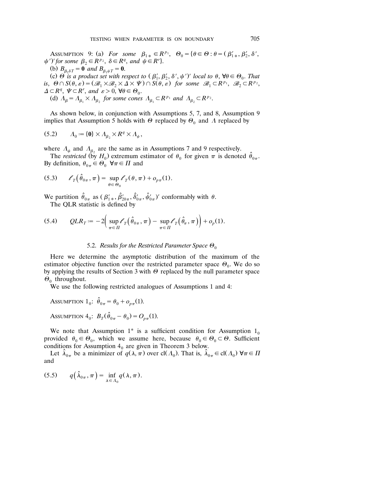ASSUMPTION 9: (a) For some  $\beta_{1*} \in R^{p_1}$ ,  $\Theta_0 = {\theta \in \Theta : \theta = (\beta'_{1*}, \beta'_2, \delta', \phi_1)}$  $\psi'$ ' for some  $\beta_2 \in R^{p_2}$ ,  $\delta \in R^q$ , and  $\psi \in R^r$ .

(b)  $B_{\beta_1 \delta T} = \mathbf{0}$  *and*  $B_{\beta_1 \psi T} = \mathbf{0}$ .

(c)  $\Theta$  is a product set with respect to  $(\beta'_1, \beta'_2, \delta', \psi')'$  local to  $\theta$ ,  $\forall \theta \in \Theta_0$ . That is,  $\Theta \cap S(\theta, \varepsilon) = (\mathcal{B}_1 \times \mathcal{B}_2 \times \Delta \times \Psi) \cap S(\theta, \varepsilon)$  for some  $\mathcal{B}_1 \subset \mathbb{R}^{p_1}, \mathcal{B}_2 \subset \mathbb{R}^{p_2}$ ,  $\Delta \subset R^q$ ,  $\Psi \subset R^r$ , and  $\varepsilon > 0$ ,  $\forall \theta \in \Theta_0$ . (d)  $A_{\beta} = A_{\beta_1} \times A_{\beta_2}$  for some cones  $A_{\beta_1} \subset R^{p_1}$  and  $A_{\beta_2} \subset R^{p_2}$ .

As shown below, in conjunction with Assumptions 5, 7, and 8, Assumption 9 implies that Assumption 5 holds with  $\Theta$  replaced by  $\Theta_0$  and  $\Lambda$  replaced by

$$
(5.2) \qquad A_0 := \{ \mathbf{0} \} \times A_{\beta_2} \times R^q \times A_{\psi},
$$

where  $\Lambda_{\psi}$  and  $\Lambda_{\beta_2}$  are the same as in Assumptions 7 and 9 respectively.

The *restricted* (by  $H_0$ ) extremum estimator of  $\theta_0$  for given  $\pi$  is denoted  $\theta_{0\pi}$ . By definition,  $\theta_{0\pi} \in \Theta_0^{\sigma}$   $\forall \pi \in \Pi$  and

(5.3) 
$$
\ell_T(\hat{\theta}_{0\pi}, \pi) = \sup_{\theta \in \Theta_0} \ell_T(\theta, \pi) + o_{p\pi}(1).
$$

We partition  $\hat{\theta}_{0\pi}$  as  $(\beta'_{1*}, \hat{\beta}'_{20\pi}, \hat{\delta}'_{0\pi}, \hat{\psi}'_{0\pi})'$  conformably with  $\theta$ . The QLR statistic is defined by

$$
(5.4) \qquad QLR_T := -2\Big(\sup_{\pi \in \Pi} \ell_T(\hat{\theta}_{0\pi}, \pi) - \sup_{\pi \in \Pi} \ell_T(\hat{\theta}_{\pi}, \pi)\Big) + o_p(1).
$$

## 5.2. *Results for the Restricted Parameter Space*  $\Theta_0$

Here we determine the asymptotic distribution of the maximum of the estimator objective function over the restricted parameter space  $\Theta_0$ . We do so by applying the results of Section 3 with  $\Theta$  replaced by the null parameter space  $\Theta_0$  throughout.

We use the following restricted analogues of Assumptions 1 and 4:

ASSUMPTION  $1_0$ :  $\hat{\theta}_{0\pi} = \theta_0 + o_{n\pi}(1)$ .

ASSUMPTION  $4_0$ :  $B_T(\hat{\theta}_{0\pi} - \theta_0) = O_{n\pi}(1)$ .

We note that Assumption 1<sup>\*</sup> is a sufficient condition for Assumption  $1_0$ provided  $\theta_0 \in \Theta_0$ , which we assume here, because  $\theta_0 \in \Theta_0 \subset \Theta$ . Sufficient conditions for Assumption  $4<sub>0</sub>$  are given in Theorem 3 below.

Let  $\hat{\lambda}_{0\pi}$  be a minimizer of  $q(\lambda, \pi)$  over cl( $\Lambda_0$ ). That is,  $\hat{\lambda}_{0\pi} \in \text{cl}(\Lambda_0)$   $\forall \pi \in \Pi$ and

$$
(5.5) \tq(\hat{\lambda}_{0\pi}, \pi) = \inf_{\lambda \in \Lambda_0} q(\lambda, \pi).
$$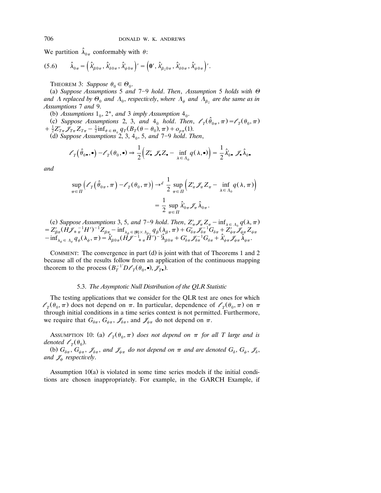We partition  $\hat{\lambda}_{0\pi}$  conformably with  $\theta$ :

$$
(5.6) \qquad \hat{\lambda}_{0\pi} = \left(\hat{\lambda}_{\beta 0 \pi}, \hat{\lambda}_{\delta 0 \pi}, \hat{\lambda}_{\psi 0 \pi}'\right)' = \left(\mathbf{0}', \hat{\lambda}_{\beta_2 0 \pi}, \hat{\lambda}_{\delta 0 \pi}, \hat{\lambda}_{\psi 0 \pi}'\right)'.
$$

THEOREM 3: Suppose  $\theta_0 \in \Theta_0$ .

(a) Suppose Assumptions 5 and  $7-9$  hold. Then, Assumption 5 holds with  $\Theta$ and  $\Lambda$  replaced by  $\Theta_0$  and  $\Lambda_0$ , respectively, where  $\Lambda_{\psi}$  and  $\bar{\Lambda}_{\beta_2}$  are the same as in *Assumptions* 7 *and* 9.

(b) Assumptions  $1_0$ ,  $2^*$ , and 3 *imply Assumption*  $4_0$ .

(c) Suppose Assumptions 2, 3, and  $4_0$  hold. Then,  $\ell_{\tau}(\hat{\theta}_{0\pi}, \pi) = \ell_{\tau}(\theta_0, \pi)$  $\frac{1}{2}Z'_{T\pi}\mathscr{J}_{T\pi}Z_{T\pi} - \frac{1}{2}\inf_{\theta \in \Theta_0} q_T(B_T(\theta - \theta_0), \pi) + o_{p\pi}(1).$ <br>
(d) Suppose Assumptions 2, 3, 4<sub>0</sub>, 5, *and* 7–9 *hold*. *Then*,

$$
\mathscr{E}_T(\hat{\theta}_0,\bullet)-\mathscr{E}_T(\theta_0,\bullet) \Rightarrow \frac{1}{2}\Big(Z'_\bullet \mathscr{J}_\bullet Z_\bullet-\inf_{\lambda\in\Lambda_0}q(\lambda,\bullet)\Big)=\frac{1}{2}\hat{\lambda}_0'\bullet \mathscr{J}_\bullet \hat{\lambda}_0.
$$

*and*

$$
\sup_{\pi \in \Pi} \left( \ell_T(\hat{\theta}_{0\pi}, \pi) - \ell_T(\theta_0, \pi) \right) \to^d \frac{1}{2} \sup_{\pi \in \Pi} \left( Z'_\pi \mathcal{J}_\pi Z_\pi - \inf_{\lambda \in \Lambda_0} q(\lambda, \pi) \right)
$$

$$
= \frac{1}{2} \sup_{\pi \in \Pi} \hat{\lambda}'_{0\pi} \mathcal{J}_\pi \hat{\lambda}_{0\pi}.
$$

(e) Suppose Assumptions 3, 5, and 7-9 hold. Then,  $Z'_\pi \mathscr{J}_\pi Z_\pi - \inf_{\lambda \in \Lambda_0} q(\lambda, \pi)$ (e) Suppose Assumptions 3, 5, and 7-9 hold. Then,  $Z'_\pi \mathscr{J}_\pi Z_\pi - \inf_{\lambda \in \Lambda_0} q(\lambda, \pi)$ <br>=  $Z'_{\beta\pi} (H \mathscr{J}_{\ast} \pi^{\{-1}} H')^{-1} Z_{\beta\pi} - \inf_{\lambda_\beta \in \{0\} \times \Lambda_{\beta_2}} q_\beta(\lambda_\beta, \pi) + G'_{\delta\pi} \mathscr{J}_{\delta\pi}^{-1} G_{\delta\pi} + Z'_{\psi\pi} \mathscr{J}_{\psi\pi} Z_{\psi\pi$ 

COMMENT: The convergence in part  $(d)$  is joint with that of Theorems 1 and 2 because all of the results follow from an application of the continuous mapping theorem to the process  $(B_T^{-1}D\ell_T(\theta_0, \bullet), \mathcal{J}_T, \bullet)$ .

### 5.3. *The Asymptotic Null Distribution of the QLR Statistic*

The testing applications that we consider for the QLR test are ones for which  $l_{\tau}(\theta_0, \pi)$  does not depend on  $\pi$ . In particular, dependence of  $l_{\tau}(\theta_0, \pi)$  on  $\pi$ through initial conditions in a time series context is not permitted. Furthermore, we require that  $G_{\delta \pi}$ ,  $G_{\psi \pi}$ ,  $\mathscr{J}_{\delta \pi}$ , and  $\mathscr{J}_{\psi \pi}$  do not depend on  $\pi$ .

ASSUMPTION 10: (a)  $\ell_{\tau}(\theta_0, \pi)$  does not depend on  $\pi$  for all T large and is *denoted*  $\ell_{\tau}(\theta_0)$ .

(b)  $G_{\delta\pi}$ ,  $G_{\psi\pi}$ ,  $\mathscr{I}_{\delta\pi}$ , and  $\mathscr{I}_{\psi\pi}$  do not depend on  $\pi$  and are denoted  $G_{\delta}$ ,  $G_{\psi}$ ,  $\mathscr{I}_{\delta}$ , *and*  $\mathcal{J}_{\psi}$  *respectively.* 

Assumption  $10(a)$  is violated in some time series models if the initial conditions are chosen inappropriately. For example, in the GARCH Example, if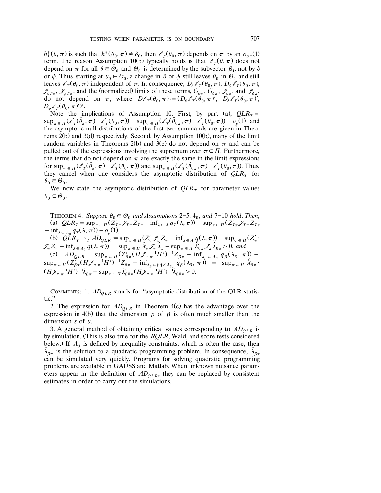$h_1^*(\theta, \pi)$  is such that  $h_1^*(\theta_0, \pi) \neq \delta_0$ , then  $\ell_T(\theta_0, \pi)$  depends on  $\pi$  by an  $o_{p\pi}(1)$ term. The reason Assumption 10(b) typically holds is that  $\ell_T(\theta, \pi)$  does not depend on  $\pi$  for all  $\theta \in \hat{\Theta}_0$  and  $\Theta_0$  is determined by the subvector  $\beta_1$ , not by  $\delta$ or  $\psi$ . Thus, starting at  $\theta_0 \in \Theta_0$ , a change in  $\delta$  or  $\psi$  still leaves  $\theta_0$  in  $\Theta_0$  and still leaves  $\ell_T(\theta_0, \pi)$  independent of  $\pi$ . In consequence,  $D_\delta \ell_T(\theta_0, \pi)$ ,  $D_\psi \ell_T(\theta_0, \pi)$ ,  $\mathscr{J}_{\delta T_{\pi}}, \mathscr{J}_{\psi T_{\pi}}$ , and the (normalized) limits of these terms,  $G_{\delta \pi}, G_{\psi \pi}, \mathscr{J}_{\delta \pi}$ , and  $\mathscr{J}_{\psi \pi}$ , do not depend on  $\pi$ , where  $D\ell_T(\theta_0, \pi) := (D_\beta \ell_T(\theta_0, \pi)^\prime, D_\delta \ell_T(\theta_0, \pi)^\prime$ ,  $D_{\psi} \mathscr{O}_T(\theta_0, \pi)$ ')'.

Note the implications of Assumption 10. First, by part (a),  $QLR_T =$  $\sup_{\pi \in \Pi} (\ell_{T}(\hat{\theta}_{\pi}, \pi) - \ell_{T}(\theta_{0}, \pi)) - \sup_{\pi \in \Pi} (\ell_{T}(\hat{\theta}_{0\pi}, \pi) - \ell_{T}(\theta_{0}, \pi)) + o_{p}(1)$  and the asymptotic null distributions of the first two summands are given in Theorems  $2(b)$  and  $3(d)$  respectively. Second, by Assumption 10(b), many of the limit random variables in Theorems 2(b) and 3(e) do not depend on  $\pi$  and can be pulled out of the expressions involving the supremum over  $\pi \in \Pi$ . Furthermore, the terms that do not depend on  $\pi$  are exactly the same in the limit expressions for  $\sup_{\pi \in \Pi} (\mathscr{E}_T(\hat{\theta}_\pi, \pi) - \mathscr{E}_T(\theta_0, \pi))$  and  $\sup_{\pi \in \Pi} (\mathscr{E}_T(\hat{\theta}_{0\pi}, \pi) - \mathscr{E}_T(\theta_0, \pi))$ . Thus, they cancel when one considers the asymptotic distribution of  $QLR<sub>T</sub>$  for  $\dot{\theta}_0 \in \Theta_0.$ 

We now state the asymptotic distribution of  $QLR<sub>T</sub>$  for parameter values  $\theta_0 \in \Theta_0.$ 

THEOREM 4: Suppose  $\theta_0 \in \Theta_0$  and Assumptions 2–5, 4<sub>0</sub>, and 7–10 hold. Then, (a)  $QLR_T = \sup_{\pi \in \Pi} (\mathbb{Z}_{T_{\pi}}' \mathbb{Z}_{T_{\pi}}' \mathbb{Z}_{T_{\pi}} - \inf_{\lambda \in \Lambda} q_T(\lambda, \pi)) - \sup_{\pi \in \Pi} (\mathbb{Z}_{T_{\pi}}' \mathbb{Z}_{T_{\pi}} \mathbb{Z}_{T_{\pi}})$  $\int -\inf_{\lambda \in \Lambda_0} q_T(\lambda, \pi) dx \to o_n(1),$ (b)  $QLR_T \rightarrow_d AD_{QLR} := \sup_{\pi \in \Pi} (Z'_\pi \mathcal{J}_\pi Z_\pi - \inf_{\lambda \in \Lambda} q(\lambda, \pi)) - \sup_{\pi \in \Pi} (Z'_\pi)$  $\mathscr{F}_{\pi}Z_{\pi}-\inf_{\lambda \in \Lambda_0} q(\lambda, \overline{n})) = \sup_{\pi \in \Pi} \hat{\lambda}'_{\pi} \mathscr{F}_{\pi} \hat{\lambda}_{\pi}-\sup_{\pi \in \Pi} \hat{\lambda}'_{0\pi} \mathscr{F}_{\pi} \hat{\lambda}_{0\pi} \geq 0$ , and (c)  $AD_{QLR} = \sup_{\pi \in \Pi} (Z_{\beta\pi}^{\prime} (H\mathcal{J}_{\pi}^{-1}H^{\prime})^{-1}Z_{\beta\pi} - \inf_{\lambda_{\beta} \in \Lambda_{\beta}} q_{\beta} (\lambda_{\beta}$ (c)  $AD_{QLR} = \sup_{\pi \in \Pi} (\overline{Z}_{\beta\pi}^{\prime} (H\mathcal{J}_{\ast} \pi^{-1}H^{\prime})^{-1} \overline{Z}_{\beta\pi} - \inf_{\lambda_{\beta} \in \Lambda_{\beta}} q_{\beta}(\lambda_{\beta}, \pi)) - \sup_{\pi \in \Pi} (\overline{Z}_{\beta\pi}^{\prime} (H\mathcal{J}_{\ast} \pi^{-1}H^{\prime})^{-1} \overline{Z}_{\beta\pi} - \inf_{\lambda_{\beta} \in \{0\} \times \Lambda_{\beta_{2}}} q_{\beta}(\lambda_{\beta}, \pi)) = \sup_{\pi \in \Pi} \hat{\lambda}_{$  $(H\!\mathscr{J}_\ast{}^{-1}_\pi H')^{-1}\hat{\lambda}_{\beta\pi} - \sup_{\pi \in \Pi} \hat{\lambda}'_{\beta 0\pi} (H\!\mathscr{J}_\ast{}^{-1}_\pi H')^{-1}\hat{\lambda}_{\beta 0\pi} \geq 0.$ 

COMMENTS: 1.  $AD_{OLR}$  stands for "asymptotic distribution of the QLR statistic.''

2. The expression for  $AD<sub>OLR</sub>$  in Theorem 4(c) has the advantage over the expression in 4(b) that the dimension p of  $\beta$  is often much smaller than the dimension  $s$  of  $\theta$ .

3. A general method of obtaining critical values corresponding to  $AD<sub>OLR</sub>$  is by simulation. (This is also true for the *RQLR*, Wald, and score tests considered below.) If  $A_\beta$  is defined by inequality constraints, which is often the case, then  $\hat{\lambda}_{\beta\pi}$  is the solution to a quadratic programming problem. In consequence,  $\hat{\lambda}_{\beta\pi}$ can be simulated very quickly. Programs for solving quadratic programming problems are available in GAUSS and Matlab. When unknown nuisance parameters appear in the definition of  $AD<sub>OLR</sub>$ , they can be replaced by consistent estimates in order to carry out the simulations.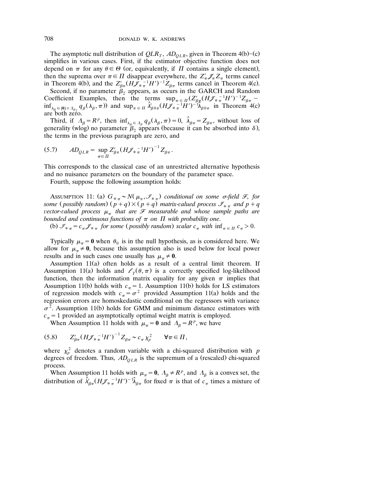The asymptotic null distribution of  $QLR_T$ ,  $AD_{OLR}$ , given in Theorem 4(b)–(c) simplifies in various cases. First, if the estimator objective function does not depend on  $\pi$  for any  $\theta \in \Theta$  (or, equivalently, if  $\Pi$  contains a single element), then the suprema over  $\pi \in \Pi$  disappear everywhere, the  $Z'_\pi \mathscr{J}_\pi Z_\pi$  terms cancel in Theorem 4(b), and the  $Z'_{\beta\pi} (H \tilde{\mathscr{J}}_{\pi}^{-1} H')^{-1} Z_{\beta\pi}$  terms cancel in Theorem 4(c).<br>Second, if no parameter  $\beta_2$  appears, as occurs in the GARCH and Random

Coefficient Examples, then the terms  $\sup_{\pi \in \Pi} (Z_{\beta\pi}^{\prime} (H\mathcal{J}_{\ast}^{-1}H^{\prime})^{-1}Z_{\beta\pi}$  –  $\inf_{\lambda_{\beta} \in \{0\} \times \Lambda_{\beta_2} q_{\beta}(\lambda_{\beta}, \pi) \text{ and } \sup_{\pi \in \Pi} \hat{\lambda}'_{\beta 0 \pi}(H \hat{\mathcal{J}}_{\hat{\pi}} \hat{\pi}^{\top} H')^{-1} \hat{\lambda}_{\beta 0 \pi} \text{ in Theorem 4(c)}$ <br>are both zero.

Third, if  $\Lambda_{\beta} = R^p$ , then  $\inf_{\lambda_{\beta} \in \Lambda_{\beta}} q_{\beta}(\lambda_{\beta}, \pi) = 0$ ,  $\hat{\lambda}_{\beta\pi} = Z_{\beta\pi}$ , without loss of generality (wlog) no parameter  $\beta_2$  appears (because it can be absorbed into  $\delta$ ), the terms in the previous paragraph are zero, and

(5.7) 
$$
AD_{QLR} = \sup_{\pi \in \Pi} Z_{\beta\pi}' (H \mathcal{J}_{* \pi}^{-1} H')^{-1} Z_{\beta\pi}.
$$

This corresponds to the classical case of an unrestricted alternative hypothesis and no nuisance parameters on the boundary of the parameter space.

Fourth, suppose the following assumption holds:

Assumption 11: (a)  $G_{*_{\pi}} \sim N(\mu_{\pi}, \mathscr{I}_{*_{\pi}})$  conditional on some  $\sigma$ -field  $\mathscr{F}$ , for *some* (*possibly random*)  $(p+q) \times (p+q)$  *matrix-valued process*  $\mathcal{I}_{\ast_{\pi}}$  *and*  $p+q$ *vector-valued process*  $\mu_{\pi}$  *that are*  $\mathcal{F}$  *measurable and whose sample paths are bounded and continuous functions of*  $\pi$  *on*  $\Pi$  *with probability one.* 

(b)  $\mathcal{I}_{\ast \pi} = c_{\pi} \mathcal{I}_{\ast \pi}$  for some (possibly random) scalar  $c_{\pi}$  with  $\inf_{\pi \in \Pi} c_{\pi} > 0$ .

Typically  $\mu_{\pi} = \mathbf{0}$  when  $\theta_0$  is in the null hypothesis, as is considered here. We allow for  $\mu_{\pi} \neq 0$ , because this assumption also is used below for local power results and in such cases one usually has  $\mu_{\pi} \neq 0$ .

Assumption  $11(a)$  often holds as a result of a central limit theorem. If Assumption 11(a) holds and  $\ell_T(\theta, \pi)$  is a correctly specified log-likelihood function, then the information matrix equality for any given  $\pi$  implies that Assumption 11(b) holds with  $c_{\pi} = 1$ . Assumption 11(b) holds for LS estimators of regression models with  $c_{\pi} = \sigma^2$  provided Assumption 11(a) holds and the regression errors are homoskedastic conditional on the regressors with variance  $\sigma^2$ . Assumption 11(b) holds for GMM and minimum distance estimators with  $c_{\pi}$  = 1 provided an asymptotically optimal weight matrix is employed.

When Assumption 11 holds with  $\mu_{\pi} = 0$  and  $\Lambda_{\beta} = R^p$ , we have

$$
(5.8) \t Z'_{\beta\pi} (H \mathcal{J}_{\pi}{}^{-1} H')^{-1} Z_{\beta\pi} \sim c_{\pi} \chi_p^2 \t \forall \pi \in \Pi,
$$

where  $\chi_p^2$  denotes a random variable with a chi-squared distribution with *p* degrees of freedom. Thus,  $AD_{QLR}$  is the supremum of a (rescaled) chi-squared process.

When Assumption 11 holds with  $\mu_{\pi} = 0$ ,  $\Lambda_{\beta} \neq R^p$ , and  $\Lambda_{\beta}$  is a convex set, the distribution of  $\hat{\lambda}'_{\beta\pi} (H \mathscr{J}_{\pi}^{-1} H')^{-1} \hat{\lambda}_{\beta\pi}$  for fixed  $\pi$  is that of  $c_{\pi}$  times a mixture of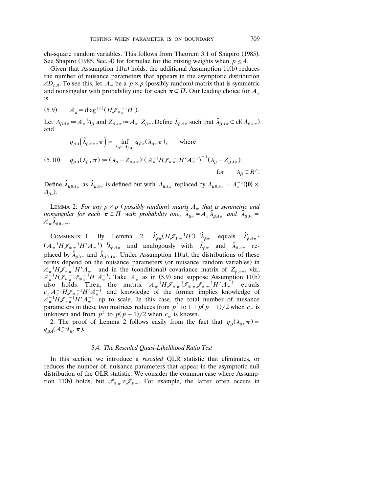chi-square random variables. This follows from Theorem 3.1 of Shapiro (1985). See Shapiro (1985, Sec. 4) for formulae for the mixing weights when  $p \le 4$ .

Given that Assumption  $11(a)$  holds, the additional Assumption  $11(b)$  reduces the number of nuisance parameters that appears in the asymptotic distribution *AD*<sub>LR</sub>. To see this, let  $A_{\pi}$  be a  $p \times p$  (possibly random) matrix that is symmetric and nonsingular with probability one for each  $\pi \in \Pi$ . Our leading choice for  $A_{\pi}$ is

 $(A_{\pi} = \text{diag}^{1/2} (H \mathcal{J}_{*}^{-1} H')$ .

Let  $\Lambda_{\beta A\pi} := A_{\pi}^{-1} \Lambda_{\beta}$  and  $Z_{\beta A\pi} := A_{\pi}^{-1} Z_{\beta\pi}$ . Define  $\hat{\lambda}_{\beta A\pi}$  such that  $\hat{\lambda}_{\beta A\pi} \in \text{cl}(\Lambda_{\beta A\pi})$ and

$$
q_{\beta A}(\hat{\lambda}_{\beta A \pi}, \pi) = \inf_{\lambda_{\beta} \in \Lambda_{\beta A \pi}} q_{\beta A}(\lambda_{\beta}, \pi), \quad \text{where}
$$

(5.10) 
$$
q_{\beta A}(\lambda_{\beta}, \pi) := (\lambda_{\beta} - Z_{\beta A \pi})' (A_{\pi}^{-1} H \mathcal{J}_{\pi}^{-1} H' A_{\pi}^{-1})^{-1} (\lambda_{\beta} - Z_{\beta A \pi})
$$
  
for  $\lambda_{\beta} \in R^p$ .

Define  $\hat{\lambda}_{\beta 0 A \pi}$  as  $\hat{\lambda}_{\beta A \pi}$  is defined but with  $\Lambda_{\beta A \pi}$  replaced by  $\Lambda_{\beta 0 A \pi} := A_{\pi}^{-1}(\{0\}) \times$  $\varLambda_{\beta_2}$ ).

LEMMA 2: For any  $p \times p$  (possibly random) matrix  $A_{\pi}$  that is symmetric and *nonsingular for each*  $\pi \in \Pi$  with probability one,  $\hat{\lambda}_{\beta\pi} = A_{\pi} \hat{\lambda}_{\beta A \pi}$  and  $\hat{\lambda}_{\beta 0 \pi} =$  $A_{\pi}$  $\hat{\lambda}_{\beta}$ <sub>0 $A$  $\pi$ </sub>.

COMMENTS: 1. By Lemma 2,  $\hat{\lambda}'_{\beta\pi} (H \mathcal{J}_{*}^{-1} H')^{-1} \hat{\lambda}_{\beta\pi}$  equals  $\hat{\lambda}'_{\beta A \pi}$ .  $(A_{\pi}^{-1}H\mathscr{J}_{*}\pi^{-1}H'A_{\pi}^{-1})^{-1}\hat{\lambda}_{\beta A\pi}$  and analogously with  $\hat{\lambda}_{\beta\pi}$  and  $\hat{\lambda}_{\beta A\pi}$  replaced by  $\hat{\lambda}_{\beta 0 \pi}$  and  $\hat{\lambda}_{\beta 0 A \pi}$ . Under Assumption 11(a), the distributions of these terms depend on the nuisance parameters (or nuisance random variables) in  $A_{\pi}^{-1}H\mathscr{J}_{\pi}^{-1}H'A_{\pi}^{-1}$  and in the (conditional) covariance matrix of  $Z_{\beta A\pi}$ , viz.,  $A_{\pi}^{-1} H \mathscr{J}_{\pi} \pi^{-1} H' A_{\pi}^{-1}$  and in the (conditional) covariance matrix of  $\mathcal{L}_{\beta A_{\pi}}^{\beta}$ , viz.,  $A_{\pi}^{-1} H \mathscr{J}_{\pi} \pi^{-1} H' A_{\pi}^{-1}$ . Take  $A_{\pi}$  as in (5.9) and suppose Assumption 11(b) also holds. Then, the matrix  $A_{\pi}^{-1}H\mathscr{J}_{\pi}^{-1}\mathscr{J}_{\pi}^{-1}\mathscr{J}_{\pi}^{-1}H'A_{\pi}^{-1}$  equals  $c_{\pi} A_{\pi}^{-1} H \mathscr{J}_{\pi}^{-1} H' A_{\pi}^{-1}$  and knowledge of the former implies knowledge of  $A_{\pi}^{-1}H\mathscr{J}_{\pi}^{-1}H'A_{\pi}^{-1}$  up to scale. In this case, the total number of nuisance parameters in these two matrices reduces from  $p^2$  to  $1 + p(p - 1)/2$  when  $c_{\pi}$  is unknown and from  $p^2$  to  $p(p-1)/2$  when  $c_{\pi}$  is known.

2. The proof of Lemma 2 follows easily from the fact that  $q_\beta(\lambda_\beta, \pi) =$  $q_{\beta A}(A_{\pi}^{-1}\lambda_{\beta}, \pi).$ 

#### 5.4. *The Rescaled Quasi*-*Likelihood Ratio Test*

In this section, we introduce a *rescaled* QLR statistic that eliminates, or reduces the number of, nuisance parameters that appear in the asymptotic null distribution of the QLR statistic. We consider the common case where Assumption 11(b) holds, but  $\mathcal{I}_{\pi\pi} \neq \mathcal{J}_{\pi\pi}$ . For example, the latter often occurs in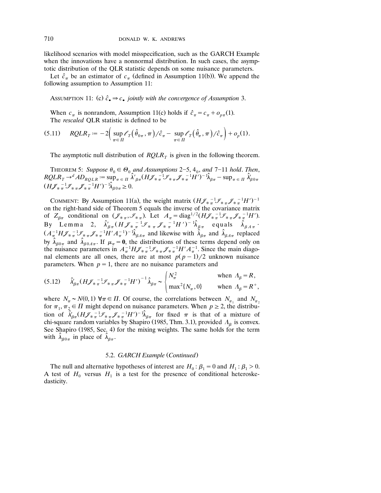likelihood scenarios with model misspecification, such as the GARCH Example when the innovations have a nonnormal distribution. In such cases, the asymptotic distribution of the QLR statistic depends on some nuisance parameters.

Let  $\hat{c}_{\pi}$  be an estimator of  $c_{\pi}$  (defined in Assumption 11(b)). We append the following assumption to Assumption 11:

Assumption 11: (c)  $\hat{c}_\bullet \Rightarrow c_\bullet$  *jointly with the convergence of Assumption* 3.

When  $c_{\pi}$  is nonrandom, Assumption 11(c) holds if  $\hat{c}_{\pi} = c_{\pi} + o_{n\pi}(1)$ . The *rescaled* QLR statistic is defined to be

$$
(5.11) \qquad RQLR_T := -2\Big(\sup_{\pi \in \Pi} \ell_T(\hat{\theta}_{0\pi}, \pi)/\hat{c}_{\pi} - \sup_{\pi \in \Pi} \ell_T(\hat{\theta}_{\pi}, \pi)/\hat{c}_{\pi}\Big) + o_p(1).
$$

The asymptotic null distribution of  $RQLR<sub>T</sub>$  is given in the following theorem.

THEOREM 5: Suppose  $\theta_0 \in \Theta_0$  and Assumptions 2–5, 4<sub>0</sub>, and 7–11 hold. Then,  $RQLR_T \rightarrow dAD_{RQLR} := \sup_{\pi \in \Pi} \hat{\lambda}'_{\beta\pi} (H\mathcal{J}_{\pi}^{-1}\mathcal{J}_{\pi} \mathcal{J}_{\pi}^{-1}H')^{-1}\hat{\lambda}_{\beta\pi} - \sup_{\pi \in \Pi} \hat{\lambda}'_{\beta0\pi}$  $(H\mathscr{J}_{\tilde{\ast}\pi}^{-1}\mathscr{J}_{\tilde{\ast}\pi}\mathscr{J}_{\tilde{\ast}\pi}^{-1}H')^{-1}\hat{\lambda}_{\beta 0\pi}\geq 0.$ 

COMMENT: By Assumption 11(a), the weight matrix  $(HJ_{\pi\pi}^{-1}J_{\pi\pi}J_{\pi}^{-1}H')^{-1}$ on the right-hand side of Theorem 5 equals the inverse of the covariance matrix of  $Z_{\beta\pi}$  conditional on  $(\mathcal{J}_{\pi\pi}, \mathcal{J}_{\pi\pi})$ . Let  $A_{\pi} = \text{diag}^{1/2}(H\mathcal{J}_{\pi\pi}^{-1}\mathcal{J}_{\pi\pi}\mathcal{J}_{\pi\pi}^{-1}H')$ .<br>By Lemma 2,  $\hat{\lambda}'_{\beta\pi}(H\mathcal{J}_{\pi\pi}^{-1}\mathcal{J}_{\pi\pi}\mathcal{J}_{\pi\pi}^{-1}H')^{-1}\hat{\lambda}_{\beta\pi}$  equals  $\hat{\lambda}_{\beta A\pi}$ .  $(A_{\pi}^{-1}H\mathcal{J}_{\pi}^{-1}\mathcal{J}_{\pi}^{-1}\mathcal{J}_{\pi}^{-1}H'A_{\pi}^{-1})^{-1}\hat{\lambda}_{\beta A\pi}$  and likewise with  $\hat{\lambda}_{\beta\pi}$  and  $\hat{\lambda}_{\beta A\pi}$  replaced by  $\hat{\lambda}_{\beta 0 \pi}$  and  $\hat{\lambda}_{\beta 0 A \pi}$ . If  $\mu_{\pi} = 0$ , the distributions of these terms depend only on the nuisance parameters in  $A_{\pi}^{-1}H\mathscr{J}_{\pi}^{-1}\mathscr{J}_{\pi}^{-1}\mathscr{J}_{\pi}^{-1}H'A_{\pi}^{-1}$ . Since the main diagonal elements are all ones, there are at most  $p(p-1)/2$  unknown nuisance parameters. When  $p=1$ , there are no nuisance parameters and

$$
(5.12) \qquad \hat{\lambda}'_{\beta\pi} (H\mathcal{J}_{\ast\pi}^{-1}\mathcal{J}_{\ast\pi}\mathcal{J}_{\ast\pi}^{-1}H')^{-1}\hat{\lambda}_{\beta\pi} \sim \begin{cases} N_{\pi}^2 & \text{when } \Lambda_{\beta} = R, \\ \max^2\{N_{\pi}, 0\} & \text{when } \Lambda_{\beta} = R^+, \end{cases}
$$

where  $N_{\pi} \sim N(0, 1)$   $\forall \pi \in \Pi$ . Of course, the correlations between  $N_{\pi_1}$  and  $N_{\pi_2}$ for  $\pi_1$ ,  $\pi_2 \in \Pi$  might depend on nuisance parameters. When  $p \geq 2$ , the distribution of  $\hat{\lambda}'_{\beta\pi} (H\mathscr{J}_{\pi}^{-1}\mathscr{J}_{\pi}^{-1}\mathscr{J}_{\pi}^{-1}H')^{-1}\hat{\lambda}_{\beta\pi}$  for fixed  $\pi$  is that of a mixture of chi-square random variables by Shapiro (1985, Thm. 3.1), provided  $\Lambda_{\beta}$  is convex. See Shapiro (1985, Sec. 4) for the mixing weights. The same holds for the term with  $\hat{\lambda}_{\beta 0 \pi}$  in place of  $\hat{\lambda}_{\beta \pi}$ .

#### 5.2. *GARCH Example* (*Continued*)

The null and alternative hypotheses of interest are  $H_0: \beta_1 = 0$  and  $H_1: \beta_1 > 0$ . A test of  $H_0$  versus  $H_1$  is a test for the presence of conditional heteroskedasticity.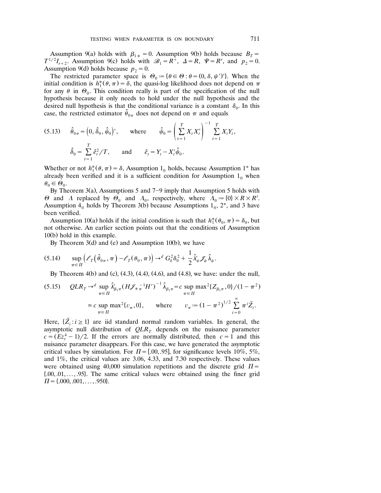Assumption 9(a) holds with  $\beta_{1*} = 0$ . Assumption 9(b) holds because  $B_T =$  $T^{1/2}I_{r+2}$ . Assumption 9(c) holds with  $\mathcal{B}_1 = R^{\dagger}$ ,  $\Delta = R$ ,  $\Psi = R^r$ , and  $p_2 = 0$ . Assumption 9(d) holds because  $p_2 = 0$ .

The restricted parameter space is  $\Theta_0 := {\theta \in \Theta : \theta = (0, \delta, \psi')}.$  When the initial condition is  $h_1^*(\theta, \pi) = \delta$ , the quasi-log likelihood does not depend on  $\pi$ for any  $\theta$  in  $\Theta_0$ . This condition really is part of the specification of the null hypothesis because it only needs to hold under the null hypothesis and the desired null hypothesis is that the conditional variance is a constant  $\delta_0$ . In this case, the restricted estimator  $\hat{\theta}_{0\pi}$  does not depend on  $\pi$  and equals

(5.13) 
$$
\hat{\theta}_{0\pi} = (0, \hat{\delta}_0, \hat{\psi}_0)'
$$
, where  $\hat{\psi}_0 = \left(\sum_{t=1}^T X_t X_t'\right)^{-1} \sum_{t=1}^T X_t Y_t$ ,  
 $\hat{\delta}_0 = \sum_{t=1}^T \hat{e}_t^2 / T$ , and  $\hat{e}_t = Y_t - X_t' \hat{\psi}_0$ .

Whether or not  $h_1^*(\theta, \pi) = \delta$ , Assumption 1<sub>0</sub> holds, because Assumption 1<sup>\*</sup> has already been verified and it is a sufficient condition for Assumption  $1<sub>0</sub>$  when  $\theta_0 \in \dot{\Theta}_0.$ 

By Theorem 3(a), Assumptions 5 and 7-9 imply that Assumption 5 holds with  $\Theta$  and  $\Lambda$  replaced by  $\Theta_0$  and  $\Lambda_0$ , respectively, where  $\Lambda_0 := \{0\} \times R \times R^r$ . Assumption  $4<sub>0</sub>$  holds by Theorem 3(b) because Assumptions  $1<sub>0</sub>$ ,  $2<sup>*</sup>$ , and 3 have been verified.

Assumption 10(a) holds if the initial condition is such that  $h_1^*(\theta_0, \pi) = \delta_0$ , but not otherwise. An earlier section points out that the conditions of Assumption  $10(b)$  hold in this example.

By Theorem 3(d) and (e) and Assumption 10(b), we have

$$
(5.14) \quad \sup_{\pi \in \Pi} \left( \mathcal{E}_T \left( \hat{\theta}_{0\pi}, \pi \right) - \mathcal{E}_T \left( \theta_0, \pi \right) \right) \to^d G_{\delta}^2 \delta_0^2 + \frac{1}{2} \hat{\lambda}'_{\psi} \mathcal{J}_{\psi} \hat{\lambda}_{\psi}.
$$

By Theorem 4(b) and (c),  $(4.3)$ ,  $(4.4)$ ,  $(4.6)$ , and  $(4.8)$ , we have: under the null,

$$
(5.15) \quad QLR_T \to^d \sup_{\pi \in \Pi} \hat{\lambda}'_{\beta_1 \pi} (H \mathcal{J}_{\pi}^{-1} H')^{-1} \hat{\lambda}_{\beta_1 \pi} = c \sup_{\pi \in \Pi} \max^2 \{ Z_{\beta_1 \pi}, 0 \} / (1 - \pi^2)
$$
  

$$
\approx c \sup_{\pi \in \Pi} \max^2 \{ v_{\pi}, 0 \}, \quad \text{where} \quad v_{\pi} := (1 - \pi^2)^{1/2} \sum_{i=0}^{\infty} \pi^i \tilde{Z}_i.
$$

Here,  $\{\tilde{Z}_i : i \geq 1\}$  are iid standard normal random variables. In general, the asymptotic null distribution of  $QLR<sub>T</sub>$  depends on the nuisance parameter  $c = (Ez_t^4 - 1)/2$ . If the errors are normally distributed, then  $c = 1$  and this nuisance parameter disappears. For this case, we have generated the asymptotic critical values by simulation. For  $\Pi = [.00, .95]$ , for significance levels 10%, 5%, and 1%, the critical values are 3.06, 4.33, and 7.30 respectively. These values were obtained using 40,000 simulation repetitions and the discrete grid  $\Pi$  =  $\{0.00, 0.01, \ldots, 0.95\}$ . The same critical values were obtained using the finer grid  $\Pi = \{.000, .001, \ldots, .950\}.$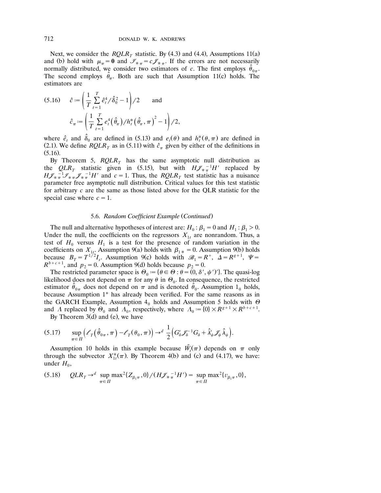Next, we consider the  $RQLR<sub>T</sub>$  statistic. By (4.3) and (4.4), Assumptions 11(a) and (b) hold with  $\mu_{\pi} = 0$  and  $\mathcal{I}_{\pi} = c \mathcal{J}_{\pi}$ . If the errors are not necessarily normally distributed, we consider two estimators of *c*. The first employs  $\hat{\theta}_{0\pi}$ . The second employs  $\hat{\theta}_\pi$ . Both are such that Assumption 11(c) holds. The estimators are

(5.16) 
$$
\hat{c} := \left(\frac{1}{T} \sum_{t=1}^{T} \hat{e}_t^4 / \hat{\delta}_0^2 - 1\right) / 2 \quad \text{and} \quad \hat{c}_{\pi} := \left(\frac{1}{T} \sum_{t=1}^{T} e_t^4 \left(\hat{\theta}_{\pi}\right) / h_t^* \left(\hat{\theta}_{\pi}, \pi\right)^2 - 1\right) / 2,
$$

where  $\hat{e}_t$  and  $\hat{\delta}_0$  are defined in (5.13) and  $e_t(\theta)$  and  $h_t^*(\theta, \pi)$  are defined in (2.1). We define *RQLR*<sub>T</sub> as in (5.11) with  $\hat{c}_{\pi}$  given by either of the definitions in  $(5.16)$ .

By Theorem 5,  $RQLR<sub>T</sub>$  has the same asymptotic null distribution as the  $QLR$ <sub>T</sub> statistic given in (5.15), but with  $H J_{\ast}^{-1} H'$  replaced by  $H\mathscr{J}_{\pi\pi}^{-1}\mathscr{I}_{\pi\pi}\mathscr{J}_{\pi}^{-1}H'$  and  $c=1$ . Thus, the *RQLR<sub>T</sub>* test statistic has a nuisance parameter free asymptotic null distribution. Critical values for this test statistic for arbitrary *c* are the same as those listed above for the QLR statistic for the special case where  $c = 1$ .

### 5.6. Random Coefficient Example (Continued)

The null and alternative hypotheses of interest are:  $H_0: \beta_1 = 0$  and  $H_1: \beta_1 > 0$ . Under the null, the coefficients on the regressors  $X_{1t}$  are nonrandom. Thus, a test of  $H_0$  versus  $H_1$  is a test for the presence of random variation in the coefficients on  $X_{1t}$ . Assumption 9(a) holds with  $\beta_{1*} = 0$ . Assumption 9(b) holds because  $B_T = T^{1/2}I_s$ . Assumption 9(c) holds with  $\mathcal{B}_1 = R^+$ ,  $\Delta = R^{g+1}$ ,  $\Psi = R^{b+c+1}$ , and  $p_2 = 0$ . Assumption 9(d) holds because  $p_2 = 0$ .

The restricted parameter space is  $\Theta_0 := {\theta \in \Theta : \theta = (0, \delta', \psi')}.$  The quasi-log likelihood does not depend on  $\pi$  for any  $\theta$  in  $\Theta_0$ . In consequence, the restricted estimator  $\hat{\theta}_{0\pi}$  does not depend on  $\pi$  and is denoted  $\hat{\theta}_0$ . Assumption  $1_0$  holds, because Assumption 1\* has already been verified. For the same reasons as in the GARCH Example, Assumption  $4<sub>0</sub>$  holds and Assumption 5 holds with  $\Theta$ and A replaced by  $\Theta_0$  and  $\Lambda_0$ , respectively, where  $\Lambda_0 := \{0\} \times R^{g+1} \times R^{b+c+1}$ .

By Theorem  $3(d)$  and (e), we have

$$
(5.17) \qquad \sup_{\pi \in \Pi} \Bigl( \ell_T(\hat{\theta}_{0\pi}, \pi) - \ell_T(\theta_0, \pi) \Bigr) \to d \frac{1}{2} \Bigl( G_\delta' \mathcal{J}_\delta^{-1} G_\delta + \hat{\lambda}'_\psi \mathcal{J}_\psi \hat{\lambda}_\psi \Bigr).
$$

Assumption 10 holds in this example because  $\tilde{W}_t(\pi)$  depends on  $\pi$  only through the subvector  $X^*_{t,\pi}(\pi)$ . By Theorem 4(b) and (c) and (4.17), we have: under  $H_0$ ,

$$
(5.18) \qquad QLR_T \to^d \ \sup_{\pi \in \Pi} \max^2 \{ Z_{\beta_1 \pi}, 0 \} / (H \mathcal{J}_{\ast \pi}^{-1} H') = \sup_{\pi \in \Pi} \max^2 \{ v_{\beta_1 \pi}, 0 \},
$$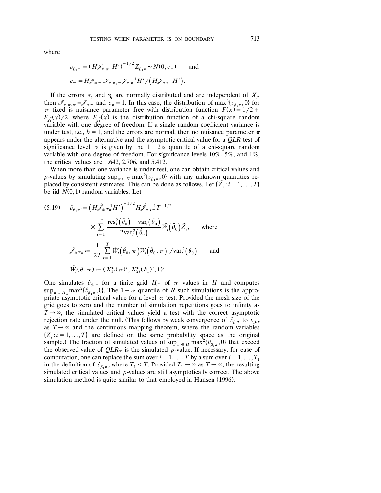$$
v_{\beta_1 \pi} := (H \mathcal{J}_{\ast}{}^{-1}_{\pi} H')^{-1/2} Z_{\beta_1 \pi} \sim N(0, c_{\pi}) \quad \text{and}
$$
  

$$
c_{\pi} := H \mathcal{J}_{\ast}{}^{-1}_{\pi} \mathcal{J}_{\ast}{}_{\pi, \pi} \mathcal{J}_{\ast}{}^{-1}_{\pi} H' / (H \mathcal{J}_{\ast}{}^{-1}_{\eta} H').
$$

If the errors  $\varepsilon_t$  and  $\eta_t$  are normally distributed and are independent of  $X_t$ , then  $\mathcal{I}_{\ast,\pi,\pi} = \mathcal{I}_{\ast,\pi}$  and  $c_{\pi} = 1$ . In this case, the distribution of max  $\{v_{\beta_1\pi}, 0\}$  for  $\pi$  fixed is nuisance parameter free with distribution function  $F(x) = 1/2 + 1$  $F_{\chi_1^2}(x)/2$ , where  $F_{\chi_1^2}(x)$  is the distribution function of a chi-square random variable with one degree of freedom. If a single random coefficient variance is under test, i.e.,  $b=1$ , and the errors are normal, then no nuisance parameter  $\pi$ appears under the alternative and the asymptotic critical value for a *QLR* test of significance level  $\alpha$  is given by the  $1-2\alpha$  quantile of a chi-square random variable with one degree of freedom. For significance levels  $10\%, 5\%,$  and  $1\%,$ the critical values are 1.642, 2.706, and 5.412.

When more than one variance is under test, one can obtain critical values and *p*-values by simulating  $\sup_{\pi \in \Pi} \max^2 \{ v_{\beta_1 \pi}, 0 \}$  with any unknown quantities replaced by consistent estimates. This can be done as follows. Let  $\{\tilde{Z}_i : i = 1, ..., T\}$ be iid  $N(0, 1)$  random variables. Let

(5.19) 
$$
\hat{v}_{\beta_1 \pi} := \left( H \hat{\hat{f}}_* \frac{1}{T} H' \right)^{-1/2} H \hat{\hat{f}}_* \frac{1}{T} T^{-1/2} \times \sum_{i=1}^T \frac{\text{res}_i^2(\hat{\theta}_0) - \text{var}_i(\hat{\theta}_0)}{2 \text{var}_i^2(\hat{\theta}_0)} \tilde{W}_i(\hat{\theta}_0) \tilde{Z}_i, \text{ where}
$$

$$
\hat{\hat{f}}_* \tau_{\pi} := \frac{1}{2T} \sum_{t=1}^T \tilde{W}_t(\hat{\theta}_0, \pi) \tilde{W}_t(\hat{\theta}_0, \pi)' / \text{var}_t^2(\hat{\theta}_0) \text{ and}
$$

$$
\tilde{W}_t(\theta, \pi) := (X_{1t}^*(\pi)', X_{2t}^*(\delta_1)', 1').
$$

One simulates  $\hat{v}_{\beta_1\pi}$  for a finite grid  $\Pi_G$  of  $\pi$  values in  $\Pi$  and computes  $\sup_{\pi \in \Pi_G} \max^2{\{\hat{v}_{\beta_1 \pi}^{(1)}, 0\}}$ . The  $1 - \alpha$  quantile of *R* such simulations is the appropriate asymptotic critical value for a level  $\alpha$  test. Provided the mesh size of the grid goes to zero and the number of simulation repetitions goes to infinity as  $T \rightarrow \infty$ , the simulated critical values yield a test with the correct asymptotic rejection rate under the null. (This follows by weak convergence of  $\hat{v}_{\beta_1}$  to  $v_{\beta_1}$ as  $T \rightarrow \infty$  and the continuous mapping theorem, where the random variables  $\{Z_i : i = 1, \ldots, T\}$  are defined on the same probability space as the original sample.) The fraction of simulated values of  $\sup_{\pi \in \Pi} \max^2 {\{\hat{v}_{\beta_1 \pi}, 0\}}$  that exceed the observed value of  $QLR<sub>T</sub>$  is the simulated *p*-value. If necessary, for ease of computation, one can replace the sum over  $i=1,\ldots,T$  by a sum over  $i=1,\ldots,T_1$ in the definition of  $\hat{v}_{\beta_1 \pi}$ , where  $T_1 < T$ . Provided  $T_1 \to \infty$  as  $T \to \infty$ , the resulting simulated critical values and *p*-values are still asymptotically correct. The above simulation method is quite similar to that employed in Hansen (1996).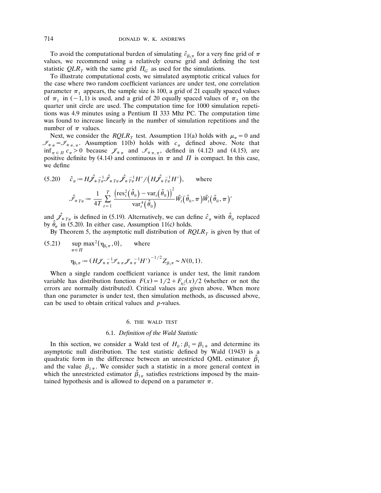To avoid the computational burden of simulating  $\hat{v}_{\beta_1\pi}$  for a very fine grid of  $\pi$ values, we recommend using a relatively course grid and defining the test statistic  $QLR$ <sub>T</sub> with the same grid  $\Pi$ <sub>G</sub> as used for the simulations.

To illustrate computational costs, we simulated asymptotic critical values for the case where two random coefficient variances are under test, one correlation parameter  $\pi_1$  appears, the sample size is 100, a grid of 21 equally spaced values of  $\pi_1$  in (-1,1) is used, and a grid of 20 equally spaced values of  $\pi_2$  on the quarter unit circle are used. The computation time for 1000 simulation repetitions was 4.9 minutes using a Pentium II 333 Mhz PC. The computation time was found to increase linearly in the number of simulation repetitions and the number of  $\pi$  values.

Next, we consider the *RQLR<sub>T</sub>* test. Assumption 11(a) holds with  $\mu_{\pi} = 0$  and  $I_{*_{\pi}} = I_{*_{\pi,\pi}}$ . Assumption 11(b) holds with  $c_{\pi}$  defined above. Note that  $\inf_{\pi \in \Pi} c_{\pi} > 0$  because  $\mathcal{J}_{\ast \pi}$  and  $\mathcal{J}_{\ast \pi, \pi}$ , defined in (4.12) and (4.15), are positive definite by (4.14) and continuous in  $\pi$  and  $\Pi$  is compact. In this case, we define

(5.20) 
$$
\hat{c}_{\pi} := H \hat{\mathscr{J}}_{* T_{\pi}} \hat{\mathscr{J}}_{* T_{\pi}} \hat{\mathscr{J}}_{* T_{\pi}} H' / \left( H \hat{\mathscr{J}}_{* T_{\pi}}^{-1} H' \right), \quad \text{where}
$$

$$
\hat{\mathscr{J}}_{* T_{\pi}} := \frac{1}{4T} \sum_{t=1}^{T} \frac{\left( \text{res}_t^2 \left( \hat{\theta}_0 \right) - \text{var}_t \left( \hat{\theta}_0 \right) \right)^2}{\text{var}_t^4 \left( \hat{\theta}_0 \right)} \tilde{W}_t \left( \tilde{\theta}_0, \pi \right) \tilde{W}_t \left( \tilde{\theta}_0, \pi \right)'
$$

and  $\hat{\mathcal{J}}_{*T_{\pi}}$  is defined in (5.19). Alternatively, we can define  $\hat{c}_{\pi}$  with  $\hat{\theta}_0$  replaced by  $\hat{\theta}_{\pi}$  in (5.20). In either case, Assumption 11(c) holds.

By Theorem 5, the asymptotic null distribution of  $RQLR<sub>T</sub>$  is given by that of

(5.21) 
$$
\sup_{\pi \in \Pi} \max^{2} {\{\eta_{\beta_{1}\pi}, 0\}}, \quad \text{where}
$$

$$
\eta_{\beta_{1}\pi} := (H \mathcal{J}_{\pi}^{-1} \mathcal{J}_{\pi} \mathcal{J}_{\pi}^{-1} H')^{-1/2} Z_{\beta_{1}\pi} \sim N(0, 1).
$$

When a single random coefficient variance is under test, the limit random variable has distribution function  $F(x) = 1/2 + F_{x<sub>i</sub>}^2(x)/2$  (whether or not the errors are normally distributed). Critical values are given above. When more than one parameter is under test, then simulation methods, as discussed above, can be used to obtain critical values and *p*-values.

#### 6. THE WALD TEST

## 6.1. *Definition of the Wald Statistic*

In this section, we consider a Wald test of  $H_0: \beta_1 = \beta_{1*}$  and determine its asymptotic null distribution. The test statistic defined by Wald (1943) is a quadratic form in the difference between an unrestricted QML estimator  $\hat{\beta}_1$ and the value  $\beta_{1*}$ . We consider such a statistic in a more general context in which the unrestricted estimator  $\hat{\beta}_{1\pi}$  satisfies restrictions imposed by the maintained hypothesis and is allowed to depend on a parameter  $\pi$ .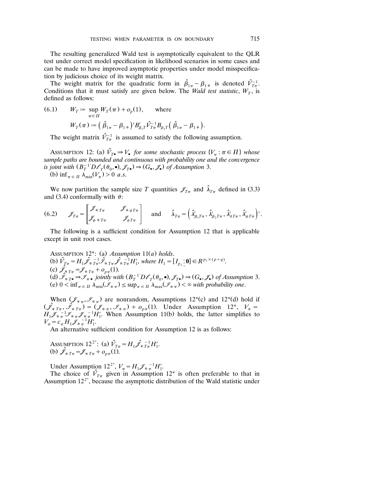The resulting generalized Wald test is asymptotically equivalent to the QLR test under correct model specification in likelihood scenarios in some cases and can be made to have improved asymptotic properties under model misspecification by judicious choice of its weight matrix.

The weight matrix for the quadratic form in  $\hat{\beta}_{1\pi} - \beta_{1\pi}$  is denoted  $\hat{V}_{T\pi}^{-1}$ . Conditions that it must satisfy are given below. The *Wald test statistic*,  $W_T$ , is defined as follows:

(6.1) 
$$
W_T := \sup_{\pi \in \Pi} W_T(\pi) + o_p(1), \text{ where}
$$

$$
W_T(\pi) := \left(\hat{\beta}_{1\pi} - \beta_{1\pi}\right)' B'_{\beta_1 T} \hat{V}_{T\pi}^{-1} B_{\beta_1 T} \left(\hat{\beta}_{1\pi} - \beta_{1\pi}\right).
$$

The weight matrix  $\hat{V}_{T_{\pi}}^{-1}$  is assumed to satisfy the following assumption.

ASSUMPTION 12: (a)  $\hat{V}_{T\bullet} \Rightarrow V_{\bullet}$  for some stochastic process  $\{V_{\pi} : \pi \in \Pi\}$  whose *sample paths are bounded and continuous with probability one and the convergence is joint with*  $(B_T^{-1}D\ell_\tau(\theta_0, \bullet), \mathscr{J}_{T\bullet}) \to (G_{\bullet}, \mathscr{J}_{\bullet})$  of Assumption 3.

(b)  $\inf_{\pi \in \Pi} \lambda_{\min}(V_{\pi}) > 0$  *a.s.* 

We now partition the sample size *T* quantities  $\mathscr{J}_{T_{\pi}}$  and  $\hat{\lambda}_{T_{\pi}}$  defined in (3.3) and (3.4) conformally with  $\theta$ :

(6.2) 
$$
\mathscr{J}_{T\pi} = \begin{bmatrix} \mathscr{J}_{\ast T\pi} & \mathscr{J}_{\ast \psi T\pi} \\ \mathscr{J}_{\psi \ast T\pi} & \mathscr{J}_{\psi T\pi} \end{bmatrix} \text{ and } \hat{\lambda}_{T\pi} = \left( \hat{\lambda}'_{\beta_1 T\pi}, \hat{\lambda}'_{\beta_2 T\pi}, \hat{\lambda}'_{\delta T\pi}, \hat{\lambda}'_{\psi T\pi} \right)'.
$$

The following is a sufficient condition for Assumption 12 that is applicable except in unit root cases.

Assumprion 12<sup>\*</sup>: (a) Assumption 11(a) holds.  
\n(b) 
$$
\hat{V}_{T\pi} = H_1 \hat{\mathcal{J}}_{\pi} \frac{1}{T\pi} \hat{\mathcal{J}}_{\pi} \frac{1}{T\pi} \hat{\mathcal{J}}_{\pi} \frac{1}{T\pi} H'_1
$$
, where  $H_1 = [I_{p_1} : \mathbf{0}] \in R^{p_1 \times (p+q)}$ .  
\n(c)  $\hat{\mathcal{J}}_{\pi} \pi = \mathcal{J}_{\pi} \pi + o_{p\pi}(1)$ .  
\n(d)  $\hat{\mathcal{J}}_{\pi} \pi = \mathcal{J}_{\pi} \pi + o_{p\pi}(1)$ .  
\n(e)  $0 < \inf_{\pi \in \Pi} \lambda_{\min}(\mathcal{J}_{\pi} \pi) \leq \sup_{\pi \in \Pi} \lambda_{\max}(\mathcal{J}_{\pi} \pi) \leq \infty$  with probability one.

When  $(\mathcal{J}_{*,\pi}, \mathcal{J}_{*,\pi})$  are nonrandom, Assumptions 12<sup>\*</sup>(c) and 12<sup>\*</sup>(d) hold if  $(\hat{\mathcal{J}}_{*T_{\pi}}, \hat{\mathcal{J}}_{*T_{\pi}}) = (\mathcal{J}_{* \pi}, \mathcal{J}_{* \pi}) + o_{p\pi}(1)$ . Under Assumption 12<sup>\*</sup>,  $V_{\pi} = H_1 \mathcal{J}_{* \pi}^{-1} \mathcal{J}_{* \pi} \mathcal{J}_{* \pi}^{-1} H_1'$ . When Assumption 11(b) holds, the latter simplifies to  $V_{\pi} = c_{\pi} H_1 \mathcal{J}_{* \pi}^{-1} H_1'.$ 

An alternative sufficient condition for Assumption 12 is as follows:

Assumprion 12<sup>2\*</sup>: (a) 
$$
\hat{V}_{T\pi} = H_1 \hat{\mathcal{J}}_{*T\pi}^{-1} H_1'
$$
.  
(b)  $\hat{\mathcal{J}}_{*T\pi} = \mathcal{J}_{*T\pi} + o_{p\pi}(1)$ .

Under Assumption  $12^{2^*}$ ,  $V_{\pi} = H_1 \mathscr{J}_{\pi}^{-1} H_1'$ .

The choice of  $\hat{V}_{T_{\pi}}$  given in Assumption 12<sup>\*</sup> is often preferable to that in Assumption  $12^{2^*}$ , because the asymptotic distribution of the Wald statistic under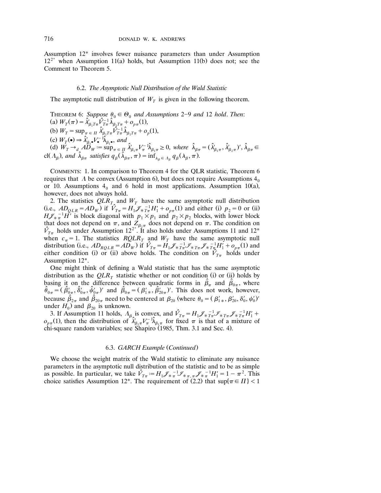Assumption 12\* involves fewer nuisance parameters than under Assumption  $12^{2^*}$  when Assumption 11(a) holds, but Assumption 11(b) does not; see the Comment to Theorem 5.

#### 6.2. *The Asymptotic Null Distribution of the Wald Statistic*

The asymptotic null distribution of  $W_T$  is given in the following theorem.

THEOREM 6: *Suppose*  $\theta_0 \in \Theta_0$  *and Assumptions* 2–9 *and* 12 *hold. Then*: (a)  $W_T(\pi) = \hat{\lambda}_{\beta_1 T \pi}^{\prime} \hat{\lambda}_{\beta_1 T \pi}^{\gamma} + o_{p\pi}(1)$ ,  $T_{1}T\pi$ <sup>*v*</sup>,  $T\pi$ <sup>*n*</sup> $\beta_{1}T\pi$ <sup>*i*</sup>  $p\pi$ (b)  $W_T = \sup_{\pi \in \Pi} \hat{\lambda}'_{\beta_1 T \pi} \hat{V}_{T \pi}^{-1} \hat{\lambda}_{\beta_1 T \pi} + o_p(1),$ (c)  $W_T(\bullet) \Rightarrow \hat{\lambda}_{\beta_1 \bullet}^{\prime} V_{\bullet}^{-1} \hat{\lambda}_{\beta_1 \bullet}^{\prime}, \text{ and}$ (d)  $W_T \rightarrow_d A \overline{D}_W := \sup_{\pi \in \Pi} \hat{\lambda}'_{\beta_1 \pi} V_{\pi}^{-1} \hat{\lambda}_{\beta_1 \pi} \geq 0$ , where  $\hat{\lambda}_{\beta \pi} = (\hat{\lambda}'_{\beta_1 \pi}, \hat{\lambda}'_{\beta_2 \pi})'$ ,  $\hat{\lambda}_{\beta \pi} \in$ cl( $\Lambda_{\beta}$ ), and  $\hat{\lambda}_{\beta\pi}$  satisfies  $q_{\beta}(\hat{\lambda}_{\beta\pi}, \pi) = \inf_{\lambda_{\beta} \in \Lambda_{\beta}} q_{\beta}(\lambda_{\beta}, \pi)$ .

COMMENTS: 1. In comparison to Theorem 4 for the QLR statistic, Theorem 6 requires that A be convex (Assumption 6), but does not require Assumptions  $4<sub>0</sub>$ or 10. Assumptions  $4<sub>0</sub>$  and 6 hold in most applications. Assumption 10(a), however, does not always hold.

2. The statistics  $QLR<sub>T</sub>$  and  $W<sub>T</sub>$  have the same asymptotic null distribution (i.e.,  $AD_{OLR} = AD_W$ ) if  $\hat{V}_{T\pi} = H_1 \mathcal{J}_{*T\pi}^{-1} H_1' + o_{p\pi}(1)$  and either (i)  $p_2 = 0$  or (ii)  $H\mathscr{J}_{\pi\pi}^{-1}\tilde{H}$  is block diagonal with  $p_1 \times p_1$  and  $p_2 \times p_2$  blocks, with lower block that does not depend on  $\pi$ , and  $Z_{\beta_2\pi}$  does not depend on  $\pi$ . The condition on  $\hat{V}_{T\pi}$  holds under Assumption 12<sup>2\*</sup>. It also holds under Assumptions 11 and 12<sup>\*</sup> when  $c_{\pi} = 1$ . The statistics *RQLR<sub>T</sub>* and  $W_T$  have the same asymptotic null distribution (i.e.,  $AD_{RQLR} = AD_W$ ) if  $\hat{V}_{T\pi} = H_1 \mathcal{J}_{*T\pi}^{-1} \mathcal{J}_{*T\pi} \mathcal{J}_{*T\pi}^{-1} H_1' + o_{p\pi}(1)$  and either condition (i) or (ii) above holds. The condition on  $\hat{V}_{T_{\pi}}$  holds under Assumption 12\*.

One might think of defining a Wald statistic that has the same asymptotic distribution as the  $QLR<sub>T</sub>$  statistic whether or not condition (i) or (ii) holds by basing it on the difference between quadratic forms in  $\hat{\beta}_{\pi}$  and  $\hat{\beta}_{0\pi}$ , where  $\hat{\theta}_{0\pi} = (\hat{\beta}'_{0\pi}, \hat{\delta}'_{0\pi}, \hat{\psi}'_{0\pi})'$  and  $\hat{\beta}_{0\pi} = (\beta'_{1\pi}, \hat{\beta}'_{20\pi})'$ . This does not work, however, because  $\hat{\beta}_{2\pi}$  and  $\hat{\beta}_{20\pi}$  need to be centered at  $\beta_{20}$  (where  $\theta_0 = (\beta'_{1*}, \beta'_{20}, \delta'_0, \psi'_0)'$ under  $H_0$ ) and  $\beta_{20}$  is unknown.

is unknown.<br>
3. If Assumption 11 holds,  $\Lambda_{\beta}$  is convex, and  $\hat{V}_{T\pi} = H_1 \mathcal{J}_{* T\pi}^{-1} \mathcal{J}_{* T\pi} \mathcal{J}_{* T\pi}^{-1} H_1' +$  $o_{p\pi}(1)$ , then the distribution of  $\hat{\lambda}_{\beta_1\pi}^{\gamma}V_{\pi}^{-1}\hat{\lambda}_{\beta_1\pi}$  for fixed  $\pi$  is that of a mixture of chi-square random variables; see Shapiro (1985, Thm. 3.1 and Sec. 4).

#### 6.3. *GARCH Example* (*Continued*)

We choose the weight matrix of the Wald statistic to eliminate any nuisance parameters in the asymptotic null distribution of the statistic and to be as simple as possible. In particular, we take  $\hat{V}_{T_{\pi}} := H_1 \mathscr{J}_{\pi}^{-1} \mathscr{J}_{\pi}^{-1} \mathscr{J}_{\pi}^{-1} H_1' = 1 - \pi^2$ . This choice satisfies Assumption 12<sup>\*</sup>. The requirement of (2.2) that  $\sup\{\pi \in \Pi\}$  < 1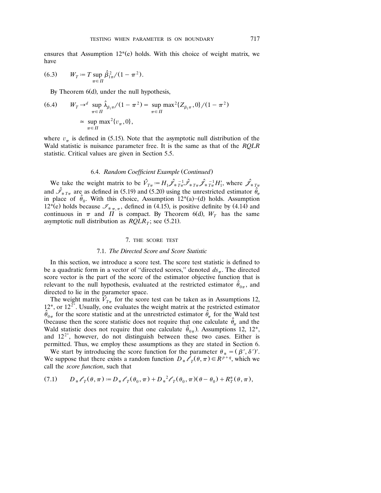ensures that Assumption  $12^*(e)$  holds. With this choice of weight matrix, we have

(6.3) 
$$
W_T := T \sup_{\pi \in \Pi} \hat{\beta}_{1\pi}^2 / (1 - \pi^2).
$$

By Theorem  $6(d)$ , under the null hypothesis,

(6.4) 
$$
W_T \to^d \sup_{\pi \in \Pi} \hat{\lambda}_{\beta_1 \pi} / (1 - \pi^2) = \sup_{\pi \in \Pi} \max^2 \{ Z_{\beta_1 \pi}, 0 \} / (1 - \pi^2)
$$

$$
\approx \sup_{\pi \in \Pi} \max^2 \{ v_{\pi}, 0 \},
$$

where  $v_{\pi}$  is defined in (5.15). Note that the asymptotic null distribution of the Wald statistic is nuisance parameter free. It is the same as that of the *RQLR* statistic. Critical values are given in Section 5.5.

# 6.4. Random Coefficient Example (Continued)

We take the weight matrix to be  $\hat{V}_{T\pi} = H_1 \hat{\mathcal{J}}_{T\pi} - \hat{\mathcal{J}}_{T\pi} \hat{\mathcal{J}}_{T\pi} - \hat{\mathcal{J}}_{T\pi} H'_1$ , where  $\hat{\mathcal{J}}_{T\pi}$ and  $\hat{S}_{\pi T_{\pi}}$  are as defined in (5.19) and (5.20) using the unrestricted estimator  $\hat{\theta}_{\pi}$ in place of  $\hat{\theta}_0$ . With this choice, Assumption 12\*(a)–(d) holds. Assumption 12<sup>\*</sup>(e) holds because  $\mathcal{I}_{\bar{x}\pi,\pi}$ , defined in (4.15), is positive definite by (4.14) and continuous in  $\pi$  and  $\Pi$  is compact. By Theorem 6(d),  $W_T$  has the same asymptotic null distribution as  $RQLR<sub>T</sub>$ ; see (5.21).

## 7. THE SCORE TEST

## 7.1. *The Directed Score and Score Statistic*

In this section, we introduce a score test. The score test statistic is defined to be a quadratic form in a vector of "directed scores," denoted  $ds_{\pi}$ . The directed score vector is the part of the score of the estimator objective function that is relevant to the null hypothesis, evaluated at the restricted estimator  $\hat{\theta}_{0\pi}$ , and directed to lie in the parameter space.

The weight matrix  $\hat{V}_{T_{\pi}}$  for the score test can be taken as in Assumptions 12,  $12^*$ , or  $12^{2^*}$ . Usually, one evaluates the weight matrix at the restricted estimator  $\hat{\theta}_{0\pi}$  for the score statistic and at the unrestricted estimator  $\hat{\theta}_{\pi}$  for the Wald test (because then the score statistic does not require that one calculate  $\hat{\theta}_{\pi}$  and the Wald statistic does not require that one calculate  $\hat{\theta}_{0\pi}$ ). Assumptions 12, 12<sup>\*</sup>, and  $12^{2^*}$ , however, do not distinguish between these two cases. Either is permitted. Thus, we employ these assumptions as they are stated in Section 6.

We start by introducing the score function for the parameter  $\theta_* = (\beta', \delta')'.$ We suppose that there exists a random function  $D_* \mathcal{L}_T(\theta, \pi) \in R^{p+q}$ , which we call the *score function*, such that

$$
(7.1) \tD_* \ell_T(\theta, \pi) := D_* \ell_T(\theta_0, \pi) + D_*^2 \ell_T(\theta_0, \pi) (\theta - \theta_0) + R_T^*(\theta, \pi),
$$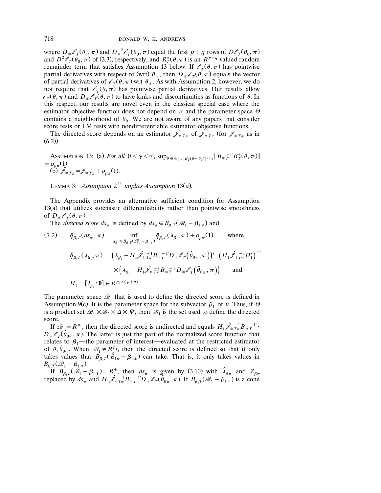where  $D_*\ell_{T}(\theta_0, \pi)$  and  $D_*^2\ell_{T}(\theta_0, \pi)$  equal the first  $p + q$  rows of  $D\ell_{T}(\theta_0, \pi)$ <br>and  $D^2\ell_{T}(\theta_0, \pi)$  of (3.3), respectively, and  $R_T^*(\theta, \pi)$  is an  $R^{p+q}$ -valued random remainder term that satisfies Assumption 13 below. If  $\ell_{\tau}(\theta, \pi)$  has pointwise partial derivatives with respect to (wrt)  $\theta_*$ , then  $D_* \mathscr{O}_T(\theta, \pi)$  equals the vector of partial derivatives of  $\ell_{\tau}(\theta, \pi)$  wrt  $\theta_{*}$ . As with Assumption 2, however, we do not require that  $\ell_{\tau}(\theta, \pi)$  has pointwise partial derivatives. Our results allow  $l_{\tau}(\theta, \pi)$  and  $D_{*}l_{\tau}(\theta, \pi)$  to have kinks and discontinuities as functions of  $\theta$ . In this respect, our results are novel even in the classical special case where the estimator objective function does not depend on  $\pi$  and the parameter space  $\Theta$ contains a neighborhood of  $\theta_0$ . We are not aware of any papers that consider score tests or LM tests with nondifferentiable estimator objective functions.

The directed score depends on an estimator  $\mathscr{J}_{\ast T_{\pi}}$  of  $\mathscr{J}_{\ast T_{\pi}}$  (for  $\mathscr{J}_{\ast T_{\pi}}$  as in  $(6.2)$ .

Assumerton 13: (a) For all 
$$
0 < \gamma < \infty
$$
,  $\sup_{\theta \in \Theta_0 : ||B_T(\theta - \theta_0)|| \leq \gamma} ||B_*^{-1'}R_T^*(\theta, \pi)||$  \n(b)  $\hat{\mathcal{J}}_{T,T} = \mathcal{J}_{T,T} + o_{p\pi}(1)$ .

LEMMA 3: *Assumption*  $2^{2^*}$  *implies Assumption* 13(*a*).

The Appendix provides an alternative sufficient condition for Assumption  $13(a)$  that utilizes stochastic differentiability rather than pointwise smoothness of  $D_*\ell_{\tau}(\theta,\pi)$ .

The *directed score*  $ds_{\pi}$  is defined by  $ds_{\pi} \in B_{\beta_1 T}(\mathcal{B}_1 - \beta_{1*})$  and

(7.2) 
$$
\hat{q}_{\beta_1 T}(ds_{\pi}, \pi) = \inf_{\lambda_{\beta_1} \in B_{\beta_1 T}(\mathcal{B}_{1} - \beta_{1*})} \hat{q}_{\beta_1 T}(\lambda_{\beta_1}, \pi) + o_{p\pi}(1), \quad \text{where}
$$

$$
\hat{q}_{\beta_1 T}(\lambda_{\beta_1}, \pi) := \left(\lambda_{\beta_1} - H_1 \hat{\mathcal{J}}_* \bar{\tau}_{\pi}^{-1} B_* \bar{\tau}^{-1} D_* \mathcal{E}_T (\hat{\theta}_{0\pi}, \pi)\right)' \left(H_1 \hat{\mathcal{J}}_* \bar{\tau}_{\pi}^{-1} H_1'\right)^{-1}
$$

$$
\times \left(\lambda_{\beta_1} - H_1 \hat{\mathcal{J}}_* \bar{\tau}_{\pi}^{-1} B_* \bar{\tau}^{-1} D_* \mathcal{E}_T (\hat{\theta}_{0\pi}, \pi)\right) \quad \text{and}
$$

$$
H_1 = [I_{p_1} : \mathbf{0}] \in R^{p_1 \times (p+q)}.
$$

The parameter space  $\mathscr{B}_1$  that is used to define the directed score is defined in Assumption 9(c). It is the parameter space for the subvector  $\beta_1$  of  $\theta$ . Thus, if  $\Theta$ is a product set  $\mathcal{B}_1 \times \mathcal{B}_2 \times \Delta \times \Psi$ , then  $\mathcal{B}_1$  is the set used to define the directed score.

If  $\mathscr{B}_1 = R^{p_1}$ , then the directed score is undirected and equals  $H_1 \hat{\mathscr{L}}_{* T_{\pi}}^{-1} B_{* T}^{-1}$ .  $D_*\ell_{\tau}(\hat{\theta}_{0\pi}, \pi)$ . The latter is just the part of the normalized score function that relates to  $\beta_1$ —the parameter of interest—evaluated at the restricted estimator of  $\theta$ ,  $\hat{\theta}_{0\pi}$ . When  $\mathscr{B}_1 \neq R_\lambda^{p_1}$ , then the directed score is defined so that it only takes values that  $B_{\beta_1 T}(\hat{\beta}_{1\pi} - \beta_{1\pi})$  can take. That is, it only takes values in  $B_{\beta_1 T}(\mathscr{B}_1 - \beta_{1*}).$ 

If  $B_{\beta_1T}(\mathscr{B}_1 - \beta_{1*}) = R^+$ , then  $ds_{\pi}$  is given by (3.10) with  $\hat{\lambda}_{\beta\pi}$  and  $Z_{\beta\pi}$ replaced by  $ds_{\pi}$  and  $H_1 \hat{\mathscr{L}}_{\pi T_{\pi}}^{-1} B_{\pi T}^{-1} D_{\pi} \mathscr{L}_T (\hat{\theta}_{0\pi}, \pi)$ . If  $B_{\beta_1 T} (\mathscr{B}_1 - \beta_{1\pi})$  is a cone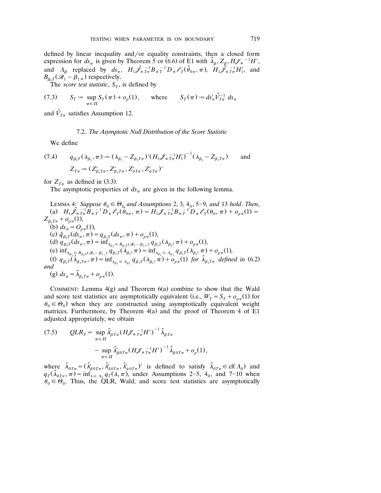defined by linear inequality and/or equality constraints, then a closed form expression for  $ds_{\pi}$  is given by Theorem 5 or (6.6) of E1 with  $\hat{\lambda}_{\beta}$ ,  $Z_{\beta}$ ,  $H\mathscr{J}_{*}^{-1}H'$ , and  $A_{\beta}$  replaced by  $ds_{\pi}$ ,  $H_1 \hat{\mathscr{L}}_{\pi T_{\pi}}^{-1} B_{\pi T_{\pi}}^{-1} D_{\pi} \mathscr{L}_T (\hat{\theta}_{0\pi}, \pi)$ ,  $H_1 \hat{\hat{\mathscr{L}}}_{\pi T_{\pi}}^{-1} H_1'$ , and  $B_{\beta_1 T} (\mathscr{B}_1 - \beta_{1*})$  respectively.

The *score test statistic*,  $S_T$ , is defined by

(7.3) 
$$
S_T := \sup_{\pi \in \Pi} S_T(\pi) + o_p(1), \quad \text{where} \quad S_T(\pi) := ds'_\pi \hat{V}_{T\pi}^{-1} ds_\pi
$$

and  $\hat{V}_{T\pi}$  satisfies Assumption 12.

## 7.2. *The Asymptotic Null Distribution of the Score Statistic*

We define

(7.4) 
$$
q_{\beta_1 T}(\lambda_{\beta_1}, \pi) := (\lambda_{\beta_1} - Z_{\beta_1 T \pi})' (H_1 \mathcal{J}_{\ast} \tau_{\pi}^{-1} H_1')^{-1} (\lambda_{\beta_1} - Z_{\beta_1 T \pi}) \quad \text{and} \quad Z_{T\pi} := (Z_{\beta_1 T \pi}', Z_{\beta_2 T \pi}', Z_{\delta T \pi}', Z_{\psi T \pi}')'
$$

for  $Z_{T_{\pi}}$  as defined in (3.3).

The asymptotic properties of  $ds_{\pi}$  are given in the following lemma.

LEMMA 4: *Suppose*  $\theta_0 \in \Theta_{0}$  *and Assumptions* 2, 3, 4<sub>0</sub>, 5–9, *and* 13 *hold. Then*, (a)  $H_1 \hat{\mathscr{J}}_{\pi}^{-1} \hat{B}_{\pi}^{-1} D_{\pi} \mathscr{O}_{\pi}(\hat{\theta}_{0\pi}, \pi) = H_1 \mathscr{J}_{\pi}^{-1} B_{\pi}^{-1} D_{\pi} \mathscr{O}_{\pi}(\theta_0, \pi) + o_{p\pi}(1) =$  $Z_{\beta_1 T \pi} + o_{p\pi} (1)$ , (b)  $ds_{\pi} = O_{p\pi}(1)$ ,  $(\text{c}) \ \hat{q}_{\beta_1 T}^{\ \mu} (ds_{\pi}, \pi) = q_{\beta_1 T} (ds_{\pi}, \pi) + o_{p\pi}(1),$ (d)  $q_{\beta_1T}(ds_{\pi}^{\prime}, \pi) = \inf_{\lambda_{\beta_1} \in B_{\beta_1T}(\mathscr{B}_1 - \beta_{1*})} \gamma_{\beta_1T}(\lambda_{\beta_1}, \pi) + o_{p\pi}(1)$ (e)  $\inf_{\lambda_{\beta_1} \in B_{\beta_1} r(\mathscr{B}_1 - \beta_{1})} q_{\beta_1} r(\lambda_{\beta_1}, \pi) = \inf_{\lambda_{\beta_1} \in A_{\beta_1}} q_{\beta_1} r(\lambda_{\beta_1}, \pi) + o_{p\pi}(1)$ (f)  $q_{\beta_1}r(\hat{\lambda}_{\beta_1}r_\pi, \pi) = \inf_{\lambda_{\beta_1} \in \Lambda_{\beta_1}} q_{\beta_1}r(\lambda_{\beta_1}, \pi) + o_{p\pi}(1)$  for  $\hat{\lambda}_{\beta_1}r_\pi$  defined in (6.2) and (g)  $ds_{\pi} = \hat{\lambda}_{\beta_1 T \pi} + o_{p\pi}(1)$ .

COMMENT: Lemma  $4(g)$  and Theorem  $6(a)$  combine to show that the Wald and score test statistics are asymptotically equivalent (i.e.,  $W_T = S_T + o_{p\pi}(1)$  for  $\theta_0 \in \Theta_0$ ) when they are constructed using asymptotically equivalent weight matrices. Furthermore, by Theorem  $4(a)$  and the proof of Theorem 4 of E1 adjusted appropriately, we obtain

(7.5) 
$$
QLR_T = \sup_{\pi \in \Pi} \hat{\lambda}'_{\beta T \pi} (H \mathcal{J}_{*} T_{\pi}^{-1} H')^{-1} \hat{\lambda}_{\beta T \pi} - \sup_{\pi \in \Pi} \hat{\lambda}'_{\beta 0 T \pi} (H \mathcal{J}_{*} T_{\pi}^{-1} H')^{-1} \hat{\lambda}_{\beta 0 T \pi} + o_p(1),
$$

where  $\hat{\lambda}_{0T\pi} = (\hat{\lambda}'_{\beta 0T\pi}, \hat{\lambda}'_{\delta 0T\pi}, \hat{\lambda}'_{\psi 0T\pi})'$  is defined to satisfy  $\hat{\lambda}_{0T\pi} \in \text{cl}(\Lambda_0)$  and  $q_T(\hat{\lambda}_{0T\pi}, \pi) = \inf_{\lambda \in A_0} q_T(\lambda, \pi)$ , under Assumptions 2–5, 4<sub>0</sub>, and 7–10 when  $\theta_0 \in \Theta_0$ . Thus, the QLR, Wald, and score test statistics are asymptotically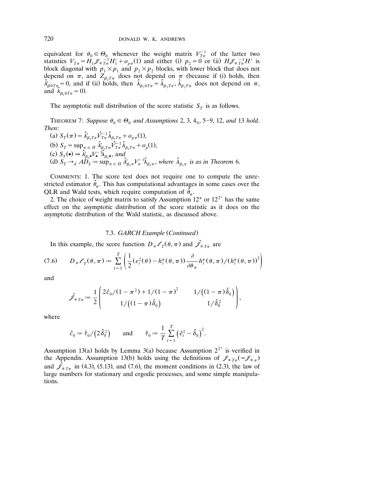equivalent for  $\theta_0 \in \Theta_0$  whenever the weight matrix  $V_{T_{\pi}}^{-1}$  of the latter two statistics  $V_{T_{\pi}} = H_1 \mathcal{J}_{* T_{\pi}}^{-1} H_1' + o_{p_{\pi}}(1)$  and either (i)  $p_2 = 0$  or (ii)  $H \mathcal{J}_{* T_{\pi}}^{-1} H_1'$  is block diagonal with  $p_1 \times p_1$  and  $p_2 \times p_2$  blocks, with lower block that does not depend on  $\pi$ , and  $Z_{\beta_2 T \pi}$  does not depend on  $\pi$  (because if (i) holds, then  $\hat{\lambda}_{\beta_0 T \pi} = 0$ , and if (ii) holds, then  $\hat{\lambda}_{\beta_2 T \pi} = \hat{\lambda}_{\beta_2 T \pi}$ ,  $\hat{\lambda}_{\beta_2 T \pi}$  does not depend on  $\pi$ , and  $\hat{\lambda}_{\beta_1 0 T \pi} = 0$ ).

The asymptotic null distribution of the score statistic  $S_T$  is as follows.

THEOREM 7: Suppose  $\theta_0 \in \Theta_0$  and Assumptions 2, 3, 4<sub>0</sub>, 5–9, 12, and 13 hold. *Then*:

(a)  $S_T(\pi) = \hat{\lambda}'_{\beta_1 T \pi} \hat{V}_{T \pi}^{-1} \hat{\lambda}_{\beta_1 T \pi} + o_{p \pi}(1),$ (b)  $S_T = \sup_{\pi \in \Pi} \hat{\lambda}_{\beta_1 T \pi}^{\prime} \hat{V}_{T \pi}^{-1} \hat{\lambda}_{\beta_1 T \pi} + o_p(1),$ <br>
(c)  $S_T(\bullet) \Rightarrow \hat{\lambda}_{\beta_1 \bullet}^{\prime} V_{\bullet}^{-1} \hat{\lambda}_{\beta_1 \bullet}^{\prime}, and$ (d)  $S_T \rightarrow_d AD_S = \sup_{\pi \in \Pi} \hat{\lambda}'_{\beta_1 \pi} V_{\pi}^{-1} \hat{\lambda}_{\beta_1 \pi}$ , where  $\hat{\lambda}_{\beta_1 \pi}$  is as in Theorem 6.

COMMENTS: 1. The score test does not require one to compute the unrestricted estimator  $\hat{\theta}_{\pi}$ . This has computational advantages in some cases over the QLR and Wald tests, which require computation of  $\hat{\theta}_r$ .

2. The choice of weight matrix to satisfy Assumption  $12^*$  or  $12^{2^*}$  has the same effect on the asymptotic distribution of the score statistic as it does on the asymptotic distribution of the Wald statistic, as discussed above.

#### 7.3. *GARCH Example* (*Continued*)

In this example, the score function  $D_*\ell_{\tau}(\theta, \pi)$  and  $\hat{\mathcal{J}}_{*T_{\pi}}$  are

$$
(7.6) \qquad D_* \ell_T(\theta, \pi) := \sum_{t=1}^T \left( \frac{1}{2} (e_t^2(\theta) - h_t^*(\theta, \pi)) \frac{\partial}{\partial \theta_*} h_t^*(\theta, \pi) / (h_t^*(\theta, \pi))^2 \right)
$$

and

$$
\hat{\mathcal{J}}_{\ast T\pi} := \frac{1}{2} \begin{pmatrix} 2\hat{c}_0/(1-\pi^2) + 1/(1-\pi)^2 & 1/\big((1-\pi)\hat{\delta}_0\big) \\ 1/\big((1-\pi)\hat{\delta}_0\big) & 1/\hat{\delta}_0^2 \end{pmatrix},
$$

where

$$
\hat{c}_0 := \hat{\tau}_0 / (2 \hat{\delta}_0^2)
$$
 and  $\hat{\tau}_0 := \frac{1}{T} \sum_{t=1}^T (\hat{e}_t^2 - \hat{\delta}_0)^2$ .

Assumption 13(a) holds by Lemma 3(a) because Assumption  $2^{2^*}$  is verified in the Appendix. Assumption 13(b) holds using the definitions of  $\mathcal{J}_{\ast T_{\pi}}(-\mathcal{J}_{\ast T})$ and  $\hat{\mathcal{J}}_{\hat{\ast}T\pi}$  in (4.3), (5.13), and (7.6), the moment conditions in (2.3), the law of large numbers for stationary and ergodic processes, and some simple manipulations.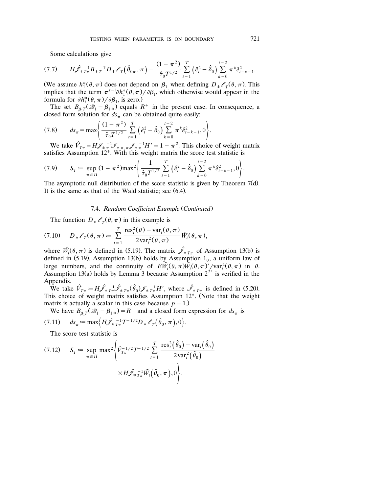Some calculations give

$$
(7.7) \qquad H\hat{\mathscr{J}}_{*T\pi}^{-1}B_{*T}^{-1}D_{*}\mathscr{L}_{T}\left(\hat{\theta}_{0\pi},\pi\right)=\frac{(1-\pi^{2})}{\hat{\tau}_{0}T^{1/2}}\sum_{t=1}^{T}\left(\hat{e}_{t}^{2}-\hat{\delta}_{0}\right)\sum_{k=0}^{t-2}\pi^{k}\hat{e}_{t-k-1}^{2}.
$$

(We assume  $h_1^*(\theta, \pi)$  does not depend on  $\beta_1$  when defining  $D_* \mathscr{O}_T(\theta, \pi)$ . This (We assume  $h_1^*(\theta, \pi)$  does not depend on  $\beta_1$  when defining  $D_* \mathscr{O}_T(\theta, \pi)$ . This implies that the term  $\pi^{t-1} \partial h_1^*(\theta, \pi) / \partial \beta_1$ , which otherwise would appear in the implies that the term  $\pi^{t-1}\partial h_1^*(\theta, \pi)/\partial \beta_1$ , which otherwise would appear in the formula for  $\partial h_t^*(\theta, \pi)/\partial \beta_1$ , is zero.) formula for  $\partial h_t^*(\theta, \pi) / \partial \beta_1$ , is zero.)

The set  $B_{\beta_1 T}(\mathscr{B}_1 - \beta_{1*})$  equals  $R^+$  in the present case. In consequence, a closed form solution for  $ds_{\pi}$  can be obtained quite easily:

$$
(7.8) \t ds_{\pi} = \max \left\{ \frac{(1 - \pi^2)}{\hat{\tau}_0 T^{1/2}} \sum_{t=1}^T \left( \hat{e}_t^2 - \hat{\delta}_0 \right) \sum_{k=0}^{t-2} \pi^k \hat{e}_{t-k-1}^2, 0 \right\}.
$$

We take  $\hat{V}_{T_{\pi}} = H \mathscr{J}_{\pi_{\pi}}^{-1} \mathscr{J}_{\pi_{\pi_{\pi}}} \mathscr{J}_{\pi_{\pi}}^{-1} H' = 1 - \pi^2$ . This choice of weight matrix satisfies Assumption 12\*. With this weight matrix the score test statistic is

$$
(7.9) \qquad S_T := \sup_{\pi \in \Pi} (1 - \pi^2) \max^2 \left\{ \frac{1}{\hat{\tau}_0 T^{1/2}} \sum_{t=1}^T \left( \hat{e}_t^2 - \hat{\delta}_0 \right) \sum_{k=0}^{t-2} \pi^k \hat{e}_{t-k-1}^2, 0 \right\}.
$$

The asymptotic null distribution of the score statistic is given by Theorem  $7(d)$ . It is the same as that of the Wald statistic; see  $(6.4)$ .

## 7.4. *Random Coefficient Example* (Continued)

The function  $D_* \ell_{\tau}(\theta, \pi)$  in this example is

$$
(7.10) \tD_* \ell_T(\theta, \pi) := \sum_{t=1}^T \frac{\operatorname{res}_t^2(\theta) - \operatorname{var}_t(\theta, \pi)}{2 \operatorname{var}_t^2(\theta, \pi)} \tilde{W}_t(\theta, \pi),
$$

where  $\tilde{W}_i(\theta, \pi)$  is defined in (5.19). The matrix  $\hat{\mathcal{J}}_{\pi T_{\pi}}$  of Assumption 13(b) is defined in (5.19). Assumption 13(b) holds by Assumption  $1<sub>0</sub>$ , a uniform law of large numbers, and the continuity of  $E\tilde{W}_i(\theta, \pi)\tilde{W}_i(\theta, \pi)' / \text{var}_i^2(\theta, \pi)$  in  $\theta$ . Assumption 13(a) holds by Lemma 3 because Assumption  $2^{2^*}$  is verified in the Appendix.

We take  $\hat{V}_{T\pi} = H \hat{\mathscr{J}}_{\pi}^{-1} \hat{\mathscr{J}}_{\pi}^{-1} (\hat{\theta}_0) \hat{\mathscr{J}}_{\pi}^{-1} H'$ , where  $\hat{\mathscr{J}}_{\pi}^{-1}$  is defined in (5.20). This choice of weight matrix satisfies Assumption  $12^*$ . (Note that the weight matrix is actually a scalar in this case because  $p = 1$ .)

We have  $B_{\beta_1} \tilde{P}(\mathcal{B}_1 - \beta_{1*}) = R^+$  and a closed form expression for  $ds_{\pi}$  is

$$
(7.11) \t ds_{\pi} := \max \Bigl\{ H \hat{\mathscr{J}}_{* T_{\pi}}^{-1} T^{-1/2} D_{*} \mathscr{O}_{T} \bigl( \hat{\theta}_{0}, \pi \bigr), 0 \Bigr\}.
$$

The score test statistic is

$$
(7.12) \quad S_T := \sup_{\pi \in \Pi} \max^2 \left\{ \hat{V}_{T_{\pi}}^{-1/2} T^{-1/2} \sum_{t=1}^T \frac{\text{res}_t^2(\hat{\theta}_0) - \text{var}_t(\hat{\theta}_0)}{2 \text{var}_t^2(\hat{\theta}_0)} \right\}
$$

$$
\times H \hat{\mathcal{J}}_{\ast T_{\pi}}^{-1} \tilde{W}_t(\hat{\theta}_0, \pi), 0 \bigg\}.
$$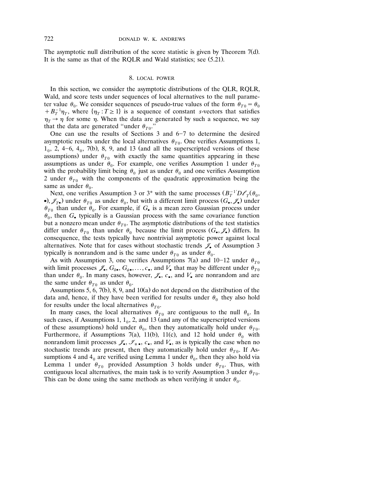The asymptotic null distribution of the score statistic is given by Theorem  $7(d)$ . It is the same as that of the RQLR and Wald statistics; see  $(5.21)$ .

#### 8. LOCAL POWER

In this section, we consider the asymptotic distributions of the QLR, RQLR, Wald, and score tests under sequences of local alternatives to the null parameter value  $\theta_0$ . We consider sequences of pseudo-true values of the form  $\theta_{T0} = \theta_0 + B_T^{-1} \eta_T$ , where  $\{\eta_T : T \ge 1\}$  is a sequence of constant *s*-vectors that satisfies  $\eta_T \rightarrow \eta$  for some  $\eta$ . When the data are generated by such a sequence, we say that the data are generated "under  $\theta_{T0}$ ."

One can use the results of Sections  $3$  and  $6-7$  to determine the desired asymptotic results under the local alternatives  $\theta_{T0}$ . One verifies Assumptions 1,  $1<sub>0</sub>$ , 2, 4–6, 4 $<sub>0</sub>$ , 7(b), 8, 9, and 13 (and all the superscripted versions of these</sub> assumptions) under  $\theta_{T0}$  with exactly the same quantities appearing in these assumptions as under  $\theta_0$ . For example, one verifies Assumption 1 under  $\theta_{T0}$ with the probability limit being  $\theta_0$  just as under  $\theta_0$  and one verifies Assumption 2 under  $\theta_{T0}$  with the components of the quadratic approximation being the same as under  $\theta_0$ .

Next, one verifies Assumption 3 or 3<sup>\*</sup> with the same processes  $(B_T^{-1}D\mathscr{O}_T(\theta_0,$  $\bullet$ ),  $\mathscr{J}_{T\bullet}$ ) under  $\theta_{T0}$  as under  $\theta_0$ , but with a different limit process  $(G_{\bullet}, \mathscr{J}_{\bullet})$  under  $\theta_{T0}$  than under  $\theta_0$ . For example, if  $G_{\bullet}$  is a mean zero Gaussian process under  $\theta_0$ , then  $G_{\bullet}$  typically is a Gaussian process with the same covariance function but a nonzero mean under  $\theta_{T0}$ . The asymptotic distributions of the test statistics differ under  $\theta_{T0}$  than under  $\theta_0$  because the limit process  $(G_{\bullet}, \mathscr{J}_{\bullet})$  differs. In consequence, the tests typically have nontrivial asymptotic power against local alternatives. Note that for cases without stochastic trends  $\mathscr{J}_{\bullet}$  of Assumption 3 typically is nonrandom and is the same under  $\theta_{T0}$  as under  $\theta_{0}$ .

As with Assumption 3, one verifies Assumptions 7(a) and 10-12 under  $\theta_{T0}$ with limit processes  $\mathscr{J}_\bullet$ ,  $G_{\delta\bullet}$ ,  $G_{\psi\bullet}$ , ...,  $c_{\bullet}$ , and  $V_{\bullet}$  that may be different under  $\theta_{T0}$ than under  $\theta_0$ . In many cases, however,  $\mathscr{J}_\bullet$ ,  $c_{\bullet}$ , and  $V_{\bullet}$  are nonrandom and are the same under  $\theta_{T0}$  as under  $\theta_0$ .

Assumptions 5, 6, 7(b), 8, 9, and  $10(a)$  do not depend on the distribution of the data and, hence, if they have been verified for results under  $\theta_0$  they also hold for results under the local alternatives  $\theta_{T0}$ .

In many cases, the local alternatives  $\theta_{T0}$  are contiguous to the null  $\theta_0$ . In such cases, if Assumptions 1,  $1_0$ , 2, and 13 (and any of the superscripted versions of these assumptions) hold under  $\theta_0$ , then they automatically hold under  $\theta_{T0}$ . Furthermore, if Assumptions 7(a), 11(b), 11(c), and 12 hold under  $\theta_0$  with nonrandom limit processes  $\mathcal{J}_{\bullet}, \mathcal{I}_{\ast}, c_{\bullet}$ , and  $V_{\bullet}$ , as is typically the case when no stochastic trends are present, then they automatically hold under  $\theta_{T0}$ . If Assumptions 4 and  $4<sub>0</sub>$  are verified using Lemma 1 under  $\theta<sub>0</sub>$ , then they also hold via Lemma 1 under  $\theta_{T0}$  provided Assumption 3 holds under  $\theta_{T0}$ . Thus, with contiguous local alternatives, the main task is to verify Assumption 3 under  $\theta_{T0}$ . This can be done using the same methods as when verifying it under  $\theta_0$ .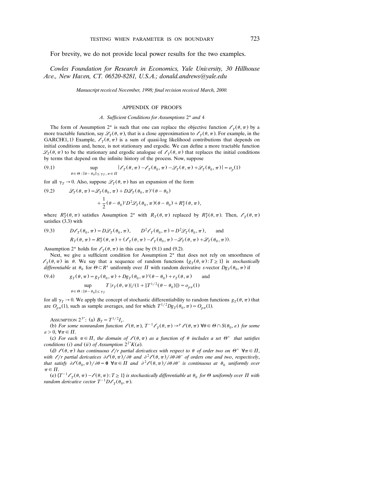For brevity, we do not provide local power results for the two examples.

*Cowles Foundation for Research in Economics, Yale Uni ersity, 30 Hillhouse A e., New Ha en, CT. 06520-8281, U.S.A.; donald.andrews*@*yale.edu*

*Manuscript received November, 1998; final revision received March, 2000.* 

#### APPENDIX OF PROOFS

#### *A*. *Sufficient Conditions for Assumptions* 2\* *and* 4

The form of Assumption 2<sup>\*</sup> is such that one can replace the objective function  $\ell_T(\theta, \pi)$  by a more tractable function, say  $\mathscr{L}_T(\theta, \pi)$ , that is a close approximation to  $\mathscr{L}_T(\theta, \pi)$ . For example, in the GARCH(1,1) Example,  $\ell_T(\theta, \pi)$  is a sum of quasi-log likelihood contributions that depends on initial conditions and, hence, is not stationary and ergodic. We can define a more tractable function  $\mathscr{L}_T(\theta, \pi)$  to be the stationary and ergodic analogue of  $\ell_T(\theta, \pi)$  that replaces the initial conditions by terms that depend on the infinite history of the process. Now, suppose

(9.1) 
$$
\sup_{\theta \in \Theta : \|\theta - \theta_0\| \leq \gamma_T, \pi \in \Pi} |\mathcal{E}_T(\theta, \pi) - \mathcal{E}_T(\theta_0, \pi) - \mathcal{L}_T(\theta, \pi) + \mathcal{L}_T(\theta_0, \pi)| = o_p(1)
$$

for all  $\gamma_T \rightarrow 0$ . Also, suppose  $\mathcal{L}_T(\theta, \pi)$  has an expansion of the form

(9.2) 
$$
\mathcal{L}_T(\theta, \pi) = \mathcal{L}_T(\theta_0, \pi) + D\mathcal{L}_T(\theta_0, \pi)'(\theta - \theta_0)
$$

$$
+ \frac{1}{2}(\theta - \theta_0)'D^2 \mathcal{L}_T(\theta_0, \pi)(\theta - \theta_0) + R_T^*(\theta, \pi),
$$

where  $R^*_T(\theta, \pi)$  satisfies Assumption 2<sup>\*</sup> with  $R_T(\theta, \pi)$  replaced by  $R^*_T(\theta, \pi)$ . Then,  $\ell_T(\theta, \pi)$ satisfies (3.3) with

(9.3) 
$$
D\ell_T(\theta_0, \pi) = D\mathcal{L}_T(\theta_0, \pi), \qquad D^2\ell_T(\theta_0, \pi) = D^2\mathcal{L}_T(\theta_0, \pi), \qquad \text{and}
$$

$$
R_T(\theta, \pi) = R_T^*(\theta, \pi) + (\ell_T(\theta, \pi) - \ell_T(\theta_0, \pi) - \mathcal{L}_T(\theta, \pi) + \mathcal{L}_T(\theta_0, \pi)).
$$

Assumption 2<sup>\*</sup> holds for  $\ell_T(\theta, \pi)$  in this case by (9.1) and (9.2).

Next, we give a sufficient condition for Assumption 2\* that does not rely on smoothness of  $l_f(\theta, \pi)$  in  $\theta$ . We say that a sequence of random functions  $\{g_f(\theta, \pi): T \geq 1\}$  is *stochastically* differentiable at  $\theta_0$  for  $\Theta \subset \mathbb{R}^s$  uniformly over  $\Pi$  with random derivative s-vector  $Dg_T(\theta_0, \pi)$  if

(9.4) 
$$
g_T(\theta, \pi) = g_T(\theta_0, \pi) + Dg_T(\theta_0, \pi)'(\theta - \theta_0) + r_T(\theta, \pi) \quad \text{and}
$$

$$
\sup_{\theta \in \Theta : \|\theta - \theta_0\| \le \gamma_T} T |r_T(\theta, \pi)| / (1 + \|T^{1/2}(\theta - \theta_0)\|) = o_{p\pi}(1)
$$

for all  $\gamma_T \rightarrow 0$ . We apply the concept of stochastic differentiability to random functions  $g_T(\theta, \pi)$  that are  $O_{p\pi}(1)$ , such as sample averages, and for which  $T^{1/2}Dg_T(\theta_0, \pi) = O_{p\pi}(1)$ .

ASSUMPTION 2<sup>3\*</sup>: (a)  $B_T = T^{1/2}I_s$ .

(b) For some nonrandom function  $\ell(\theta, \pi)$ ,  $T^{-1}\ell_T(\theta, \pi) \to^p \ell(\theta, \pi)$   $\forall \theta \in \Theta \cap S(\theta_0, \varepsilon)$  for some  $\varepsilon > 0$ ,  $\forall \pi \in \Pi$ .

(c) For each  $\pi \in \Pi$ , the domain of  $\ell(\theta, \pi)$  as a function of  $\theta$  includes a set  $\Theta^+$  that satisfies conditions (i) and (ii) of Assumption  $2^{2*}K(a)$ .

(d)  $\ell(\theta, \pi)$  has continuous  $\ell/r$  partial derivatives with respect to  $\theta$  of order two on  $\Theta^+$   $\forall \pi \in \Pi$ , with  $\ell/r$  partial derivatives  $\partial \ell(\theta, \pi)/\partial \theta$  and  $\partial^2 \ell(\theta, \pi)/\partial \theta \partial \theta'$  of orders one and two, respectively, that satisfy  $\partial \ell(\theta_0, \pi) / \partial \theta = \mathbf{0}$   $\forall \pi \in \Pi$  and  $\partial^2 \ell(\theta, \pi) / \partial \theta \partial \theta'$  is continuous at  $\theta_0$  uniformly over  $\pi \in \Pi$ .

(e)  $\{T^{-1}\ell_{T}(\theta,\pi)-\ell(\theta,\pi):T\geq 1\}$  is stochastically differentiable at  $\theta_0$  for  $\Theta$  uniformly over  $\Pi$  with random derivative vector  $T^{-1}D\ell_{T}(\theta_0,\pi)$ .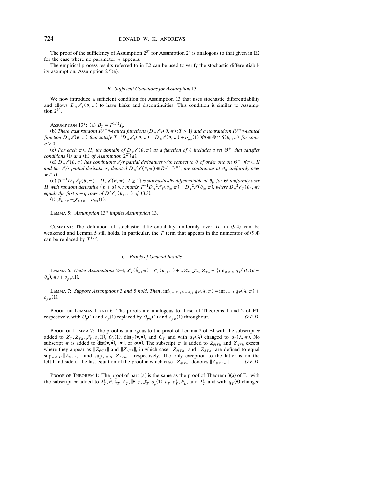The proof of the sufficiency of Assumption  $2^{3*}$  for Assumption  $2^*$  is analogous to that given in E2 for the case where no parameter  $\pi$  appears.

The empirical process results referred to in E2 can be used to verify the stochastic differentiabil ity assumption, Assumption  $2^{3*}(e)$ .

#### *B*. *Sufficient Conditions for Assumption* 13

We now introduce a sufficient condition for Assumption 13 that uses stochastic differentiability and allows  $D_*\ell_\tau(\theta, \pi)$  to have kinks and discontinuities. This condition is similar to Assumption  $2^{3^*}$ .

ASSUMPTION 13<sup>\*</sup>: (a)  $B_T = T^{1/2}I_s$ .

(b) There exist random  $R^{p+q}$ -valued functions  $\{D_* \mathscr{L}_T(\theta, \pi) : T \geq 1\}$  and a nonrandom  $R^{p+q}$ -valued function  $D_*\ell(\theta, \pi)$  that satisfy  $T^{-1}D_*\ell_T(\theta, \pi) = D_*\ell(\theta, \pi) + o_{p\pi}(1)$   $\forall \theta \in \Theta \cap S(\theta_0, \varepsilon)$  for some  $\varepsilon > 0$ .

(c) For each  $\pi \in \Pi$ , the domain of  $D_*\ell(\theta, \pi)$  as a function of  $\theta$  includes a set  $\Theta^+$  that satisfies *conditions* (i) and (ii) of Assumption  $2^{2^*}(a)$ .

(d)  $D_*\ell(\theta, \pi)$  has continuous  $\ell/r$  partial derivatives with respect to  $\theta$  of order one on  $\Theta^+$   $\forall \pi \in \Pi$ and the  $\ell/r$  partial derivatives, denoted  $D_*^2 \ell(\theta, \pi) \in R^{(p+q)\times s}$ , are continuous at  $\theta_0$  uniformly over  $\pi \in \Pi$ .

(e)  $\{T^{-1}D_*\ell_\tau(\theta,\pi) - D_*\ell(\theta,\pi) : T \ge 1\}$  is stochastically differentiable at  $\theta_0$  for  $\Theta$  uniformly over *II* with random derivative  $(p+q) \times s$  matrix  $T^{-1}D_*^2 \ell_T(\theta_0, \pi) - D_*^2 \ell(\theta_0, \pi)$ , where  $D_*^2 \ell_T(\theta_0, \pi)$  equals the first  $p+q$  rows of  $D^2 \ell_T(\theta_0, \pi)$  of (3.3). equals the first  $p + q$  rows of  $D^2 \mathcal{O}_T(\theta_0, \pi)$  of (3.3).<br>(f)  $\hat{\mathcal{J}}_{\hat{\ast} T\pi} = \mathcal{J}_{\hat{\ast} T\pi} + o_{p\pi}(1)$ .

LEMMA 5: *Assumption* 13\* *implies Assumption* 13.

COMMENT: The definition of stochastic differentiability uniformly over  $\Pi$  in (9.4) can be weakened and Lemma 5 still holds. In particular, the  $T$  term that appears in the numerator of  $(9.4)$ can be replaced by  $T^{1/2}$ .

#### *C*. *Proofs of General Results*

LEMMA 6: *Under Assumptions* 2–4,  $\ell_T(\hat{\theta}_\pi, \pi) = \ell_T(\theta_0, \pi) + \frac{1}{2} Z'_{T\pi} \mathscr{J}_{T\pi} Z_{T\pi} - \frac{1}{2} \text{inf}_{\theta \in \Theta} q_T (B_T(\theta \theta_0$ ,  $\pi$ ) +  $o_{p\pi}$ (1).

LEMMA 7: Suppose Assumptions 3 and 5 hold. Then,  $\inf_{\lambda \in B_T(\Theta - \theta_0)} q_T(\lambda, \pi) = \inf_{\lambda \in \Lambda} q_T(\lambda, \pi) +$  $o_{p\pi}(1)$ .

PROOF OF LEMMAS 1 AND 6: The proofs are analogous to those of Theorems 1 and 2 of E1, respectively, with  $O_p(1)$  and  $o_p(1)$  replaced by  $O_{p\pi}(1)$  and  $o_{p\pi}(1)$  throughout.  $Q.E.D.$ 

PROOF OF LEMMA 7: The proof is analogous to the proof of Lemma 2 of E1 with the subscript  $\pi$ added to  $Z_T$ ,  $Z_{T_b}$ ,  $\mathcal{J}_T$ ,  $o_p(1)$ ,  $O_p(1)$ , dist<sub>T</sub>( $\bullet$ , $\bullet$ ), and  $C_T$  and with  $q_T(\lambda)$  changed to  $q_T(\lambda, \pi)$ . No subscript  $\pi$  is added to dist( $\bullet$ ,  $\bullet$ ),  $\parallel \bullet \parallel$ , or  $o(\bullet)$ . The subscript  $\pi$  is added to  $Z_{\theta T b}$  and  $Z_{\Lambda T b}$  except where they appear as  $||Z_{\theta T_b}||$  and  $||Z_{\Lambda T_b}||$ , in which case  $||Z_{\theta T_b}||$  and  $||Z_{\Lambda T_b}||$  are defined to equal  $\sup_{\pi \in \Pi} \|Z_{\theta T b \pi}\|$  and  $\sup_{\pi \in \Pi} \|Z_{\Lambda T b \pi}\|$  respectively. The only exception to the latter is on the left-hand side of the last equation of the proof in which case  $\|Z_{\theta T b}\|$  denotes  $\|Z_{\theta T b\pi}\|$ . *Q.E.D.* 

PROOF OF THEOREM 1: The proof of part (a) is the same as the proof of Theorem  $3(a)$  of E1 with the subscript  $\pi$  added to  $\lambda_T^*, \hat{\theta}, \hat{\lambda}_T, Z_T, \|\bullet\|_T, \mathscr{J}_T, o_p(1), \varepsilon_T, \varepsilon_T^*, P_L$ , and  $\lambda_T^*$  and with  $q_T(\bullet)$  changed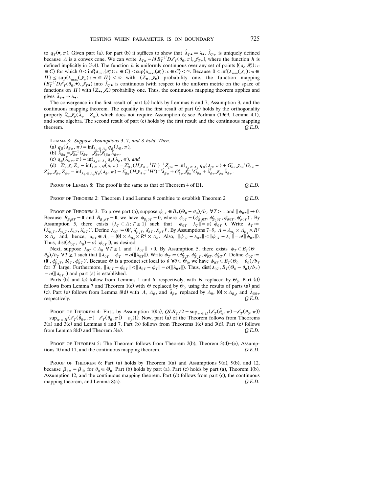to  $q_T(\bullet, \pi)$ . Given part (a), for part (b) it suffices to show that  $\hat{\lambda}_{T\bullet} \to \lambda_{\bullet}$ .  $\hat{\lambda}_{T\pi}$  is uniquely defined because A is a convex cone. We can write  $\hat{\lambda}_{T\pi} = h(B_T^{-1}D\mathscr{O}_T(\theta_0, \pi), \mathscr{J}_{T\pi})$ , where the function h is defined implicitly in (3.4). The function h is uniformly continuous over any set of points  $\{(\lambda_c, \mathscr{H}_c) : c \}$  $\epsilon \in C$  for which  $0 \le \inf \{\lambda_{\min}(\mathscr{H}_c) : c \in C\} \le \sup \{\lambda_{\max}(\mathscr{H}_c) : c \in C\} \le \infty$ . Because  $0 \le \inf \{\lambda_{\min}(\mathscr{F}_\pi) : \pi \in C\}$  $\Pi$   $\leq$  sup $\{\lambda_{\max}(\mathscr{J}_\pi): \pi \in \Pi\}$   $\lt \infty$  with  $(Z_\bullet, \mathscr{J}_\bullet)$  probability one, the function mapping  $(B_T^{-1}D\ell_T(\theta_0, \bullet), \mathscr{J}_T\bullet)$  into  $\hat{\lambda}_T\bullet$  is continuous (with respect to the uniform metric on the space of functions on  $\Pi$ ) with  $(Z_{\bullet}, \mathscr{J}_{\bullet})$  probability one. Thus, the continuous mapping theorem applies and gives  $\hat{\lambda}_T \bullet \Rightarrow \lambda \bullet$ .

The convergence in the first result of part (c) holds by Lemmas  $6$  and  $7$ , Assumption 3, and the continuous mapping theorem. The equality in the first result of part (c) holds by the orthogonality property  $\lambda'_\pi \mathscr{J}_\pi(\lambda_\pi - Z_\pi)$ , which does not require Assumption 6; see Perlman (1969, Lemma 4.1), and some algebra. The second result of part (c) holds by the first result and the continuous mapping theorem. *Q.E.D.*

LEMMA 8: *Suppose Assumptions* 3, 7, *and* 8 *hold*. *Then*, (a)  $q_\beta(\hat{\lambda}_{\beta\pi}, \pi) = \inf_{\lambda_{\beta} \in \Lambda_{\beta}} q_\beta(\lambda_{\beta}, \pi),$ <br>
(b)  $\hat{\lambda}_{\delta \pi} = \mathcal{F}_{\delta \pi}^{-1} G_{\delta \pi} - \mathcal{F}_{\delta \pi}^{-1} \mathcal{F}_{\delta \beta \pi} \hat{\lambda}_{\beta \pi},$ <br>
(c)  $q_\psi(\hat{\lambda}_{\psi \pi}, \pi) = \inf_{\lambda_{\psi} \in \Lambda_{\psi}} q_\psi(\lambda_{\psi}, \pi),$  and (d)  $Z'_\pi \mathcal{J}_\pi Z_\pi - \inf_{\lambda \in A} \frac{q(\lambda, \pi)}{q(\lambda, \pi)} = Z'_{\beta\pi} (H \mathcal{J}_\pi \frac{1}{\pi} H')^{-1} Z_{\beta\pi} - \inf_{\lambda \in A} q_\beta (\lambda_\beta, \pi) + G'_{\delta\pi} \mathcal{J}_{\delta\pi}^{-1} G_{\delta\pi} + Z'_{\psi\pi} \mathcal{J}_{\psi\pi} Z_{\psi\pi} - \inf_{\lambda \in A} q_\psi (\lambda_\psi, \pi) = \hat{\lambda}_{\beta\pi} (H \mathcal{J}_\pi \frac{1}{\pi} H')^{-1} \$ 

PROOF OF LEMMA 8: The proof is the same as that of Theorem 4 of E1. *Q.E.D.*

PROOF OF THEOREM 2: Theorem 1 and Lemma 8 combine to establish Theorem 2. *Q.E.D.*

PROOF OF THEOREM 3: To prove part (a), suppose  $\phi_{0T} \in B_T(\Theta_0 - \theta_0)/b_T \forall T \ge 1$  and  $\|\phi_{0T}\| \to 0$ . Because  $B_{\beta_1 \delta T} = \mathbf{0}$  and  $B_{\beta_1 \psi T} = \mathbf{0}$ , we have  $\phi_{\beta_1 0 T} = 0$ , where  $\phi_{0T} = (\phi_{\beta_1 0 T}', \phi_{\beta_2 0 T}', \phi_{\delta 0 T}', \phi_{\psi_0 T}')'$ . By Assumption 5, there exists  $\{\lambda_T \in \Lambda : T \ge 1\}$  such that  $\|\phi_{0T} - \lambda_T\| = o(\|\phi_{0T}\|)$ . Write  $\lambda_T =$  $(\lambda'_{\beta_1T}, \lambda'_{\beta_2T}, \lambda'_{\delta T}, \lambda'_{\psi T})'$ . Define  $\lambda_{0T} = (0', \lambda'_{\beta_2T}, \lambda'_{\delta T}, \lambda'_{\psi T})'$ . By Assumptions 7-9,  $A = \Lambda_{\beta_1} \times \Lambda_{\beta_2} \times R^q$ <br>  $\times \Lambda_{\psi}$  and, hence,  $\lambda_{0T} \in \Lambda_0 := \{0\} \times \Lambda_{\beta_2} \times R^q \times \Lambda_{\psi}$ . Also,  $\|\phi_{0T} -$ Thus, dist $(\phi_{0T}, \Lambda_0) = o(||\phi_{0T}||)$ , as desired.

Next, suppose  $\lambda_{0T} \in A_0$   $\forall T \ge 1$  and  $\|\lambda_{0T}\| \to 0$ . By Assumption 5, there exists  $\phi_T \in B_T(\Theta - \Theta)$  $\langle \theta_0 \rangle / \langle \theta_T \rangle$   $\forall T \ge 1$  such that  $\|\lambda_{0T} - \phi_T\| = o(\|\lambda_{0T}\|)$ . Write  $\phi_T := (\phi_{\beta_1T}', \phi_{\beta_2T}', \phi_{\delta T}', \phi_{\psi T}')'$ . Define  $\phi_{0T} :=$  $(0', \phi'_{\beta_2T}, \phi'_{\delta T}, \phi'_{\psi T})'$ . Because  $\Theta$  is a product set local to  $\theta \ \forall \theta \in \Theta_0$ , we have  $\phi_{0T} \in B_T(\Theta_0 - \theta_0)/b_T$ for *T* large. Furthermore,  $\|\lambda_{0T} - \phi_{0T}\| \le \|\lambda_{0T} - \phi_T\| = o(\|\lambda_{0T}\|)$ . Thus, dist $(\lambda_{0T}, B_T(\Theta_0 - \theta_0)/b_T)$  $= o(||\lambda_{0T}||)$  and part (a) is established.

Parts (b) and (c) follow from Lemmas 1 and 6, respectively, with  $\Theta$  replaced by  $\Theta_0$ . Part (d) follows from Lemma 7 and Theorem 1(c) with  $\Theta$  replaced by  $\Theta_0$  using the results of parts (a) and (c). Part (e) follows from Lemma 8(d) with  $\Lambda$ ,  $\Lambda_{\beta}$ , and  $\hat{\lambda}_{\beta\pi}$  replaced by  $\Lambda_0$ ,  $\{0\} \times \Lambda_{\beta}$ , and  $\hat{\lambda}_{\beta 0\pi}$ respectively. *Q.E.D.*

PROOF OF THEOREM 4: First, by Assumption 10(a),  $QLR_T/2 = \sup_{\pi \in \Pi} (\mathscr{O}_T(\hat{\theta}_\pi, \pi) - \mathscr{O}_T(\theta_0, \pi))$  $-\sup_{\pi \in \Pi} (\ell_{T}(\hat{\theta}_{0\pi}, \pi) - \ell_{T}(\theta_{0}, \pi)) + o_{p}(1)$ . Now, part (a) of the Theorem follows from Theorems  $3(a)$  and  $3(c)$  and Lemmas 6 and 7. Part (b) follows from Theorems 1(c) and  $3(d)$ . Part (c) follows from Lemma  $8(d)$  and Theorem  $3(e)$ .  $Q.E.D.$ 

PROOF OF THEOREM 5: The Theorem follows from Theorem 2(b), Theorem 3(d)–(e), Assumptions 10 and 11, and the continuous mapping theorem. *Q.E.D.*

PROOF OF THEOREM 6: Part (a) holds by Theorem 1(a) and Assumptions 9(a), 9(b), and 12, because  $\beta_{1*} = \beta_{10}$  for  $\theta_0 \in \Theta_0$ . Part (b) holds by part (a). Part (c) holds by part (a), Theorem 1(b), Assumption 12, and the continuous mapping theorem. Part (d) follows from part (c), the continuous mapping theorem, and Lemma  $8(a)$ .  $Q.E.D.$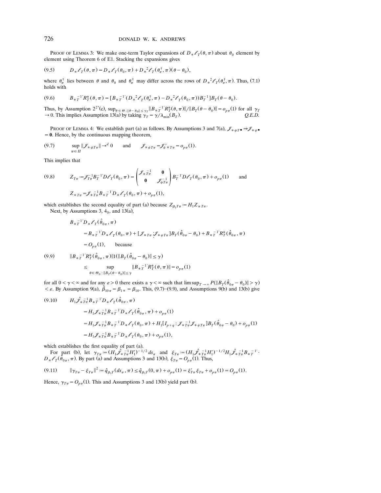PROOF OF LEMMA 3: We make one-term Taylor expansions of  $D_* \mathcal{E}_T(\theta, \pi)$  about  $\theta_0$  element by element using Theorem 6 of E1. Stacking the expansions gives

$$
(9.5) \tD_* \ell_T(\theta, \pi) = D_* \ell_T(\theta_0, \pi) + D_*^2 \ell_T(\theta_{\pi}^{\dagger}, \pi) (\theta - \theta_0),
$$

where  $\theta_{\pi}^{\dagger}$  lies between  $\theta$  and  $\theta_0$  and  $\theta_{\pi}^{\dagger}$  may differ across the rows of  $D_*^2 \mathcal{E}_T(\theta_{\pi}^{\dagger}, \pi)$ . Thus, (7.1) holds with

$$
(9.6) \tB_{*T}^{-1}R_{T}^{*}(\theta,\pi) = [B_{*T}^{-1'}(D_{*}^{2}\mathscr{L}_{T}(\theta_{\pi}^{+},\pi) - D_{*}^{2}\mathscr{L}_{T}(\theta_{0},\pi))B_{T}^{-1}]B_{T}(\theta-\theta_{0}).
$$

Thus, by Assumption  $2^{2^*}(c)$ ,  $\sup_{\theta \in \Theta : \|\theta - \theta_0\| \le \gamma_T} \|B_{*}T^{-1}R_T^*(\theta, \pi)\| / \|B_T(\theta - \theta_0)\| = o_{p\pi}(1)$  for all  $\gamma_T$  $\rightarrow$  0. This implies Assumption 13(a) by taking  $\gamma_T = \gamma / \lambda_{\min}(B_T)$ . Q.E.D.

Proof of Lemma 4: We establish part (a) as follows. By Assumptions 3 and 7(a),  $\mathcal{J}_{\ast \psi T} \bullet \Rightarrow \mathcal{J}_{\ast \psi} \bullet$ **0**. Hence, by the continuous mapping theorem,

$$
(9.7) \quad \sup_{\pi \in \Pi} \|\mathcal{J}_{\ast \psi T \pi}\| \to^d 0 \quad \text{and} \quad \mathcal{J}_{\ast \psi T \pi} = \mathcal{J}'_{\psi \ast T \pi} = o_{p\pi}(1).
$$

This implies that

(9.8) 
$$
Z_{T\pi} := \mathcal{J}_{T\pi}^{-1} B_T^{-1} D \mathcal{L}_T(\theta_0, \pi) = \begin{pmatrix} \mathcal{J}_{\ast} \frac{-1}{T\pi} & \mathbf{0} \\ \mathbf{0} & \mathcal{J}_{\psi T\pi}^{-1} \end{pmatrix} B_T^{-1} D \mathcal{L}_T(\theta_0, \pi) + o_{p\pi}(1) \quad \text{and}
$$

$$
Z_{\ast T\pi} = \mathcal{J}_{\ast} \frac{-1}{T\pi} B_{\ast} \frac{-1}{T} D_{\ast} \mathcal{L}_T(\theta_0, \pi) + o_{p\pi}(1),
$$

which establishes the second equality of part (a) because  $Z_{\beta_1 T \pi} = H_1 Z_{\gamma T \pi}$ .

Next, by Assumptions 3,  $4<sub>0</sub>$ , and 13(a),

$$
B_{\ast T}^{-1}D_{\ast} \ell_{T}(\hat{\theta}_{0\pi}, \pi)
$$
  
\n
$$
= B_{\ast T}^{-1}D_{\ast} \ell_{T}(\theta_{0}, \pi) + [\mathcal{J}_{\ast T\pi} \mathcal{J}_{\ast \psi T\pi}]B_{T}(\hat{\theta}_{0\pi} - \theta_{0}) + B_{\ast T}^{-1}R_{T}^{\ast}(\hat{\theta}_{0\pi}, \pi)
$$
  
\n
$$
= O_{p\pi}(1), \qquad \text{because}
$$
  
\n(9.9) 
$$
||B_{\ast T}^{-1}R_{T}^{\ast}(\hat{\theta}_{0\pi}, \pi)||1(||B_{T}(\hat{\theta}_{0\pi} - \theta_{0})|| \leq \gamma)
$$
  
\n
$$
\leq \sup_{\theta \in \Theta_{0} : ||B_{T}(\theta - \theta_{0})|| \leq \gamma} ||B_{\ast T}^{-1}R_{T}^{\ast}(\theta, \pi)|| = o_{p\pi}(1)
$$

for all  $0 < \gamma < \infty$  and for any  $\varepsilon > 0$  there exists a  $\gamma < \infty$  such that  $\limsup_{T \to \infty} P(||B_T(\hat{\theta}_{0\pi} - \theta_0)|| > \gamma)$  $\langle \epsilon, \epsilon \rangle$ . By Assumption 9(a),  $\hat{\beta}_{10\pi} = \beta_{1*} = \beta_{10}$ . This, (9.7)–(9.9), and Assumptions 9(b) and 13(b) give

(9.10) 
$$
H_1 \hat{\mathcal{J}}_*^{-1} B_*^{-1} D_* \mathcal{L}_T (\hat{\theta}_{0\pi}, \pi)
$$
  
\n
$$
= H_1 \mathcal{J}_*^{-1} B_*^{-1} D_* \mathcal{L}_T (\hat{\theta}_{0\pi}, \pi) + o_{p\pi}(1)
$$
  
\n
$$
= H_1 \mathcal{J}_*^{-1} B_*^{-1} D_* \mathcal{L}_T (\theta_0, \pi) + H_1 [I_{p+q} : \mathcal{J}_*^{-1} \mathcal{J}_* \psi_{T\pi}] B_T (\hat{\theta}_{0\pi} - \theta_0) + o_{p\pi}(1)
$$
  
\n
$$
= H_1 \mathcal{J}_*^{-1} B_*^{-1} D_* \mathcal{L}_T (\theta_0, \pi) + o_{p\pi}(1),
$$

which establishes the first equality of part (a).

For part (b), let  $\gamma_{T_{\pi}} := (H_1 \hat{\mathscr{J}}_{* T_{\pi}}^{-1} H_1')^{-1/2} ds_{\pi}$  and  $\xi_{T_{\pi}} := (H_1 \hat{\mathscr{J}}_{* T_{\pi}}^{-1} H_1')^{-1/2} H_1 \hat{\mathscr{J}}_{* T_{\pi}}^{-1} B_{* T}^{-1}$ .  $D_*\ell_T(\hat{\theta}_{0\pi}, \pi)$ . By part (a) and Assumptions 3 and 13(b),  $\xi_{T\pi} = O_{p\pi}(1)$ . Thus,

$$
(9.11) \qquad \|\gamma_{T\pi} - \xi_{T\pi}\|^2 = \hat{q}_{\beta_1 T}(ds_\pi, \pi) \le \hat{q}_{\beta_1 T}(0, \pi) + o_{p\pi}(1) = \xi'_{T\pi} \xi_{T\pi} + o_{p\pi}(1) = O_{p\pi}(1).
$$

Hence,  $\gamma_{T\pi} = O_{p\pi}(1)$ . This and Assumptions 3 and 13(b) yield part (b).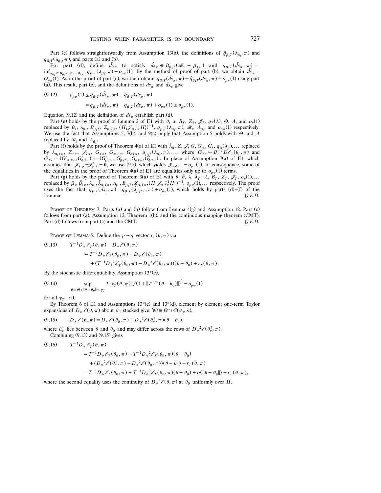Part (c) follows straightforwardly from Assumption 13(b), the definitions of  $\hat{q}_{\beta_1 T}(\lambda_{\beta_1}, \pi)$  and  $q_{\beta_1}(\lambda_{\beta_1}, \pi)$ , and parts (a) and (b).

For part (d), define  $\tilde{ds}_{\pi}$  to satisfy  $\tilde{ds}_{\pi} \in B_{\beta_1 T}(\mathscr{B}_1 - \beta_{1*})$  and  $q_{\beta_1 T}(\tilde{ds}_{\pi}, \pi) =$  $\inf_{\lambda_{\beta_1} \in B_{\beta_1} \cap (\mathscr{B}_1 - \beta_{1*})} q_{\beta_1} \cap (\lambda_{\beta_1}, \pi) + o_{p\pi}(1)$ . By the method of proof of part (b), we obtain  $\tilde{ds}_\pi =$  $O_{p,\pi}(1)$ . As in the proof of part (c), we then obtain  $q_{\beta_1T}(\tilde{ds}_\pi, \pi) = \hat{q}_{\beta_1T}(\tilde{ds}_\pi, \pi) + o_{p,\pi}(1)$  using part (a). This result, part (c), and the definitions of  $ds_{\pi}$  and  $\bar{ds}_{\pi}$  give

$$
\begin{array}{ll} (9.12) \qquad & o_{p\pi}(1) \leq \hat{q}_{\beta_1 T}(\tilde{ds}_\pi\,,\pi\, - \hat{q}_{\beta_1 T}(ds_\pi\,,\pi\,) \\[1ex] & = q_{\beta_1 T}(\tilde{ds}_\pi\,,\pi\, - q_{\beta_1 T}(ds_\pi\,,\pi\, ) + o_{p\pi}(1) \leq o_{p\pi}(1). \end{array}
$$

Equation (9.12) and the definition of  $\tilde{ds}_\pi$  establish part (d).

Part (e) holds by the proof of Lemma 2 of E1 with  $\theta$ ,  $\lambda$ ,  $B_T$ ,  $Z_T$ ,  $\mathcal{I}_T$ ,  $q_T(\lambda)$ ,  $\Theta$ ,  $\Lambda$ , and  $o_p(1)$ replaced by  $\beta_1$ ,  $\lambda_{\beta_1}$ ,  $B_{\beta_1}$ ,  $Z_{\beta_1 T_{\pi}}$ ,  $(H_1 \mathcal{J}_{\pi}^{-1} H_1')^{-1}$ ,  $q_{\beta_1}T(\lambda_{\beta_1}, \pi)$ ,  $\mathcal{J}_1$ ,  $\Lambda_{\beta_1}$ , and  $o_{\rho\pi}(1)$  respectively.<br>We use the fact that Assumptions 5, 7(b), and 9(c) imply that replaced by  $\mathscr{B}_1$  and  $\Lambda_{\beta_1}$ .

Part (f) holds by the proof of Theorem 4(a) of E1 with  $\hat{\lambda}_{\beta}$ , Z, J, G, G<sub>\*</sub>, G<sub>δ</sub>,  $q_{\beta}(\lambda_{\beta})$ ,... replaced by  $\hat{\lambda}_{\beta_1 T \pi}$ ,  $Z_{T \pi}$ ,  $\mathcal{J}_{T \pi}$ ,  $G_{T \pi}$ ,  $G_{\gamma \pi}$ ,  $G_{\delta T \pi}$ ,  $q_{\beta_1 T}(\lambda_{\beta_1}, \pi)$ ,..., where  $G_{T \pi} := B_T^{-1} D \mathcal{O}_T(\theta_0, \pi)$  and  $\hat{\lambda}_{\beta_1 T \pi}$ ,  $Z_{T \pi}$ ,  $\mathcal{J}_{T \pi}$ ,  $G_{\gamma \pi}$ ,  $G_{\gamma \pi}$ ,  $q_{\beta_1 T}(\lambda_{\$  $G_{T_{\pi}} := (G'_{*T_{\pi}}, G'_{\psi T_{\pi}})' := (G'_{\beta_1 T_{\pi}}, G'_{\beta_2 T_{\pi}}, G'_{\delta T_{\pi}}, G'_{\psi T_{\pi}})'$ . In place of Assumption 7(a) of E1, which assumes that  $\mathcal{J}_{* \psi} = \mathcal{J}'_{\psi} = 0$ , we use (9.7), which yields  $\mathcal{J}_{* \psi T_{\pi}} = o_{p_{\pi}}(1)$ . In the equalities in the proof of Theorem 4(a) of E1 are equalities only up to  $o_{n\pi}(1)$  terms.

Part (g) holds by the proof of Theorem 3(a) of E1 with  $\theta$ ,  $\bar{\theta}$ ,  $\lambda$ ,  $\lambda_T$ ,  $\Lambda$ ,  $\bar{B}_T$ ,  $Z_T$ ,  $\mathscr{I}_T$ ,  $\mathscr{I}_p$ ,  $\phi_p(1)$ ,... replaced by  $\beta_1$ ,  $\hat{\beta}_{1\pi}$ ,  $\lambda_{\beta_1}$ ,  $\hat{\lambda}_{\beta_1}$ ,  $\pi$ ,  $\Lambda_{\beta_1}$ ,  $B_{\beta_1}$ ,  $Z_{\beta_1}$ ,  $T_{\pi}$ ,  $(H_1 \mathcal{J}_{\pi} \tau_n^T H_1')^{-1}$ ,  $o_{p\pi}(1)$ ,... respectively. The proof uses the fact that  $q_{\beta_1}$  ( $ds_{\pi}$ ,  $\pi$ ) =

PROOF OF THEOREM 7: Parts (a) and (b) follow from Lemma  $4(g)$  and Assumption 12. Part (c) follows from part (a), Assumption 12, Theorem 1(b), and the continuous mapping theorem (CMT). Part (d) follows from part (c) and the CMT.  $Q.E.D.$ 

PROOF OF LEMMA 5: Define the  $p + q$  vector  $r_T(\theta, \pi)$  via

(9.13) 
$$
T^{-1}D_* \ell_T(\theta, \pi) - D_* \ell(\theta, \pi)
$$

$$
:= T^{-1}D_* \ell_T(\theta_0, \pi) - D_* \ell(\theta_0, \pi)
$$

$$
+ (T^{-1}D_*^2 \ell_T(\theta_0, \pi) - D_*^2 \ell(\theta_0, \pi)) (\theta - \theta_0) + r_T(\theta, \pi).
$$

By the stochastic differentiability Assumption  $13<sup>*</sup>(e)$ ,

(9.14) 
$$
\sup_{\theta \in \Theta : \|\theta - \theta_0\| \le \gamma_T} T \|r_T(\theta, \pi)\| / (1 + \|T^{1/2}(\theta - \theta_0)\|)^2 = o_{p\pi}(1)
$$

for all  $\gamma_T \rightarrow 0$ .

By Theorem 6 of E1 and Assumptions  $13*(c)$  and  $13*(d)$ , element by element one-term Taylor expansions of  $D_* \ell(\theta, \pi)$  about  $\theta_0$  stacked give:  $\forall \theta \in \Theta \cap C(\theta_0, \varepsilon)$ ,

(9.15) 
$$
D_* \ell(\theta, \pi) = D_* \ell(\theta_0, \pi) + D_*^2 \ell(\theta_{\pi}^{\dagger}, \pi)(\theta - \theta_0),
$$

where  $\theta_{\pi}^{\dagger}$  lies between  $\theta$  and  $\theta_0$  and may differ across the rows of  $D_*^2 \mathcal{L}(\theta_{\pi}^{\dagger}, \pi)$ . Combining  $(9.13)$  and  $(9.15)$  gives

(9.16) 
$$
T^{-1}D_* \ell_T(\theta, \pi)
$$
  
\t\t\t\t
$$
= T^{-1}D_* \ell_T(\theta_0, \pi) + T^{-1}D_*^2 \ell_T(\theta_0, \pi)(\theta - \theta_0)
$$
  
\t\t\t\t
$$
+ (D_*^2 \ell(\theta_\pi^+, \pi) - D_*^2 \ell(\theta_0, \pi))(\theta - \theta_0) + r_T(\theta, \pi)
$$
  
\t\t\t\t
$$
= T^{-1}D_* \ell_T(\theta_0, \pi) + T^{-1}D_*^2 \ell_T(\theta_0, \pi)(\theta - \theta_0) + o(\|\theta - \theta_0\|) + r_T(\theta, \pi),
$$

where the second equality uses the continuity of  $D_*^2 \ell(\theta, \pi)$  at  $\theta_0$  uniformly over  $\Pi$ .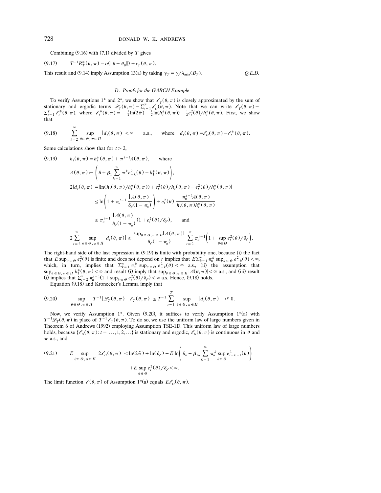Combining  $(9.16)$  with  $(7.1)$  divided by T gives

(9.17) 
$$
T^{-1}R_T^*(\theta, \pi) = o(||\theta - \theta_0||) + r_T(\theta, \pi).
$$

This result and (9.14) imply Assumption 13(a) by taking  $\gamma_T = \gamma / \lambda_{\min}(B_T)$ . *Q.E.D.* 

#### *D*. *Proofs for the GARCH Example*

To verify Assumptions 1<sup>\*</sup> and 2<sup>\*</sup>, we show that  $\ell_{\tau}(\theta, \pi)$  is closely approximated by the sum of stationary and ergodic terms  $\mathcal{L}_T(\theta, \pi) = \sum_{t=1}^T \ell_{tt}(\theta, \pi)$ . Note that we can write  $\ell_T(\theta, \pi) = \sum_{t=1}^T \ell_t^*(\theta, \pi)$ , where  $\ell_t^*(\theta, \pi) = -\frac{1}{2} \ln(2\pi) - \frac{1}{2} \ln(h_t^*(\theta, \pi)) - \frac{1}{2}e_t^2(\theta)/h_t^*(\theta, \pi)$ . First, we show that

$$
(9.18) \qquad \sum_{t=2}^{\infty} \sup_{\theta \in \Theta, \pi \in \Pi} |d_t(\theta, \pi)| < \infty \qquad \text{a.s.,} \qquad \text{where} \quad d_t(\theta, \pi) = \ell_{tt}(\theta, \pi) - \ell_t^*(\theta, \pi).
$$

Some calculations show that for  $t \geq 2$ ,

(9.19) 
$$
h_t(\theta, \pi) = h_t^*(\theta, \pi) + \pi^{t-1} A(\theta, \pi), \text{ where}
$$
  
\n
$$
A(\theta, \pi) := \left(\delta + \beta_1 \sum_{k=1}^{\infty} \pi^k e_{-k}^2(\theta) - h_1^*(\theta, \pi)\right),
$$
  
\n
$$
2|d_t(\theta, \pi)| = |\ln(h_t(\theta, \pi)/h_t^*(\theta, \pi)) + e_t^2(\theta)/h_t(\theta, \pi) - e_t^2(\theta)/h_t^*(\theta, \pi)|
$$
  
\n
$$
\leq \ln\left(1 + \pi_u^{t-1} \frac{|A(\theta, \pi)|}{\delta_\rho(1 - \pi_u)}\right) + e_t^2(\theta)\left|\frac{\pi_u^{t-1} A(\theta, \pi)}{h_t(\theta, \pi) h_t^*(\theta, \pi)}\right|
$$
  
\n
$$
\leq \pi_u^{t-1} \frac{|A(\theta, \pi)|}{\delta_\rho(1 - \pi_u)} (1 + e_t^2(\theta)/\delta_\rho), \text{ and}
$$
  
\n
$$
2\sum_{t=2}^{\infty} \sup_{\theta \in \Theta, \pi \in \Pi} |d_t(\theta, \pi)| \leq \frac{\sup_{\theta \in \Theta, \pi \in \Pi} |A(\theta, \pi)|}{\delta_\rho(1 - \pi_u)} \sum_{t=2}^{\infty} \pi_u^{t-1} \left(1 + \sup_{\theta \in \Theta} e_t^2(\theta)/\delta_\rho\right).
$$

The right-hand side of the last expression in (9.19) is finite with probability one, because (i) the fact that  $E \sup_{\theta \in \Theta} e_t^2(\theta)$  is finite and does not depend on *t* implies that  $E\sum_{k=1}^{\infty} \pi_u^k \sup_{\theta \in \Theta} e_{-k}^2(\theta) < \infty$ , that *E* sup<sub> $\theta \in \theta$   $e_i^T(\theta)$  is finite and does not depend on *t* implies that  $E_{\lambda_{k-1}} \pi_u^{\pi_k} \sup_{\theta \in \Theta} e_{-\lambda}^2(\theta) < \infty$ ,  $e_{\lambda_k}^2(\theta) < \infty$  a.s., (ii) the assumption that</sub> which, in turn, implies that  $\sum_{k=1} \pi_{ii}^{\times} \sup_{\theta \in \Theta} e_{-k}^{\times}(\theta) < \infty$  a.s., (i) the assumption that  $\sup_{\theta \in \Theta, \pi \in \Pi} |A(\theta, \pi)| < \infty$  a.s., and (iii) result (i) implies that  $\sum_{t=2}^{\infty} \pi_u^{t-1} (1 + \sup_{\theta \in \Theta} e_t^2(\theta) / \delta_{\ell}) < \infty$  a.s. Hence, (9.18) holds.

Equation (9.18) and Kronecker's Lemma imply that

$$
(9.20) \quad \sup_{\theta \in \Theta, \pi \in \Pi} T^{-1} |\mathcal{L}_T(\theta, \pi) - \mathcal{E}_T(\theta, \pi)| \le T^{-1} \sum_{t=1}^T \sup_{\theta \in \Theta, \pi \in \Pi} |d_t(\theta, \pi)| \to^p 0.
$$

Now, we verify Assumption 1<sup>\*</sup>. Given (9.20), it suffices to verify Assumption 1<sup>\*</sup>(a) with  $T^{-1}\mathscr{L}_T(\theta, \pi)$  in place of  $T^{-1}\mathscr{L}_T(\theta, \pi)$ . To do so, we use the uniform law of large numbers given in Theorem 6 of Andrews (1992) employing Assumption TSE-1D. This uniform law of large numbers holds, because  $\{\ell_{tt}(\theta, \pi): t = ..., 1, 2, ...\}$  is stationary and ergodic,  $\ell_{tt}(\theta, \pi)$  is continuous in  $\theta$  and  $\pi$  a.s., and

$$
(9.21) \qquad E \sup_{\theta \in \Theta, \pi \in \Pi} |2\ell_{tt}(\theta, \pi)| \le \ln(2\tilde{\pi}) + \ln(\delta_{\ell}) + E \ln\left(\delta_u + \beta_{1u} \sum_{k=1}^{\infty} \pi_u^k \sup_{\theta \in \Theta} e_{t-k-1}^2(\theta)\right) + E \sup_{\theta \in \Theta} e_t^2(\theta) / \delta_{\ell} < \infty.
$$

The limit function  $\ell(\theta, \pi)$  of Assumption 1<sup>\*</sup>(a) equals  $E\ell_{tt}(\theta, \pi)$ .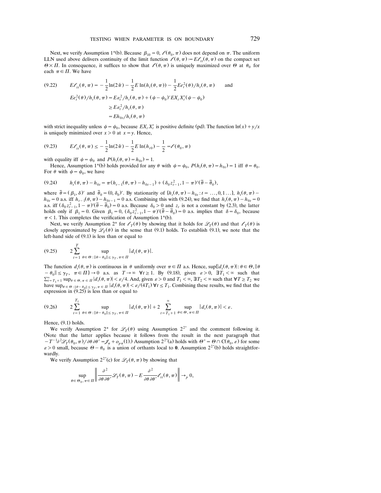Next, we verify Assumption 1<sup>\*</sup>(b). Because  $\beta_{10} = 0$ ,  $\ell(\theta_0, \pi)$  does not depend on  $\pi$ . The uniform LLN used above delivers continuity of the limit function  $\ell(\theta, \pi) = E\ell_{tt}(\theta, \pi)$  on the compact set  $\theta \times \Pi$ . In consequence, it suffices to show that  $\ell(\theta, \pi)$  is uniquely maximized over  $\theta$  at  $\theta_0$  for each  $\pi \in \Pi$ . We have

(9.22) 
$$
E\ell_{tt}(\theta,\pi) = -\frac{1}{2}\ln(2\tilde{\pi}) - \frac{1}{2}E\ln(h_t(\theta,\pi)) - \frac{1}{2}Ee_t^2(\theta)/h_t(\theta,\pi) \quad \text{and}
$$

$$
Ee_t^2(\theta)/h_t(\theta,\pi) = Ee_t^2/h_t(\theta,\pi) + (\psi - \psi_0)'EX_tX_t'(\psi - \psi_0)
$$

$$
\geq Ee_t^2/h_t(\theta,\pi)
$$

$$
= Eh_{0t}/h_t(\theta,\pi)
$$

with strict inequality unless  $\psi = \psi_0$ , because  $EX_t X'_t$  is positive definite (pd). The function  $\ln(x) + y/x$ is uniquely minimized over  $x > 0$  at  $x = y$ . Hence,

$$
(9.23) \tE\ell_{tt}(\theta,\pi) \le -\frac{1}{2}\ln(2\tilde{\pi}) - \frac{1}{2}E\ln(h_{t0}) - \frac{1}{2} = \ell(\theta_0,\pi)
$$

with equality iff  $\psi = \psi_0$  and  $P(h_t(\theta, \pi)) = h_{0t} = 1$ .

Hence, Assumption 1<sup>\*</sup>(b) holds provided for any  $\theta$  with  $\psi = \psi_0$ ,  $P(h_i(\theta, \pi) = h_{0i}) = 1$  iff  $\theta = \theta_0$ . For  $\theta$  with  $\psi = \psi_0$ , we have

$$
(9.24) \t\t h_t(\theta,\pi) - h_{0t} = \pi (h_{t-1}(\theta,\pi) - h_{0t-1}) + (\delta_0 z_{t-1}^2, 1 - \pi)'(\bar{\theta} - \bar{\theta}_0),
$$

where  $\bar{\theta} = (\beta_1, \delta)'$  and  $\bar{\theta}_0 = (0, \delta_0)'$ . By stationarity of  $\{h_t(\theta, \pi) - h_{0t} : t = ..., 0, 1, ...\}$ ,  $h_t(\theta, \pi) - h_{0t}(\theta, \pi)$  $h_{0t} = 0$  a.s. iff  $h_{t-1}(\theta, \pi) - h_{0t-1} = 0$  a.s. Combining this with (9.24), we find that  $h_t(\theta, \pi) - h_{0t} = 0$  a.s. iff  $(\delta_0 z_{t-1}^2, 1 - \pi)'(\bar{\theta} - \bar{\theta}_0) = 0$  a.s. Because  $\delta_0 > 0$  and  $z_t$  is not a constant by (2.3), th  $\pi$  < 1. This completes the verification of Assumption 1\*(b).

Next, we verify Assumption 2<sup>\*</sup> for  $\ell_T(\theta)$  by showing that it holds for  $\mathscr{L}_T(\theta)$  and that  $\ell_T(\theta)$  is closely approximated by  $\mathcal{L}_T(\theta)$  in the sense that (9.1) holds. To establish (9.1), we note that the left-hand side of  $(9.1)$  is less than or equal to

$$
(9.25) \t 2\sum_{t=1}^T \sup_{\theta \in \Theta : \|\theta - \theta_0\| \leq \gamma_T, \pi \in \Pi} |d_t(\theta, \pi)|.
$$

The function  $d_t(\theta, \pi)$  is continuous in  $\theta$  uniformly over  $\pi \in \Pi$  a.s. Hence,  $\sup\{|d_t(\theta, \pi)| : \theta \in \Theta, \|\theta\|$  $-\theta_0 \leq \gamma_T, \quad \pi \in \Pi$  $-\theta_0 || \leq \gamma_T$ ,  $\pi \in \Pi$   $\to 0$  a.s. as  $T \to \infty$   $\forall t \geq 1$ . By (9.18), given  $\varepsilon > 0$ ,  $\exists T_1 < \infty$  such that  $\sum_{t=T_1+1}^{\infty} \sup_{\theta \in \Theta, \pi \in \Pi} |d_t(\theta, \pi)| < \varepsilon/4$ . And, given  $\varepsilon > 0$  and  $T_1 < \infty$ ,  $\exists T_2 < \infty$  such that  $\forall$ have  $\sup_{\theta \in \Theta} \mathcal{L}_{\theta} = \sup_{\theta \in \Theta} \mathcal{L}_{\theta} = \sup_{\theta \in \Theta} \mathcal{L}_{\theta} = \inf |d_t(\theta, \pi)| < \varepsilon/(4T_1) \forall t \leq T_1$ . Combining these results, we find that the expression in  $(9.25)$  is less than or equal to

$$
(9.26) \qquad 2\sum_{t=1}^{T_1} \sup_{\theta \in \Theta : \|\theta - \theta_0\| \leq \gamma_T, \pi \in \Pi} |d_t(\theta, \pi)| + 2\sum_{t=T_1+1}^{\infty} \sup_{\theta \in \Theta, \pi \in \Pi} |d_t(\theta, \pi)| < \varepsilon.
$$

Hence,  $(9.1)$  holds.

We verify Assumption 2<sup>\*</sup> for  $\mathcal{L}_T(\theta)$  using Assumption 2<sup>2\*</sup> and the comment following it. *(Note that the latter applies because it follows from the result in the next paragraph that*  $-T^{-1}\partial^2 \mathcal{L}_T(\theta_0, \pi)/\partial \theta \partial \theta' = \mathcal{J}_{\pi} + o_{p\pi}(1)$ . Assumption  $2^{2^*}$ (a) holds with  $\theta^+ = \theta \cap C(\theta_0, \varepsilon)$  for some  $\varepsilon > 0$  small, because  $\theta - \theta_0$  is a union of orthants local to **0**. Assumption  $2^{2^*}$ (b) holds s wardly.

We verify Assumption  $2^{2*}(c)$  for  $\mathscr{L}_T(\theta, \pi)$  by showing that

$$
\sup_{\theta \in \Theta_0, \pi \in \Pi} \left\| \frac{\partial^2}{\partial \theta \partial \theta'} \mathcal{L}_T(\theta, \pi) - E \frac{\partial^2}{\partial \theta \partial \theta'} \ell_{tt}(\theta, \pi) \right\| \to_p 0,
$$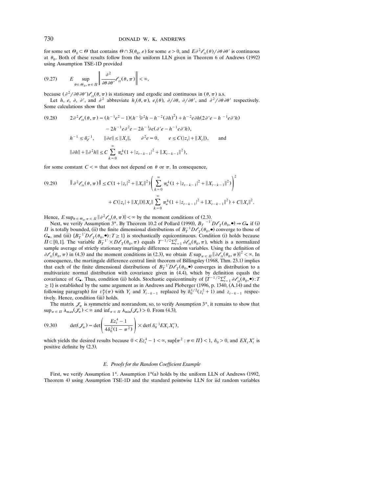for some set  $\Theta_0 \subset \Theta$  that contains  $\Theta \cap S(\theta_0, \varepsilon)$  for some  $\varepsilon > 0$ , and  $E \partial^2 \mathscr{E}_{tt}(\theta) / \partial \theta \partial \theta'$  is continuous at  $\theta_0$ . Both of these results follow from the uniform LLN given in Theorem 6 of Andrews (1992) using Assumption TSE-1D provided

$$
(9.27) \t E \sup_{\theta \in \Theta_0, \pi \in \Pi} \left\| \frac{\partial^2}{\partial \theta \, \partial \theta'} \mathcal{E}_{tt}(\theta, \pi) \right\| < \infty,
$$

because  $\left(\frac{\partial^2}{\partial\theta}\frac{\partial\theta'}{\partial\theta'}\right)$ ,  $\mathcal{E}_t(\theta, \pi)$  is stationary and ergodic and continuous in  $(\theta, \pi)$  a.s. Let *h*, *e*,  $\partial$ ,  $\partial'$ , and  $\partial^2$  abbreviate *h*<sub>1</sub>( $\theta$ , $\pi$ ), *e*<sub>1</sub>( $\theta$ ),  $\partial/\partial\theta$ ,  $\partial/\partial\theta'$ , and Some calculations show that

$$
(9.28) \t2\partial^2 \ell_{tt}(\theta, \pi) = (h^{-1}e^2 - 1)(h^{-1}\partial^2 h - h^{-2}(\partial h)^2) + h^{-2}e\partial h(2\partial' e - h^{-1}e\partial' h)
$$
  

$$
- 2h^{-1}e\partial^2 e - 2h^{-1}\partial e(\partial' e - h^{-1}e\partial' h),
$$
  

$$
h^{-1} \le \delta_{\ell}^{-1}, \t ||\partial e|| \le ||X_t||, \t\partial^2 e = 0, \t e \le C(|z_t| + ||X_t||), \t and
$$
  

$$
||\partial h|| + ||\partial^2 h|| \le C \sum_{k=0}^{\infty} \pi_{u}^{k}(1 + |z_{t-k-1}|^2 + ||X_{t-k-1}||^2),
$$

for some constant  $C < \infty$  that does not depend on  $\theta$  or  $\pi$ . In consequence,

$$
(9.29) \qquad \|\partial^2 \ell_{tt}(\theta, \pi)\| \le C(1 + |z_t|^2 + \|X_t\|^2) \Bigg( \sum_{k=0}^{\infty} \pi_k^k (1 + |z_{t-k-1}|^2 + \|X_{t-k-1}\|^2) \Bigg)^2 + C(|z_t| + \|X_t\|) \|X_t\| \sum_{k=0}^{\infty} \pi_k^k (1 + |z_{t-k-1}|^2 + \|X_{t-k-1}\|^2) + C \|X_t\|^2.
$$

Hence,  $E \sup_{\theta \in \Theta_0, \pi \in \Pi} ||\partial^2 \mathcal{E}_{tt}(\theta, \pi)|| < \infty$  by the moment conditions of (2.3).

Next, we verify Assumption 3<sup>\*</sup>. By Theorem 10.2 of Pollard (1990),  $B_T$ <sup>-1'</sup> $D\ell_T(\theta_0, \bullet) \Rightarrow G_{\bullet}$  if (i) If is totally bounded, (ii) the finite dimensional distributions of  $B_T^{-1}D\ell_T(\theta_0, \bullet)$  converge to those of  $G_{\bullet}$ , and (iii)  $\{B_T^{-1}D\mathcal{O}_T(\theta_0,\bullet): T \geq 1\}$  is stochastically equicontinuous. Condition (i) holds because  $\Pi \subset [0, 1]$ . The variable  $B_T^{-1} \times D\ell_T(\theta_0, \pi)$  equals  $T^{-1/2} \Sigma_{t=1}^T \partial \ell_t(\theta_0, \pi)$ , which is a normalized sample average of strictly stationary martingale difference random variables. Using the definition of  $\partial \ell_{tt}(\theta_0, \pi)$  in (4.3) and the moment conditions in (2.3), we obtain  $E \sup_{\pi \in \Pi} ||\partial \ell_{tt}(\theta_0, \pi)||^2 < \infty$ . In consequence, the martingale difference central limit theorem of Billingsley (1968, Thm. 23.1) implies that each of the finite dimensional distributions of  $B_T^{-1}D\ell_\tau(\theta_0, \bullet)$  converges in distribution to a multivariate normal distribution with covariance given in (4.4), which by definition equals the covariance of *G*. Thus, condition (ii) holds. Stochastic equicontinuity of  $\{T^{-1/2}\sum_{t=1}^{T} \partial \ell_{tt}(\theta_0, \bullet) : T \}$  $\geq$  1) is established by the same argument as in Andrews and Ploberger (1996, p. 1340, (A.14) and the following paragraph) for  $v_T^*(\pi)$  with  $Y_t$  and  $Y_{t-k-1}$  replaced by  $\delta_0^{1/2}(z_t^2+1)$  and  $z_{t-k-1}$  respectively. Hence, condition (iii) holds.

The matrix  $\mathscr{J}_\pi$  is symmetric and nonrandom, so, to verify Assumption 3<sup>\*</sup>, it remains to show that  $\sup_{\pi \in \Pi} \lambda_{\max}(\mathscr{J}_{\pi}) < \infty$  and  $\inf_{\pi \in \Pi} \lambda_{\min}(\mathscr{J}_{\pi}) > 0$ . From (4.3),

(9.30) 
$$
\det(\mathcal{J}_\pi) = \det \left( \frac{E z_t^4 - 1}{4 \delta_0^2 (1 - \pi^2)} \right) \times \det(\delta_0^{-1} E X_t X_t'),
$$

which yields the desired results because  $0 < E z_t^4 - 1 < \infty$ ,  $\sup \{\pi^2 : \pi \in \Pi\} < 1$ ,  $\delta_0 > 0$ , and  $EX_t X_t^t$  is positive definite by  $(2.3)$ .

#### *E*. *Proofs for the Random Coefficient Example*

First, we verify Assumption 1\*. Assumption  $1*(a)$  holds by the uniform LLN of Andrews (1992, Theorem 4) using Assumption TSE-1D and the standard pointwise LLN for iid random variables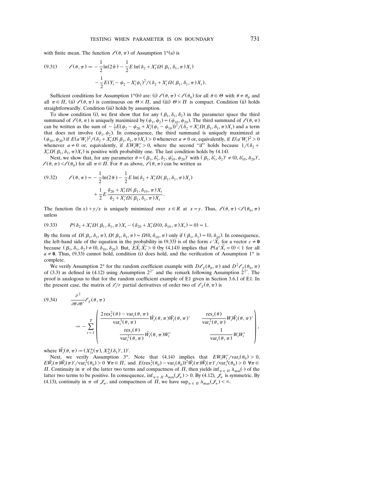with finite mean. The function  $\ell(\theta, \pi)$  of Assumption 1<sup>\*</sup>(a) is

(9.31) 
$$
\ell(\theta, \pi) := -\frac{1}{2} \ln(2\tilde{\pi}) - \frac{1}{2} E \ln(\delta_2 + X_i' \Omega(\beta_1, \delta_1, \pi) X_i) - \frac{1}{2} E(Y_i - \psi_2 - X_i' \psi_1)^2 / (\delta_2 + X_i' \Omega(\beta_1, \delta_1, \pi) X_i).
$$

Sufficient conditions for Assumption 1<sup>\*</sup>(b) are: (i)  $\ell(\theta, \pi) < \ell(\theta_0)$  for all  $\theta \in \Theta$  with  $\theta \neq \theta_0$  and all  $\pi \in \Pi$ , (ii)  $\ell(\theta, \pi)$  is continuous on  $\Theta \times \Pi$ , and (iii)  $\Theta \times \Pi$  is compact. Condition (ii) holds straightforwardly. Condition (iii) holds by assumption.

To show condition (i), we first show that for any  $(\beta_1, \delta_1, \delta_2)$  in the parameter space the third summand of  $\ell(\theta, \pi)$  is uniquely maximized by  $(\psi_1, \psi_2) = (\psi_{10}, \psi_{20})$ . The third summand of  $\ell(\theta, \pi)$  can be written as the sum of  $-\frac{1}{2}E(\psi_2 - \psi_{20} + X'_t(\psi_1 - \psi_{10}))^2/(\delta_2 + X'_t\Omega(\beta_1, \delta_1, \pi)X_t)$  and a term that does not involve  $(\psi_1, \psi_2)$ . In consequence, the third summand is uniquely maximized at  $(\psi_{10}, \psi_{20})$  if  $E(a'W_t)^2/(\delta_2 + X_t' \Omega(\beta_1, \delta_1, \pi)X_t) > 0$  whenever  $a \neq 0$  or, equivalently, if  $E(a'W_t)^2$  $(\psi_{10}, \psi_{20})$  if  $E(a'W_t)^2/(\delta_2 + X_t' \Omega(\beta_1, \delta_1, \pi)X_t) > 0$  whenever  $a \neq 0$  or, equivalently, if  $E(a'W_t)^2 > 0$ <br>whenever  $a \neq 0$  or, equivalently, if  $EW_tW_t' > 0$ , where the second "if" holds because  $1/(\delta_2 + X_t' \Omega(\beta_1, \delta_1, \$  $X_i' \Omega(\beta_1, \delta_1, \pi) X_i$  is positive with probability one. The last condition holds by (4.14).

Next, we show that, for any parameter  $\theta = (\beta_1, \delta'_1, \delta_2, \psi'_{10}, \psi_{20})'$  with  $(\beta_1, \delta'_1, \delta_2)' \neq (0, \delta'_{10}, \delta_{20}')'$ ,  $l(\theta, \pi) < l(\theta_0)$  for all  $\pi \in \Pi$ . For  $\theta$  as above,  $l(\theta, \pi)$  can be written as

(9.32) 
$$
\ell(\theta, \pi) = -\frac{1}{2}\ln(2\tilde{\pi}) - \frac{1}{2}E \ln(\delta_2 + X'_i \Omega(\beta_1, \delta_1, \pi)X_i) + \frac{1}{2}E \frac{\delta_{20} + X'_i \Omega(\beta_1, \delta_{10}, \pi)X_i}{\delta_2 + X'_i \Omega(\beta_1, \delta_1, \pi)X_i}.
$$

The function  $(\ln x) + y/x$  is uniquely minimized over  $x \in R$  at  $x = y$ . Thus,  $\ell(\theta, \pi) < \ell(\theta_0, \pi)$ unless

$$
(9.33) \tP(\delta_2 + X_t' \Omega(\beta_1, \delta_1, \pi) X_t - (\delta_{20} + X_t' \Omega(0, \delta_{10}, \pi) X_t) = 0) = 1.
$$

By the form of  $\Omega(\beta_1, \delta_1, \pi)$ ,  $\Omega(\beta_1, \delta_1, \pi) = \Omega(0, \delta_{10}, \pi)$  only if  $(\beta_1, \delta_1) = (0, \delta_{10})$ . In consequence, the left-hand side of the equation in the probability in (9.33) is of the form  $c' \tilde{X}$ <sup>t</sup> for a vector  $c \neq 0$ because  $(\beta_1, \delta_1, \delta_2) \neq (0, \delta_{10}, \delta_{20})$ . But,  $E\tilde{X}_t \tilde{X}_t > 0$  (by (4.14)) implies that  $P(a'\tilde{X}_t = 0) < 1$  for all  $a \neq 0$ . Thus, (9.33) cannot hold, condition (i) does hold, and the verification of Assumption 1<sup>\*</sup> is complete.

We verify Assumption 2\* for the random coefficient example with  $D\ell_{\tau}(\theta_0, \pi)$  and  $D^2\ell_{\tau}(\theta_0, \pi)$ of (3.3) as defined in (4.12) using Assumption  $2^{2^*}$  and the remark following Assumption  $2^{2^*}$ . The proof is analogous to that for the random coefficient example of E1 given in Section 3.6.1 of E1. In the present case, the matrix of  $\ell/r$  partial derivatives of order two of  $\ell<sub>T</sub>(\theta, \pi)$  is

(9.34) 
$$
\frac{\partial^2}{\partial \theta \partial \theta'} \ell_T(\theta, \pi)
$$
  

$$
:= -\sum_{t=1}^T \begin{pmatrix} \frac{2 \operatorname{res}_t^2(\theta) - \operatorname{var}_t(\theta, \pi)}{\operatorname{var}_t^3(\theta, \pi)} \widetilde{W}_t(\theta, \pi) \widetilde{W}_t(\theta, \pi)' & \frac{\operatorname{res}_t(\theta)}{\operatorname{var}_t^2(\theta, \pi)} W_t \widetilde{W}_t(\theta, \pi)' \\ \frac{\operatorname{res}_t(\theta)}{\operatorname{var}_t^2(\theta, \pi)} \widetilde{W}_t(\theta, \pi) W'_t & \frac{1}{\operatorname{var}_t(\theta, \pi)} W_t W'_t \end{pmatrix},
$$

where  $\tilde{W}_t(\theta, \pi) := (X_{1t}^*(\pi), X_{2t}^*(\delta_1)', 1)'.$ 

Next, we verify Assumption 3<sup>\*</sup>. Note that (4.14) implies that  $EW_tW_t'/var_t(\theta_0) > 0$ ,  $E\tilde{W}_t(\pi)\tilde{W}_t(\pi)'$  /var $\tilde{Y}_t(\theta_0) > 0$   $\forall \pi \in \Pi$ , and  $E(\text{res}_t^2(\theta_0) - \text{var}_t(\theta_0))^2 \tilde{W}_t(\pi) \tilde{W}_t(\pi)'$  /var $\tilde{Y}_t(\theta_0) > 0$   $\forall \pi \in \Pi$ *H*. Continuity in  $\pi$  of the latter two terms and compactness of *H*, then yields inf<sub> $\pi \in \Pi$ </sub>  $\lambda_{\min}(\cdot)$  of the latter two terms to be positive. In consequence,  $\inf_{\pi \in \Pi} \lambda_{\min}(\mathscr{J}_{\pi}) > 0$ . By (4.12),  $\mathscr{J}_{\pi}$  is symmetric. By (4.13), continuity in  $\pi$  of  $\mathcal{J}_{\pi}$ , and compactness of  $\Pi$ , we have  $\sup_{\pi \in \Pi} \lambda_{\max}(\mathcal{J}_{\pi}) < \infty$ .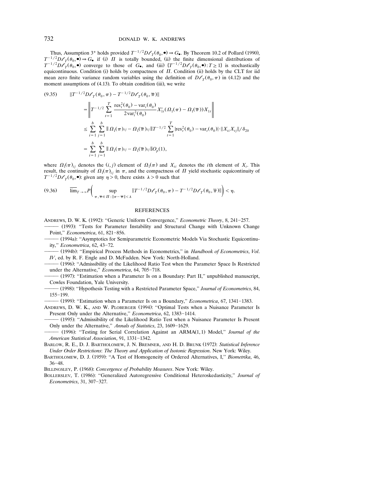Thus, Assumption 3<sup>\*</sup> holds provided  $T^{-1/2}D\ell_T(\theta_0, \bullet) \Rightarrow G_{\bullet}$ . By Theorem 10.2 of Pollard (1990),  $T^{-1/2}D\ell_T(\theta_0, \bullet) \Rightarrow G_{\bullet}$  if (i)  $\Pi$  is totally bounded, (ii) the finite dimensional distributions of  $T^{-1/2}D\ell_{\tau}(\theta_0, \bullet)$  converge to those of  $G_{\bullet}$ , and (iii)  $\{T^{-1/2}D\ell_{\tau}(\theta_0, \bullet): T \geq 1\}$  is stochastically equicontinuous. Condition (i) holds by compactness of  $\Pi$ . Condition (ii) holds by the CLT for iid mean zero finite variance random variables using the definition of  $D\ell_{\tau}(\theta_0, \pi)$  in (4.12) and the moment assumptions of (4.13). To obtain condition (iii), we write

$$
(9.35) \t ||T^{-1/2}D\ell_T(\theta_0, \pi) - T^{-1/2}D\ell_T(\theta_0, \overline{\pi})||
$$
  
\n=
$$
\left\| T^{-1/2} \sum_{t=1}^T \frac{\text{res}_t^2(\theta_0) - \text{var}_t(\theta_0)}{2\text{var}_t^2(\theta_0)} X'_{1t}(\Omega_1(\pi) - \Omega_1(\overline{\pi})) X_{1t} \right\|
$$
  
\n
$$
\leq \sum_{i=1}^b \sum_{j=1}^b ||\Omega_1(\pi)_{ij} - \Omega_1(\overline{\pi})_{ij}||T^{-1/2} \sum_{t=1}^T |\text{res}_t^2(\theta_0) - \text{var}_t(\theta_0)| \cdot ||X_{ti}X_{tj}||/\delta_{20}
$$
  
\n=
$$
\sum_{i=1}^b \sum_{j=1}^b ||\Omega_1(\pi)_{ij} - \Omega_1(\overline{\pi})_{ij}||O_p(1),
$$

where  $\Omega_1(\pi)_{ij}$  denotes the  $(i, j)$  element of  $\Omega_1(\pi)$  and  $X_{ii}$  denotes the *i*th element of  $X_i$ . This result, the continuity of  $\Omega_1(\pi)_{ij}$  in  $\pi$ , and the compactness of  $\Pi$  yield stochastic equicontinuity of  $T^{-1/2}D\ell_{\tau}(\theta_0, \bullet)$ : given any  $\eta > 0$ , there exists  $\lambda > 0$  such that

$$
(9.36) \qquad \overline{\lim}_{T \to \infty} P\left(\sup_{\pi, \overline{\pi} \in \Pi : \|\pi - \overline{\pi}\| < \lambda} \|T^{-1/2} D\mathscr{O}_T(\theta_0, \pi) - T^{-1/2} D\mathscr{O}_T(\theta_0, \overline{\pi})\| \right) < \eta.
$$

#### REFERENCES

ANDREWS, D. W. K. (1992): "Generic Uniform Convergence," *Econometric Theory*, 8, 241-257.

– (1993): "Tests for Parameter Instability and Structural Change with Unknown Change Point," *Econometrica*, 61, 821-856.

- (1994a): "Asymptotics for Semiparametric Econometric Models Via Stochastic Equicontinuity," *Econometrica*, 62, 43-72.

 Ž . 1994b : ''Empirical Process Methods in Econometrics,'' in *Handbook of Econometrics*, *Vol*. *IV*, ed. by R. F. Engle and D. McFadden. New York: North-Holland.

– (1996): "Admissibility of the Likelihood Ratio Test when the Parameter Space Is Restricted under the Alternative," *Econometrica*, 64, 705-718.

– (1997): "Estimation when a Parameter Is on a Boundary: Part II," unpublished manuscript, Cowles Foundation, Yale University.

 Ž . 1998 : ''Hypothesis Testing with a Restricted Parameter Space,'' *Journal of Econometrics*, 84, 155-199.

– (1999): "Estimation when a Parameter Is on a Boundary," *Econometrica*, 67, 1341-1383.

ANDREWS, D. W. K., AND W. PLOBERGER (1994): "Optimal Tests when a Nuisance Parameter Is Present Only under the Alternative," *Econometrica*, 62, 1383-1414.

 Ž . 1995 : ''Admissibility of the Likelihood Ratio Test when a Nuisance Parameter Is Present Only under the Alternative," *Annals of Statistics*, 23, 1609-1629.

. (1996): "Testing for Serial Correlation Against an ARMA(1,1) Model," *Journal of the American Statistical Association*, 91, 1331-1342.

BARLOW, R. E., D. J. BARTHOLOMEW, J. N. BREMNER, AND H. D. BRUNK (1972): Statistical Inference *Under Order Restrictions*: *The Theory and Application of Isotonic Regression*. New York: Wiley.

BARTHOLOMEW, D. J. (1959): "A Test of Homogeneity of Ordered Alternatives, I," Biometrika, 46,  $36 - 48.$ 

BILLINGSLEY, P. (1968): *Convergence of Probability Measures*. New York: Wiley.

BOLLERSLEV, T. (1986): "Generalized Autoregressive Conditional Heteroskedasticity," Journal of *Econometrics*, 31, 307-327.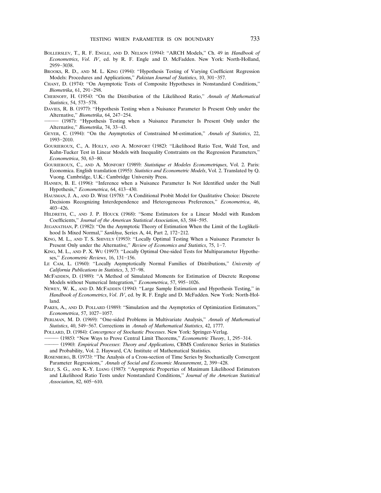- BOLLERSLEV, T., R. F. ENGLE, AND D. NELSON (1994): "ARCH Models," Ch. 49 in *Handbook of Econometrics*, *Vol*. *IV*, ed. by R. F. Engle and D. McFadden. New York: North-Holland, 2959-3038.
- BROOKS, R. D., AND M. L. KING (1994): "Hypothesis Testing of Varying Coefficient Regression Models: Procedures and Applications," *Pakistan Journal of Statistics*, 10, 301–357.
- CHANT, D. (1974): "On Asymptotic Tests of Composite Hypotheses in Nonstandard Conditions," *Biometrika*, 61, 291-298.
- CHERNOFF, H. (1954): "On the Distribution of the Likelihood Ratio," Annals of Mathematical *Statistics*, 54, 573-578.
- DAVIES, R. B. (1977): "Hypothesis Testing when a Nuisance Parameter Is Present Only under the Alternative," *Biometrika*, 64, 247-254.
- (1987): "Hypothesis Testing when a Nuisance Parameter Is Present Only under the Alternative," *Biometrika*, 74, 33-43.
- GEYER, C. (1994): "On the Asymptotics of Constrained M-estimation," Annals of Statistics, 22, 1993-2010.
- GOURIEROUX, C., A. HOLLY, AND A. MONFORT (1982): "Likelihood Ratio Test, Wald Test, and Kuhn-Tucker Test in Linear Models with Inequality Constraints on the Regression Parameters,'' *Econometrica*, 50, 63-80.
- GOURIEROUX, C., AND A. MONFORT (1989): *Statistique et Modeles Econometriques*, Vol. 2. Paris: Economica. English translation (1995): *Statistics and Econometric Models*, Vol. 2. Translated by Q. Vuong. Cambridge, U.K.: Cambridge University Press.
- HANSEN, B. E. (1996): "Inference when a Nuisance Parameter Is Not Identified under the Null Hypothesis," *Econometrica*, 64, 413-430.
- HAUSMAN, J. A., AND D. WISE (1978): "A Conditional Probit Model for Qualitative Choice: Discrete Decisions Recognizing Interdependence and Heterogeneous Preferences,'' *Econometrica*, 46,  $403 - 426.$
- HILDRETH, C., AND J. P. HOUCK (1968): "Some Estimators for a Linear Model with Random Coefficients," *Journal of the American Statistical Association*, 63, 584-595.
- JEGANATHAN, P. (1982): "On the Asymptotic Theory of Estimation When the Limit of the Loglikelihood Is Mixed Normal," Sankhya, Series A, 44, Part 2, 172-212.
- KING, M. L., AND T. S. SHIVELY (1993): "Locally Optimal Testing When a Nuisance Parameter Is Present Only under the Alternative," *Review of Economics and Statistics*, 75, 1-7.
- KING, M. L., AND P. X. WU (1997): "Locally Optimal One-sided Tests for Multiparameter Hypotheses," *Econometric Reviews*, 16, 131-156.
- LE CAM, L. (1960): "Locally Asymptotically Normal Families of Distributions," University of *California Publications in Statistics*, 3, 37-98.
- MCFADDEN, D. (1989): "A Method of Simulated Moments for Estimation of Discrete Response Models without Numerical Integration," *Econometrica*, 57, 995-1026.
- NEWEY, W. K., AND D. MCFADDEN (1994): "Large Sample Estimation and Hypothesis Testing," in *Handbook of Econometrics*, *Vol*. *IV*, ed. by R. F. Engle and D. McFadden. New York: North-Holland.
- PAKES, A., AND D. POLLARD (1989): "Simulation and the Asymptotics of Optimization Estimators," *Econometrica*, 57, 1027-1057.
- PERLMAN, M. D. (1969): "One-sided Problems in Multivariate Analysis," Annals of Mathematical *Statistics*, 40, 549-567. Corrections in *Annals of Mathematical Statistics*, 42, 1777.
- POLLARD, D. (1984): *Convergence of Stochastic Processes*. New York: Springer-Verlag.
- (1985): "New Ways to Prove Central Limit Theorems," *Econometric Theory*, 1, 295-314.
- Ž . 1990 : *Empirical Processes*: *Theory and Applications*, CBMS Conference Series in Statistics and Probability, Vol. 2. Hayward, CA: Institute of Mathematical Statistics.
- ROSENBERG, B. (1973): "The Analysis of a Cross-section of Time Series by Stochastically Convergent Parameter Regressions," Annals of Social and Economic Measurement, 2, 399-428.
- SELF, S. G., AND K.-Y. LIANG (1987): "Asymptotic Properties of Maximum Likelihood Estimators and Likelihood Ratio Tests under Nonstandard Conditions,'' *Journal of the American Statistical Association*, 82, 605-610.